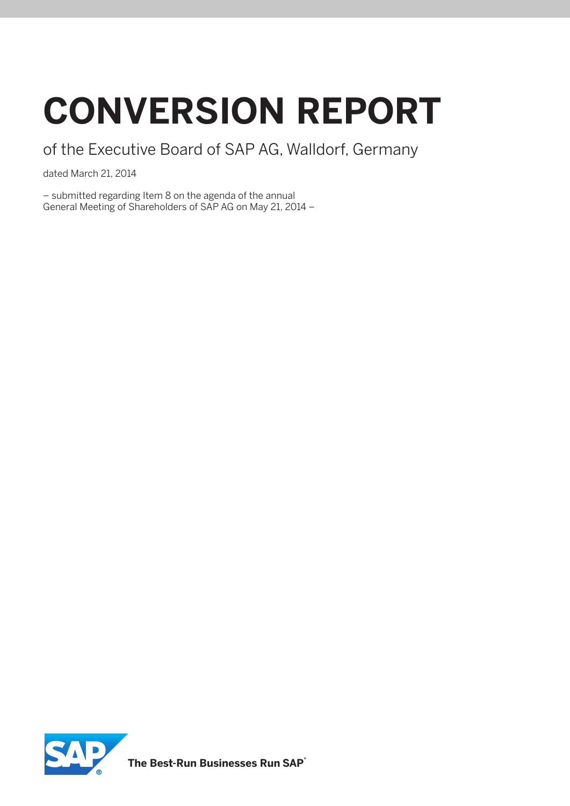# **conversion report**

of the Executive Board of SAP AG, Walldorf, Germany

dated March 21, 2014

– submitted regarding Item 8 on the agenda of the annual General Meeting of Shareholders of SAP AG on May 21, 2014 –

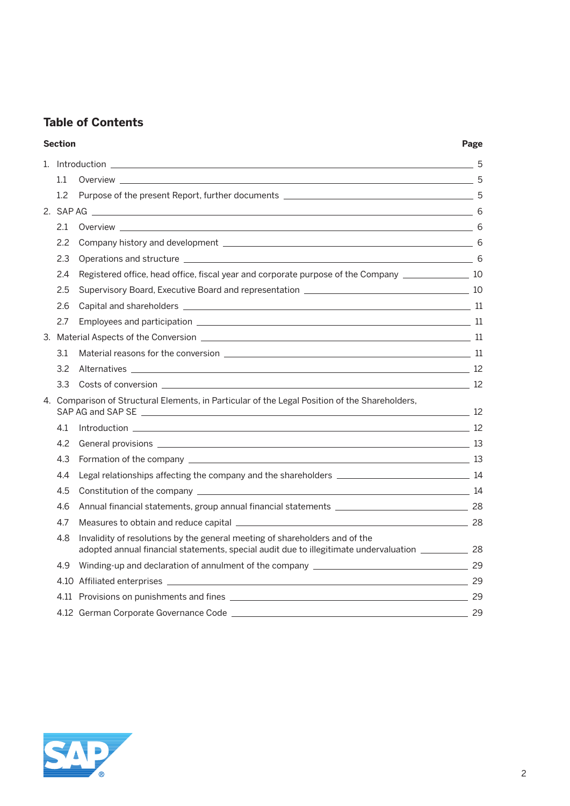# **Table of Contents**

#### **Section Page**

|  | $1.1\,$                                                                                                        | Overview 5                                                                                                                                                                            |  |  |
|--|----------------------------------------------------------------------------------------------------------------|---------------------------------------------------------------------------------------------------------------------------------------------------------------------------------------|--|--|
|  | 1.2                                                                                                            |                                                                                                                                                                                       |  |  |
|  |                                                                                                                |                                                                                                                                                                                       |  |  |
|  | 2.1                                                                                                            |                                                                                                                                                                                       |  |  |
|  | 2.2                                                                                                            |                                                                                                                                                                                       |  |  |
|  | 2.3                                                                                                            |                                                                                                                                                                                       |  |  |
|  | 2.4                                                                                                            | Registered office, head office, fiscal year and corporate purpose of the Company ___________________ 10                                                                               |  |  |
|  | 2.5                                                                                                            |                                                                                                                                                                                       |  |  |
|  | 2.6                                                                                                            |                                                                                                                                                                                       |  |  |
|  | 2.7                                                                                                            |                                                                                                                                                                                       |  |  |
|  | 3. Material Aspects of the Conversion entrance and the control of the control of the control of the conversion |                                                                                                                                                                                       |  |  |
|  | 3.1                                                                                                            |                                                                                                                                                                                       |  |  |
|  | 3.2                                                                                                            |                                                                                                                                                                                       |  |  |
|  | 3.3                                                                                                            | $\frac{12}{2}$                                                                                                                                                                        |  |  |
|  | 4. Comparison of Structural Elements, in Particular of the Legal Position of the Shareholders,                 |                                                                                                                                                                                       |  |  |
|  | 4.1                                                                                                            |                                                                                                                                                                                       |  |  |
|  | 4.2                                                                                                            |                                                                                                                                                                                       |  |  |
|  | 4.3                                                                                                            |                                                                                                                                                                                       |  |  |
|  | 4.4                                                                                                            |                                                                                                                                                                                       |  |  |
|  | 4.5                                                                                                            |                                                                                                                                                                                       |  |  |
|  | 4.6                                                                                                            |                                                                                                                                                                                       |  |  |
|  | 4.7                                                                                                            | Measures to obtain and reduce capital 28                                                                                                                                              |  |  |
|  | 4.8                                                                                                            | Invalidity of resolutions by the general meeting of shareholders and of the<br>adopted annual financial statements, special audit due to illegitimate undervaluation _____________ 28 |  |  |
|  | 4.9                                                                                                            |                                                                                                                                                                                       |  |  |
|  |                                                                                                                |                                                                                                                                                                                       |  |  |
|  |                                                                                                                |                                                                                                                                                                                       |  |  |
|  |                                                                                                                |                                                                                                                                                                                       |  |  |
|  |                                                                                                                |                                                                                                                                                                                       |  |  |

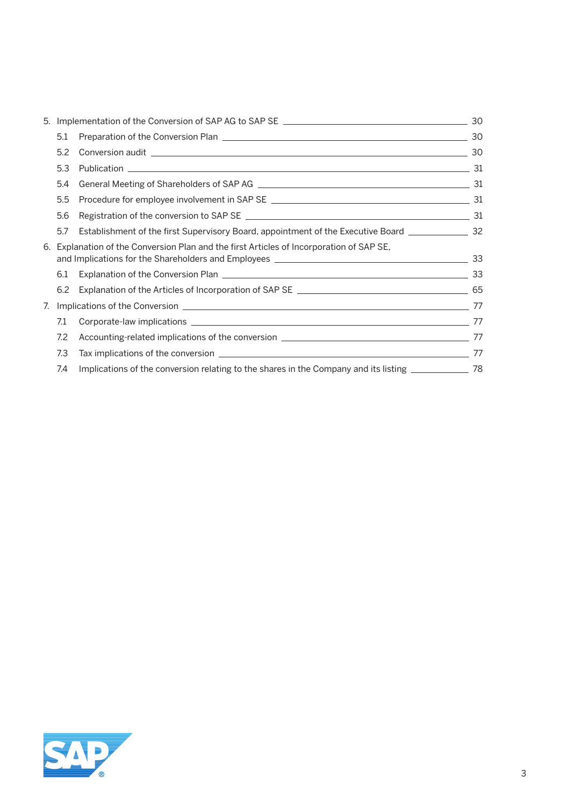| 5. |                                                                                          | Implementation of the Conversion of SAP AG to SAP SE ____________________________                             | 30 |
|----|------------------------------------------------------------------------------------------|---------------------------------------------------------------------------------------------------------------|----|
|    | 5.1                                                                                      | Preparation of the Conversion Plan 2008 2009 2010 2021 2022 2023 2024 2024 2022 2023 2024 2022 2023 2024 2022 | 30 |
|    | 5.2                                                                                      |                                                                                                               |    |
|    | 5.3                                                                                      |                                                                                                               |    |
|    | 5.4                                                                                      |                                                                                                               |    |
|    | 5.5                                                                                      |                                                                                                               |    |
|    | 5.6                                                                                      |                                                                                                               |    |
|    | 5.7                                                                                      | Establishment of the first Supervisory Board, appointment of the Executive Board ___________________ 32       |    |
|    | 6. Explanation of the Conversion Plan and the first Articles of Incorporation of SAP SE, |                                                                                                               |    |
|    | 6.1                                                                                      |                                                                                                               |    |
|    | 6.2                                                                                      |                                                                                                               |    |
| 7. |                                                                                          |                                                                                                               |    |
|    | 7.1                                                                                      |                                                                                                               |    |
|    | 7.2                                                                                      |                                                                                                               |    |
|    | 7.3                                                                                      |                                                                                                               |    |
|    | 7.4                                                                                      | Implications of the conversion relating to the shares in the Company and its listing _______________ 78       |    |
|    |                                                                                          |                                                                                                               |    |

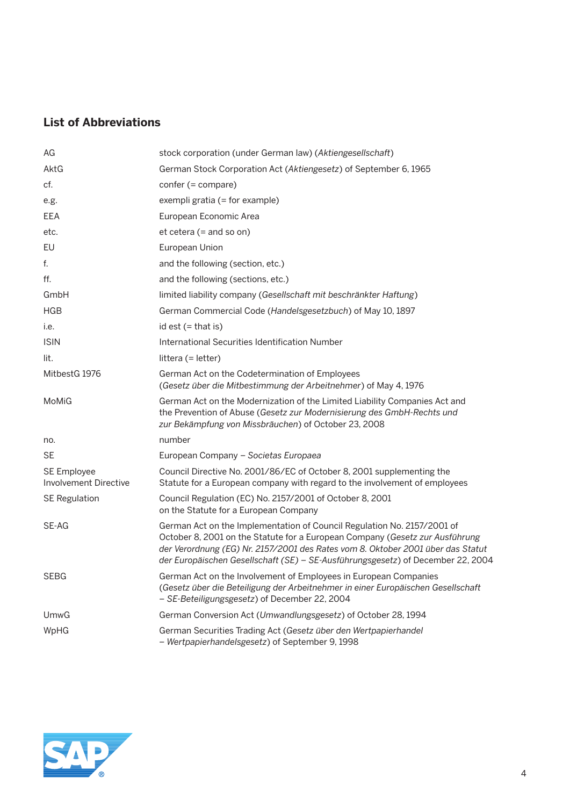# **List of Abbreviations**

| AG                                                 | stock corporation (under German law) (Aktiengesellschaft)                                                                                                                                                                                                                                                                     |
|----------------------------------------------------|-------------------------------------------------------------------------------------------------------------------------------------------------------------------------------------------------------------------------------------------------------------------------------------------------------------------------------|
| AktG                                               | German Stock Corporation Act (Aktiengesetz) of September 6, 1965                                                                                                                                                                                                                                                              |
| cf.                                                | $confer (= compare)$                                                                                                                                                                                                                                                                                                          |
| e.g.                                               | exempli gratia (= for example)                                                                                                                                                                                                                                                                                                |
| EEA                                                | European Economic Area                                                                                                                                                                                                                                                                                                        |
| etc.                                               | $et cetera (= and so on)$                                                                                                                                                                                                                                                                                                     |
| EU                                                 | European Union                                                                                                                                                                                                                                                                                                                |
| f.                                                 | and the following (section, etc.)                                                                                                                                                                                                                                                                                             |
| ff.                                                | and the following (sections, etc.)                                                                                                                                                                                                                                                                                            |
| GmbH                                               | limited liability company (Gesellschaft mit beschränkter Haftung)                                                                                                                                                                                                                                                             |
| <b>HGB</b>                                         | German Commercial Code (Handelsgesetzbuch) of May 10, 1897                                                                                                                                                                                                                                                                    |
| i.e.                                               | id est $($ = that is)                                                                                                                                                                                                                                                                                                         |
| <b>ISIN</b>                                        | International Securities Identification Number                                                                                                                                                                                                                                                                                |
| lit.                                               | littera $(=$ letter)                                                                                                                                                                                                                                                                                                          |
| MitbestG 1976                                      | German Act on the Codetermination of Employees<br>(Gesetz über die Mitbestimmung der Arbeitnehmer) of May 4, 1976                                                                                                                                                                                                             |
| MoMiG                                              | German Act on the Modernization of the Limited Liability Companies Act and<br>the Prevention of Abuse (Gesetz zur Modernisierung des GmbH-Rechts und<br>zur Bekämpfung von Missbräuchen) of October 23, 2008                                                                                                                  |
| no.                                                | number                                                                                                                                                                                                                                                                                                                        |
| <b>SE</b>                                          | European Company - Societas Europaea                                                                                                                                                                                                                                                                                          |
| <b>SE Employee</b><br><b>Involvement Directive</b> | Council Directive No. 2001/86/EC of October 8, 2001 supplementing the<br>Statute for a European company with regard to the involvement of employees                                                                                                                                                                           |
| <b>SE Regulation</b>                               | Council Regulation (EC) No. 2157/2001 of October 8, 2001<br>on the Statute for a European Company                                                                                                                                                                                                                             |
| SE-AG                                              | German Act on the Implementation of Council Regulation No. 2157/2001 of<br>October 8, 2001 on the Statute for a European Company (Gesetz zur Ausführung<br>der Verordnung (EG) Nr. 2157/2001 des Rates vom 8. Oktober 2001 über das Statut<br>der Europäischen Gesellschaft (SE) - SE-Ausführungsgesetz) of December 22, 2004 |
| SEBG                                               | German Act on the Involvement of Employees in European Companies<br>(Gesetz über die Beteiligung der Arbeitnehmer in einer Europäischen Gesellschaft<br>- SE-Beteiligungsgesetz) of December 22, 2004                                                                                                                         |
| UmwG                                               | German Conversion Act (Umwandlungsgesetz) of October 28, 1994                                                                                                                                                                                                                                                                 |
| WpHG                                               | German Securities Trading Act (Gesetz über den Wertpapierhandel<br>- Wertpapierhandelsgesetz) of September 9, 1998                                                                                                                                                                                                            |

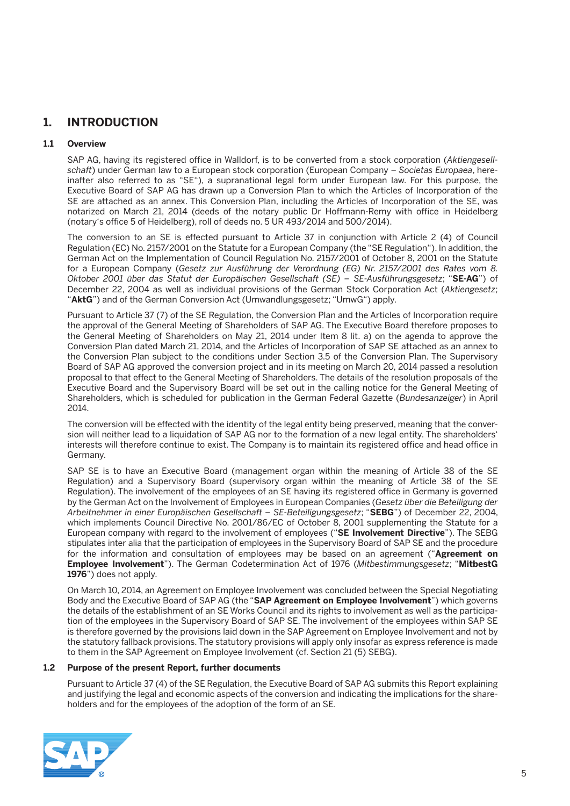# **1. INTRODUCTION**

#### **1.1 Overview**

 SAP AG, having its registered office in Walldorf, is to be converted from a stock corporation (*Aktiengesellschaft*) under German law to a European stock corporation (European Company – *Societas Europaea*, hereinafter also referred to as "SE"), a supranational legal form under European law. For this purpose, the Executive Board of SAP AG has drawn up a Conversion Plan to which the Articles of Incorporation of the SE are attached as an annex. This Conversion Plan, including the Articles of Incorporation of the SE, was notarized on March 21, 2014 (deeds of the notary public Dr Hoffmann-Remy with office in Heidelberg (notary's office 5 of Heidelberg), roll of deeds no. 5 UR 493/2014 and 500/2014).

 The conversion to an SE is effected pursuant to Article 37 in conjunction with Article 2 (4) of Council Regulation (EC) No. 2157/2001 on the Statute for a European Company (the "SE Regulation"). In addition, the German Act on the Implementation of Council Regulation No. 2157/2001 of October 8, 2001 on the Statute for a European Company (*Gesetz zur Ausführung der Verordnung (EG) Nr. 2157/2001 des Rates vom 8. Oktober 2001 über das Statut der Europäischen Gesellschaft (SE) – SE-Ausführungsgesetz*; "**SE-AG**") of December 22, 2004 as well as individual provisions of the German Stock Corporation Act (*Aktiengesetz*; "**AktG**") and of the German Conversion Act (Umwandlungsgesetz; "UmwG") apply.

 Pursuant to Article 37 (7) of the SE Regulation, the Conversion Plan and the Articles of Incorporation require the approval of the General Meeting of Shareholders of SAP AG. The Executive Board therefore proposes to the General Meeting of Shareholders on May 21, 2014 under Item 8 lit. a) on the agenda to approve the Conversion Plan dated March 21, 2014, and the Articles of Incorporation of SAP SE attached as an annex to the Conversion Plan subject to the conditions under Section 3.5 of the Conversion Plan. The Supervisory Board of SAP AG approved the conversion project and in its meeting on March 20, 2014 passed a resolution proposal to that effect to the General Meeting of Shareholders. The details of the resolution proposals of the Executive Board and the Supervisory Board will be set out in the calling notice for the General Meeting of Shareholders, which is scheduled for publication in the German Federal Gazette (*Bundesanzeiger*) in April 2014.

 The conversion will be effected with the identity of the legal entity being preserved, meaning that the conversion will neither lead to a liquidation of SAP AG nor to the formation of a new legal entity. The shareholders' interests will therefore continue to exist. The Company is to maintain its registered office and head office in Germany.

 SAP SE is to have an Executive Board (management organ within the meaning of Article 38 of the SE Regulation) and a Supervisory Board (supervisory organ within the meaning of Article 38 of the SE Regulation). The involvement of the employees of an SE having its registered office in Germany is governed by the German Act on the Involvement of Employees in European Companies (*Gesetz über die Beteiligung der Arbeitnehmer in einer Europäischen Gesellschaft – SE-Beteiligungsgesetz*; "**SEBG**") of December 22, 2004, which implements Council Directive No. 2001/86/EC of October 8, 2001 supplementing the Statute for a European company with regard to the involvement of employees ("**SE Involvement Directive**"). The SEBG stipulates inter alia that the participation of employees in the Supervisory Board of SAP SE and the procedure for the information and consultation of employees may be based on an agreement ("**Agreement on Employee Involvement**"). The German Codetermination Act of 1976 (*Mitbestimmungsgesetz*; "**MitbestG 1976**") does not apply.

 On March 10, 2014, an Agreement on Employee Involvement was concluded between the Special Negotiating Body and the Executive Board of SAP AG (the "**SAP Agreement on Employee Involvement**") which governs the details of the establishment of an SE Works Council and its rights to involvement as well as the participation of the employees in the Supervisory Board of SAP SE. The involvement of the employees within SAP SE is therefore governed by the provisions laid down in the SAP Agreement on Employee Involvement and not by the statutory fallback provisions. The statutory provisions will apply only insofar as express reference is made to them in the SAP Agreement on Employee Involvement (cf. Section 21 (5) SEBG).

#### **1.2 Purpose of the present Report, further documents**

 Pursuant to Article 37 (4) of the SE Regulation, the Executive Board of SAP AG submits this Report explaining and justifying the legal and economic aspects of the conversion and indicating the implications for the shareholders and for the employees of the adoption of the form of an SE.

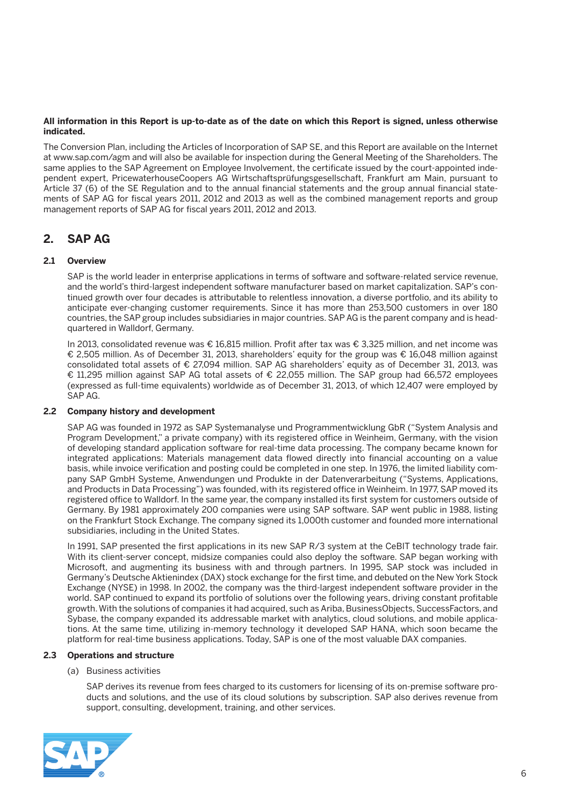#### **All information in this Report is up-to-date as of the date on which this Report is signed, unless otherwise indicated.**

The Conversion Plan, including the Articles of Incorporation of SAP SE, and this Report are available on the Internet at www.sap.com/agm and will also be available for inspection during the General Meeting of the Shareholders. The same applies to the SAP Agreement on Employee Involvement, the certificate issued by the court-appointed independent expert, PricewaterhouseCoopers AG Wirtschaftsprüfungsgesellschaft, Frankfurt am Main, pursuant to Article 37 (6) of the SE Regulation and to the annual financial statements and the group annual financial statements of SAP AG for fiscal years 2011, 2012 and 2013 as well as the combined management reports and group management reports of SAP AG for fiscal years 2011, 2012 and 2013.

## **2. SAP AG**

### **2.1 Overview**

 SAP is the world leader in enterprise applications in terms of software and software-related service revenue, and the world's third-largest independent software manufacturer based on market capitalization. SAP's continued growth over four decades is attributable to relentless innovation, a diverse portfolio, and its ability to anticipate ever-changing customer requirements. Since it has more than 253,500 customers in over 180 countries, the SAP group includes subsidiaries in major countries. SAP AG is the parent company and is headquartered in Walldorf, Germany.

 In 2013, consolidated revenue was € 16,815 million. Profit after tax was € 3,325 million, and net income was € 2,505 million. As of December 31, 2013, shareholders' equity for the group was € 16,048 million against consolidated total assets of € 27,094 million. SAP AG shareholders' equity as of December 31, 2013, was € 11,295 million against SAP AG total assets of € 22,055 million. The SAP group had 66,572 employees (expressed as full-time equivalents) worldwide as of December 31, 2013, of which 12,407 were employed by SAP AG.

#### **2.2 Company history and development**

 SAP AG was founded in 1972 as SAP Systemanalyse und Programmentwicklung GbR ("System Analysis and Program Development," a private company) with its registered office in Weinheim, Germany, with the vision of developing standard application software for real-time data processing. The company became known for integrated applications: Materials management data flowed directly into financial accounting on a value basis, while invoice verification and posting could be completed in one step. In 1976, the limited liability company SAP GmbH Systeme, Anwendungen und Produkte in der Datenverarbeitung ("Systems, Applications, and Products in Data Processing") was founded, with its registered office in Weinheim. In 1977, SAP moved its registered office to Walldorf. In the same year, the company installed its first system for customers outside of Germany. By 1981 approximately 200 companies were using SAP software. SAP went public in 1988, listing on the Frankfurt Stock Exchange. The company signed its 1,000th customer and founded more international subsidiaries, including in the United States.

In 1991, SAP presented the first applications in its new SAP R/3 system at the CeBIT technology trade fair. With its client-server concept, midsize companies could also deploy the software. SAP began working with Microsoft, and augmenting its business with and through partners. In 1995, SAP stock was included in Germany's Deutsche Aktienindex (DAX) stock exchange for the first time, and debuted on the New York Stock Exchange (NYSE) in 1998. In 2002, the company was the third-largest independent software provider in the world. SAP continued to expand its portfolio of solutions over the following years, driving constant profitable growth. With the solutions of companies it had acquired, such as Ariba, BusinessObjects, SuccessFactors, and Sybase, the company expanded its addressable market with analytics, cloud solutions, and mobile applications. At the same time, utilizing in-memory technology it developed SAP HANA, which soon became the platform for real-time business applications. Today, SAP is one of the most valuable DAX companies.

#### **2.3 Operations and structure**

#### (a) Business activities

 SAP derives its revenue from fees charged to its customers for licensing of its on-premise software products and solutions, and the use of its cloud solutions by subscription. SAP also derives revenue from support, consulting, development, training, and other services.

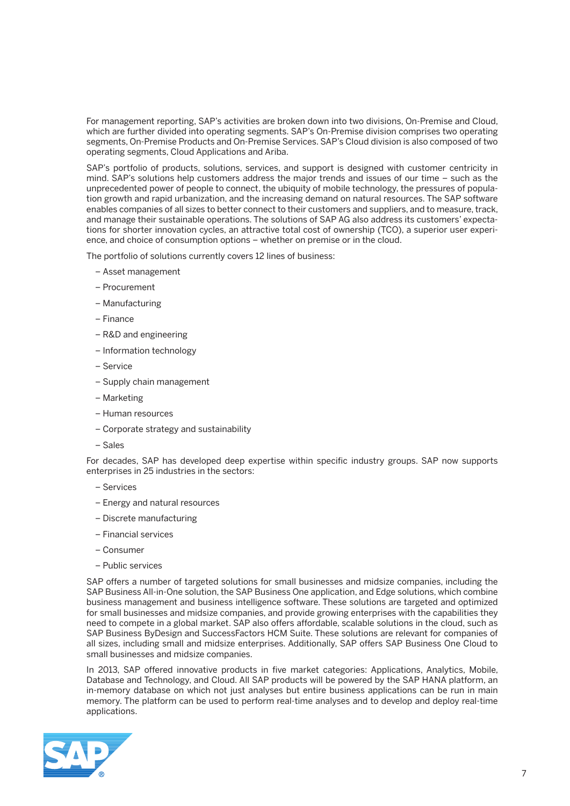For management reporting, SAP's activities are broken down into two divisions, On-Premise and Cloud, which are further divided into operating segments. SAP's On-Premise division comprises two operating segments, On-Premise Products and On-Premise Services. SAP's Cloud division is also composed of two operating segments, Cloud Applications and Ariba.

 SAP's portfolio of products, solutions, services, and support is designed with customer centricity in mind. SAP's solutions help customers address the major trends and issues of our time – such as the unprecedented power of people to connect, the ubiquity of mobile technology, the pressures of population growth and rapid urbanization, and the increasing demand on natural resources. The SAP software enables companies of all sizes to better connect to their customers and suppliers, and to measure, track, and manage their sustainable operations. The solutions of SAP AG also address its customers' expectations for shorter innovation cycles, an attractive total cost of ownership (TCO), a superior user experience, and choice of consumption options – whether on premise or in the cloud.

The portfolio of solutions currently covers 12 lines of business:

- Asset management
- Procurement
- Manufacturing
- Finance
- R&D and engineering
- Information technology
- Service
- Supply chain management
- Marketing
- Human resources
- Corporate strategy and sustainability
- Sales

 For decades, SAP has developed deep expertise within specific industry groups. SAP now supports enterprises in 25 industries in the sectors:

- Services
- Energy and natural resources
- Discrete manufacturing
- Financial services
- Consumer
- Public services

 SAP offers a number of targeted solutions for small businesses and midsize companies, including the SAP Business All-in-One solution, the SAP Business One application, and Edge solutions, which combine business management and business intelligence software. These solutions are targeted and optimized for small businesses and midsize companies, and provide growing enterprises with the capabilities they need to compete in a global market. SAP also offers affordable, scalable solutions in the cloud, such as SAP Business ByDesign and SuccessFactors HCM Suite. These solutions are relevant for companies of all sizes, including small and midsize enterprises. Additionally, SAP offers SAP Business One Cloud to small businesses and midsize companies.

 In 2013, SAP offered innovative products in five market categories: Applications, Analytics, Mobile, Database and Technology, and Cloud. All SAP products will be powered by the SAP HANA platform, an in-memory database on which not just analyses but entire business applications can be run in main memory. The platform can be used to perform real-time analyses and to develop and deploy real-time applications.

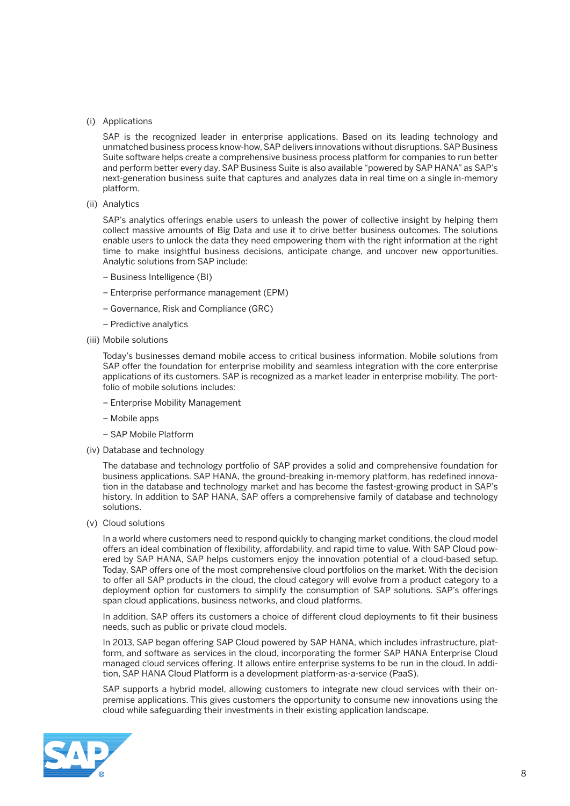#### (i) Applications

 SAP is the recognized leader in enterprise applications. Based on its leading technology and unmatched business process know-how, SAP delivers innovations without disruptions. SAP Business Suite software helps create a comprehensive business process platform for companies to run better and perform better every day. SAP Business Suite is also available "powered by SAP HANA" as SAP's next-generation business suite that captures and analyzes data in real time on a single in-memory platform.

(ii) Analytics

 SAP's analytics offerings enable users to unleash the power of collective insight by helping them collect massive amounts of Big Data and use it to drive better business outcomes. The solutions enable users to unlock the data they need empowering them with the right information at the right time to make insightful business decisions, anticipate change, and uncover new opportunities. Analytic solutions from SAP include:

- Business Intelligence (BI)
- Enterprise performance management (EPM)
- Governance, Risk and Compliance (GRC)
- Predictive analytics
- (iii) Mobile solutions

 Today's businesses demand mobile access to critical business information. Mobile solutions from SAP offer the foundation for enterprise mobility and seamless integration with the core enterprise applications of its customers. SAP is recognized as a market leader in enterprise mobility. The portfolio of mobile solutions includes:

- Enterprise Mobility Management
- Mobile apps
- SAP Mobile Platform
- (iv) Database and technology

 The database and technology portfolio of SAP provides a solid and comprehensive foundation for business applications. SAP HANA, the ground-breaking in-memory platform, has redefined innovation in the database and technology market and has become the fastest-growing product in SAP's history. In addition to SAP HANA, SAP offers a comprehensive family of database and technology solutions.

(v) Cloud solutions

 In a world where customers need to respond quickly to changing market conditions, the cloud model offers an ideal combination of flexibility, affordability, and rapid time to value. With SAP Cloud powered by SAP HANA, SAP helps customers enjoy the innovation potential of a cloud-based setup. Today, SAP offers one of the most comprehensive cloud portfolios on the market. With the decision to offer all SAP products in the cloud, the cloud category will evolve from a product category to a deployment option for customers to simplify the consumption of SAP solutions. SAP's offerings span cloud applications, business networks, and cloud platforms.

 In addition, SAP offers its customers a choice of different cloud deployments to fit their business needs, such as public or private cloud models.

 In 2013, SAP began offering SAP Cloud powered by SAP HANA, which includes infrastructure, platform, and software as services in the cloud, incorporating the former SAP HANA Enterprise Cloud managed cloud services offering. It allows entire enterprise systems to be run in the cloud. In addition, SAP HANA Cloud Platform is a development platform-as-a-service (PaaS).

 SAP supports a hybrid model, allowing customers to integrate new cloud services with their onpremise applications. This gives customers the opportunity to consume new innovations using the cloud while safeguarding their investments in their existing application landscape.

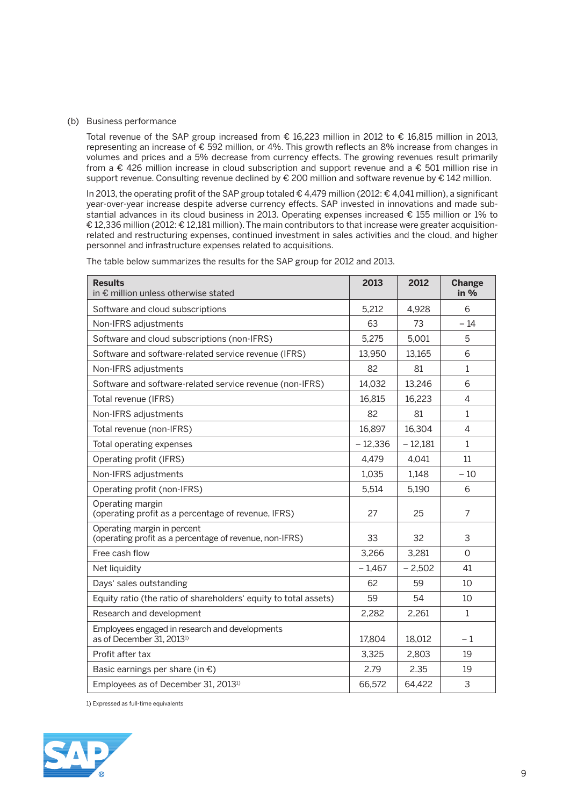#### (b) Business performance

 Total revenue of the SAP group increased from € 16,223 million in 2012 to € 16,815 million in 2013, representing an increase of € 592 million, or 4%. This growth reflects an 8% increase from changes in volumes and prices and a 5% decrease from currency effects. The growing revenues result primarily from a € 426 million increase in cloud subscription and support revenue and a € 501 million rise in support revenue. Consulting revenue declined by € 200 million and software revenue by € 142 million.

 In 2013, the operating profit of the SAP group totaled € 4,479 million (2012: € 4,041 million), a significant year-over-year increase despite adverse currency effects. SAP invested in innovations and made substantial advances in its cloud business in 2013. Operating expenses increased € 155 million or 1% to € 12,336 million (2012: € 12,181 million). The main contributors to that increase were greater acquisitionrelated and restructuring expenses, continued investment in sales activities and the cloud, and higher personnel and infrastructure expenses related to acquisitions.

| <b>Results</b><br>in € million unless otherwise stated                                  | 2013      | 2012      | <b>Change</b><br>in $%$ |
|-----------------------------------------------------------------------------------------|-----------|-----------|-------------------------|
| Software and cloud subscriptions                                                        | 5,212     | 4,928     | 6                       |
| Non-IFRS adjustments                                                                    | 63        | 73        | $-14$                   |
| Software and cloud subscriptions (non-IFRS)                                             | 5,275     | 5,001     | 5                       |
| Software and software-related service revenue (IFRS)                                    | 13.950    | 13.165    | 6                       |
| Non-IFRS adjustments                                                                    | 82        | 81        | $\mathbf{1}$            |
| Software and software-related service revenue (non-IFRS)                                | 14,032    | 13,246    | 6                       |
| Total revenue (IFRS)                                                                    | 16,815    | 16,223    | $\overline{4}$          |
| Non-IFRS adjustments                                                                    | 82        | 81        | $\mathbf{1}$            |
| Total revenue (non-IFRS)                                                                | 16,897    | 16,304    | 4                       |
| Total operating expenses                                                                | $-12,336$ | $-12,181$ | $\mathbf{1}$            |
| Operating profit (IFRS)                                                                 | 4,479     | 4,041     | 11                      |
| Non-IFRS adjustments                                                                    | 1,035     | 1,148     | $-10$                   |
| Operating profit (non-IFRS)                                                             | 5,514     | 5,190     | 6                       |
| Operating margin<br>(operating profit as a percentage of revenue, IFRS)                 | 27        | 25        | 7                       |
| Operating margin in percent<br>(operating profit as a percentage of revenue, non-IFRS)  | 33        | 32        | 3                       |
| Free cash flow                                                                          | 3,266     | 3,281     | $\Omega$                |
| Net liquidity                                                                           | $-1,467$  | $-2,502$  | 41                      |
| Days' sales outstanding                                                                 | 62        | 59        | 10                      |
| Equity ratio (the ratio of shareholders' equity to total assets)                        | 59        | 54        | 10                      |
| Research and development                                                                | 2,282     | 2,261     | $\mathbf{1}$            |
| Employees engaged in research and developments<br>as of December 31, 2013 <sup>1)</sup> | 17,804    | 18,012    | $-1$                    |
| Profit after tax                                                                        | 3.325     | 2.803     | 19                      |
| Basic earnings per share (in $\epsilon$ )                                               | 2.79      | 2.35      | 19                      |
| Employees as of December 31, 2013 <sup>1)</sup>                                         | 66,572    | 64,422    | 3                       |

The table below summarizes the results for the SAP group for 2012 and 2013.

1) Expressed as full-time equivalents

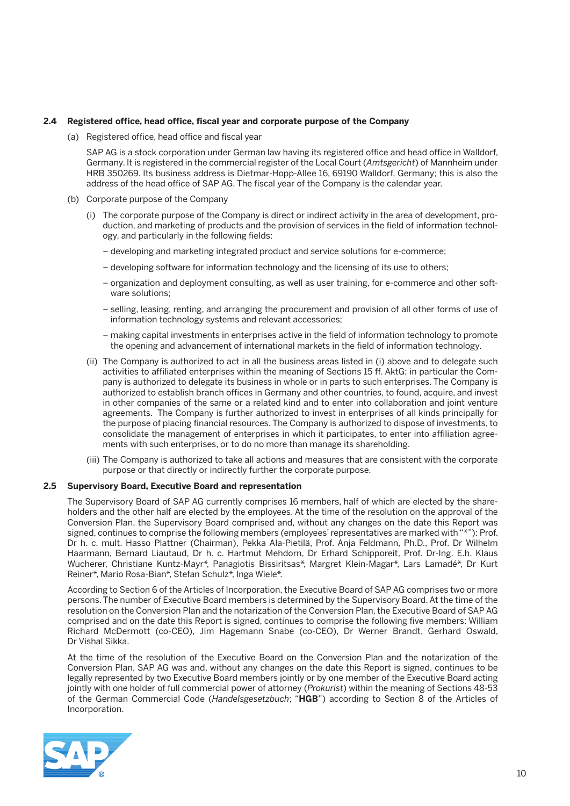#### **2.4 Registered office, head office, fiscal year and corporate purpose of the Company**

(a) Registered office, head office and fiscal year

 SAP AG is a stock corporation under German law having its registered office and head office in Walldorf, Germany. It is registered in the commercial register of the Local Court (*Amtsgericht*) of Mannheim under HRB 350269. Its business address is Dietmar-Hopp-Allee 16, 69190 Walldorf, Germany; this is also the address of the head office of SAP AG. The fiscal year of the Company is the calendar year.

- (b) Corporate purpose of the Company
	- (i) The corporate purpose of the Company is direct or indirect activity in the area of development, production, and marketing of products and the provision of services in the field of information technology, and particularly in the following fields:
		- developing and marketing integrated product and service solutions for e-commerce;
		- developing software for information technology and the licensing of its use to others;
		- organization and deployment consulting, as well as user training, for e-commerce and other software solutions;
		- selling, leasing, renting, and arranging the procurement and provision of all other forms of use of information technology systems and relevant accessories;
		- making capital investments in enterprises active in the field of information technology to promote the opening and advancement of international markets in the field of information technology.
	- (ii) The Company is authorized to act in all the business areas listed in (i) above and to delegate such activities to affiliated enterprises within the meaning of Sections 15 ff. AktG; in particular the Company is authorized to delegate its business in whole or in parts to such enterprises. The Company is authorized to establish branch offices in Germany and other countries, to found, acquire, and invest in other companies of the same or a related kind and to enter into collaboration and joint venture agreements. The Company is further authorized to invest in enterprises of all kinds principally for the purpose of placing financial resources. The Company is authorized to dispose of investments, to consolidate the management of enterprises in which it participates, to enter into affiliation agreements with such enterprises, or to do no more than manage its shareholding.
	- (iii) The Company is authorized to take all actions and measures that are consistent with the corporate purpose or that directly or indirectly further the corporate purpose.

#### **2.5 Supervisory Board, Executive Board and representation**

 The Supervisory Board of SAP AG currently comprises 16 members, half of which are elected by the shareholders and the other half are elected by the employees. At the time of the resolution on the approval of the Conversion Plan, the Supervisory Board comprised and, without any changes on the date this Report was signed, continues to comprise the following members (employees' representatives are marked with "\*"): Prof. Dr h. c. mult. Hasso Plattner (Chairman), Pekka Ala-Pietilä, Prof. Anja Feldmann, Ph.D., Prof. Dr Wilhelm Haarmann, Bernard Liautaud, Dr h. c. Hartmut Mehdorn, Dr Erhard Schipporeit, Prof. Dr-Ing. E.h. Klaus Wucherer, Christiane Kuntz-Mayr\*, Panagiotis Bissiritsas\*, Margret Klein-Magar\*, Lars Lamadé\*, Dr Kurt Reiner\*, Mario Rosa-Bian\*, Stefan Schulz\*, Inga Wiele\*.

 According to Section 6 of the Articles of Incorporation, the Executive Board of SAP AG comprises two or more persons. The number of Executive Board members is determined by the Supervisory Board. At the time of the resolution on the Conversion Plan and the notarization of the Conversion Plan, the Executive Board of SAP AG comprised and on the date this Report is signed, continues to comprise the following five members: William Richard McDermott (co-CEO), Jim Hagemann Snabe (co-CEO), Dr Werner Brandt, Gerhard Oswald, Dr Vishal Sikka.

 At the time of the resolution of the Executive Board on the Conversion Plan and the notarization of the Conversion Plan, SAP AG was and, without any changes on the date this Report is signed, continues to be legally represented by two Executive Board members jointly or by one member of the Executive Board acting jointly with one holder of full commercial power of attorney (*Prokurist*) within the meaning of Sections 48-53 of the German Commercial Code (*Handelsgesetzbuch*; "**HGB**") according to Section 8 of the Articles of Incorporation.

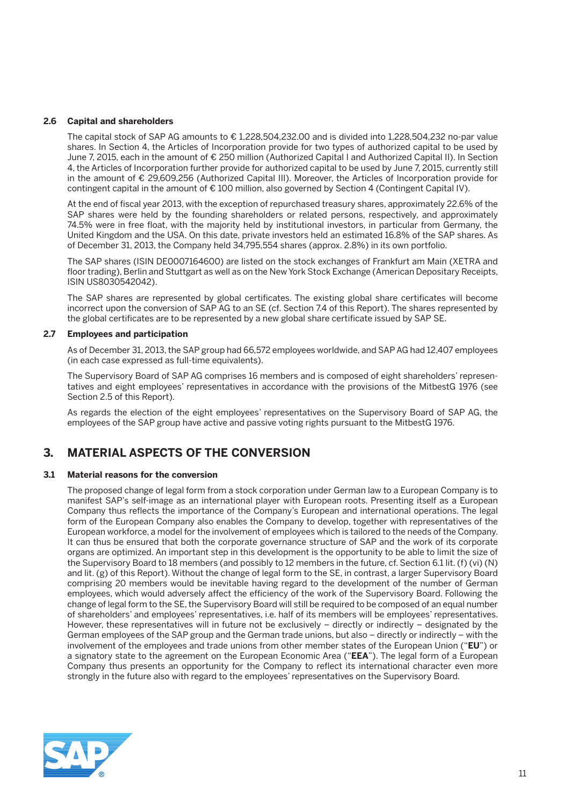#### **2.6 Capital and shareholders**

The capital stock of SAP AG amounts to  $\epsilon$  1,228,504,232.00 and is divided into 1,228,504,232 no-par value shares. In Section 4, the Articles of Incorporation provide for two types of authorized capital to be used by June 7, 2015, each in the amount of € 250 million (Authorized Capital I and Authorized Capital II). In Section 4, the Articles of Incorporation further provide for authorized capital to be used by June 7, 2015, currently still in the amount of € 29,609,256 (Authorized Capital III). Moreover, the Articles of Incorporation provide for contingent capital in the amount of  $\epsilon$  100 million, also governed by Section 4 (Contingent Capital IV).

 At the end of fiscal year 2013, with the exception of repurchased treasury shares, approximately 22.6% of the SAP shares were held by the founding shareholders or related persons, respectively, and approximately 74.5% were in free float, with the majority held by institutional investors, in particular from Germany, the United Kingdom and the USA. On this date, private investors held an estimated 16.8% of the SAP shares. As of December 31, 2013, the Company held 34,795,554 shares (approx. 2.8%) in its own portfolio.

 The SAP shares (ISIN DE0007164600) are listed on the stock exchanges of Frankfurt am Main (XETRA and floor trading), Berlin and Stuttgart as well as on the New York Stock Exchange (American Depositary Receipts, ISIN US8030542042).

 The SAP shares are represented by global certificates. The existing global share certificates will become incorrect upon the conversion of SAP AG to an SE (cf. Section 7.4 of this Report). The shares represented by the global certificates are to be represented by a new global share certificate issued by SAP SE.

#### **2.7 Employees and participation**

 As of December 31, 2013, the SAP group had 66,572 employees worldwide, and SAP AG had 12,407 employees (in each case expressed as full-time equivalents).

 The Supervisory Board of SAP AG comprises 16 members and is composed of eight shareholders' representatives and eight employees' representatives in accordance with the provisions of the MitbestG 1976 (see Section 2.5 of this Report).

 As regards the election of the eight employees' representatives on the Supervisory Board of SAP AG, the employees of the SAP group have active and passive voting rights pursuant to the MitbestG 1976.

## **3. MATERIAL ASPECTS OF THE CONVERSION**

#### **3.1 Material reasons for the conversion**

 The proposed change of legal form from a stock corporation under German law to a European Company is to manifest SAP's self-image as an international player with European roots. Presenting itself as a European Company thus reflects the importance of the Company's European and international operations. The legal form of the European Company also enables the Company to develop, together with representatives of the European workforce, a model for the involvement of employees which is tailored to the needs of the Company. It can thus be ensured that both the corporate governance structure of SAP and the work of its corporate organs are optimized. An important step in this development is the opportunity to be able to limit the size of the Supervisory Board to 18 members (and possibly to 12 members in the future, cf. Section 6.1 lit. (f) (vi) (N) and lit. (g) of this Report). Without the change of legal form to the SE, in contrast, a larger Supervisory Board comprising 20 members would be inevitable having regard to the development of the number of German employees, which would adversely affect the efficiency of the work of the Supervisory Board. Following the change of legal form to the SE, the Supervisory Board will still be required to be composed of an equal number of shareholders' and employees' representatives, i.e. half of its members will be employees' representatives. However, these representatives will in future not be exclusively – directly or indirectly – designated by the German employees of the SAP group and the German trade unions, but also – directly or indirectly – with the involvement of the employees and trade unions from other member states of the European Union ("**EU**") or a signatory state to the agreement on the European Economic Area ("**EEA**"). The legal form of a European Company thus presents an opportunity for the Company to reflect its international character even more strongly in the future also with regard to the employees' representatives on the Supervisory Board.

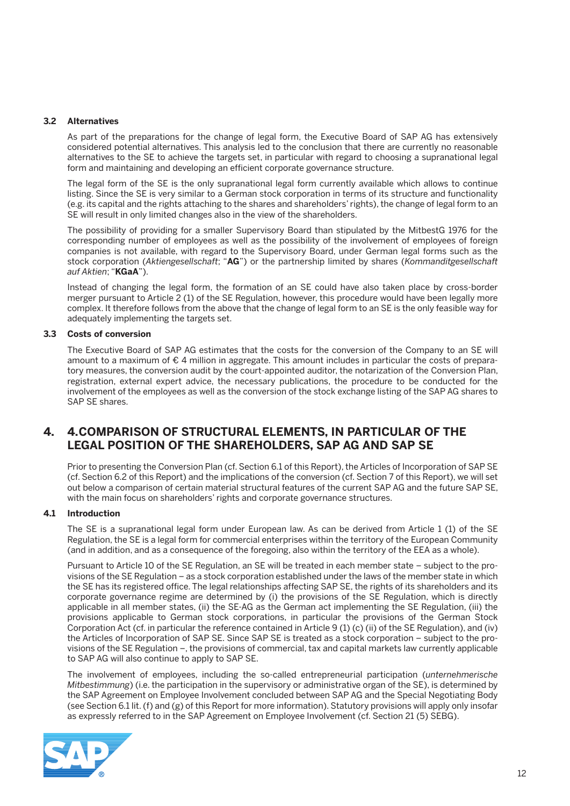#### **3.2 Alternatives**

 As part of the preparations for the change of legal form, the Executive Board of SAP AG has extensively considered potential alternatives. This analysis led to the conclusion that there are currently no reasonable alternatives to the SE to achieve the targets set, in particular with regard to choosing a supranational legal form and maintaining and developing an efficient corporate governance structure.

 The legal form of the SE is the only supranational legal form currently available which allows to continue listing. Since the SE is very similar to a German stock corporation in terms of its structure and functionality (e.g. its capital and the rights attaching to the shares and shareholders' rights), the change of legal form to an SE will result in only limited changes also in the view of the shareholders.

 The possibility of providing for a smaller Supervisory Board than stipulated by the MitbestG 1976 for the corresponding number of employees as well as the possibility of the involvement of employees of foreign companies is not available, with regard to the Supervisory Board, under German legal forms such as the stock corporation (*Aktiengesellschaft*; "**AG**") or the partnership limited by shares (*Kommanditgesellschaft auf Aktien*; "**KGaA**").

 Instead of changing the legal form, the formation of an SE could have also taken place by cross-border merger pursuant to Article 2 (1) of the SE Regulation, however, this procedure would have been legally more complex. It therefore follows from the above that the change of legal form to an SE is the only feasible way for adequately implementing the targets set.

#### **3.3 Costs of conversion**

 The Executive Board of SAP AG estimates that the costs for the conversion of the Company to an SE will amount to a maximum of € 4 million in aggregate. This amount includes in particular the costs of preparatory measures, the conversion audit by the court-appointed auditor, the notarization of the Conversion Plan, registration, external expert advice, the necessary publications, the procedure to be conducted for the involvement of the employees as well as the conversion of the stock exchange listing of the SAP AG shares to SAP SE shares.

## **4. 4. COMPARISON OF STRUCTURAL ELEMENTS, IN PARTICULAR OF THE LEGAL POSITION OF THE SHAREHOLDERS, SAP AG AND SAP SE**

 Prior to presenting the Conversion Plan (cf. Section 6.1 of this Report), the Articles of Incorporation of SAP SE (cf. Section 6.2 of this Report) and the implications of the conversion (cf. Section 7 of this Report), we will set out below a comparison of certain material structural features of the current SAP AG and the future SAP SE, with the main focus on shareholders' rights and corporate governance structures.

#### **4.1 Introduction**

 The SE is a supranational legal form under European law. As can be derived from Article 1 (1) of the SE Regulation, the SE is a legal form for commercial enterprises within the territory of the European Community (and in addition, and as a consequence of the foregoing, also within the territory of the EEA as a whole).

 Pursuant to Article 10 of the SE Regulation, an SE will be treated in each member state – subject to the provisions of the SE Regulation – as a stock corporation established under the laws of the member state in which the SE has its registered office. The legal relationships affecting SAP SE, the rights of its shareholders and its corporate governance regime are determined by (i) the provisions of the SE Regulation, which is directly applicable in all member states, (ii) the SE-AG as the German act implementing the SE Regulation, (iii) the provisions applicable to German stock corporations, in particular the provisions of the German Stock Corporation Act (cf. in particular the reference contained in Article 9 (1) (c) (ii) of the SE Regulation), and (iv) the Articles of Incorporation of SAP SE. Since SAP SE is treated as a stock corporation – subject to the provisions of the SE Regulation –, the provisions of commercial, tax and capital markets law currently applicable to SAP AG will also continue to apply to SAP SE.

 The involvement of employees, including the so-called entrepreneurial participation (*unternehmerische Mitbestimmung*) (i.e. the participation in the supervisory or administrative organ of the SE), is determined by the SAP Agreement on Employee Involvement concluded between SAP AG and the Special Negotiating Body (see Section 6.1 lit. (f) and (g) of this Report for more information). Statutory provisions will apply only insofar as expressly referred to in the SAP Agreement on Employee Involvement (cf. Section 21 (5) SEBG).

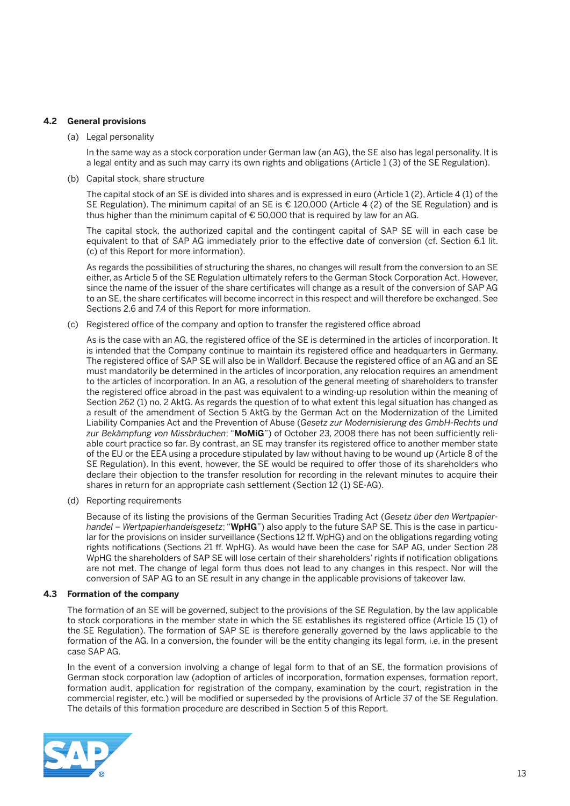#### **4.2 General provisions**

(a) Legal personality

 In the same way as a stock corporation under German law (an AG), the SE also has legal personality. It is a legal entity and as such may carry its own rights and obligations (Article 1 (3) of the SE Regulation).

(b) Capital stock, share structure

 The capital stock of an SE is divided into shares and is expressed in euro (Article 1 (2), Article 4 (1) of the SE Regulation). The minimum capital of an SE is € 120,000 (Article 4 (2) of the SE Regulation) and is thus higher than the minimum capital of € 50,000 that is required by law for an AG.

 The capital stock, the authorized capital and the contingent capital of SAP SE will in each case be equivalent to that of SAP AG immediately prior to the effective date of conversion (cf. Section 6.1 lit. (c) of this Report for more information).

 As regards the possibilities of structuring the shares, no changes will result from the conversion to an SE either, as Article 5 of the SE Regulation ultimately refers to the German Stock Corporation Act. However, since the name of the issuer of the share certificates will change as a result of the conversion of SAP AG to an SE, the share certificates will become incorrect in this respect and will therefore be exchanged. See Sections 2.6 and 7.4 of this Report for more information.

(c) Registered office of the company and option to transfer the registered office abroad

 As is the case with an AG, the registered office of the SE is determined in the articles of incorporation. It is intended that the Company continue to maintain its registered office and headquarters in Germany. The registered office of SAP SE will also be in Walldorf. Because the registered office of an AG and an SE must mandatorily be determined in the articles of incorporation, any relocation requires an amendment to the articles of incorporation. In an AG, a resolution of the general meeting of shareholders to transfer the registered office abroad in the past was equivalent to a winding-up resolution within the meaning of Section 262 (1) no. 2 AktG. As regards the question of to what extent this legal situation has changed as a result of the amendment of Section 5 AktG by the German Act on the Modernization of the Limited Liability Companies Act and the Prevention of Abuse (*Gesetz zur Modernisierung des GmbH-Rechts und zur Bekämpfung von Missbräuchen*; "**MoMiG**") of October 23, 2008 there has not been sufficiently reliable court practice so far. By contrast, an SE may transfer its registered office to another member state of the EU or the EEA using a procedure stipulated by law without having to be wound up (Article 8 of the SE Regulation). In this event, however, the SE would be required to offer those of its shareholders who declare their objection to the transfer resolution for recording in the relevant minutes to acquire their shares in return for an appropriate cash settlement (Section 12 (1) SE-AG).

(d) Reporting requirements

 Because of its listing the provisions of the German Securities Trading Act (*Gesetz über den Wertpapierhandel – Wertpapierhandelsgesetz*; "**WpHG**") also apply to the future SAP SE. This is the case in particular for the provisions on insider surveillance (Sections 12 ff. WpHG) and on the obligations regarding voting rights notifications (Sections 21 ff. WpHG). As would have been the case for SAP AG, under Section 28 WpHG the shareholders of SAP SE will lose certain of their shareholders' rights if notification obligations are not met. The change of legal form thus does not lead to any changes in this respect. Nor will the conversion of SAP AG to an SE result in any change in the applicable provisions of takeover law.

#### **4.3 Formation of the company**

 The formation of an SE will be governed, subject to the provisions of the SE Regulation, by the law applicable to stock corporations in the member state in which the SE establishes its registered office (Article 15 (1) of the SE Regulation). The formation of SAP SE is therefore generally governed by the laws applicable to the formation of the AG. In a conversion, the founder will be the entity changing its legal form, i.e. in the present case SAP AG.

 In the event of a conversion involving a change of legal form to that of an SE, the formation provisions of German stock corporation law (adoption of articles of incorporation, formation expenses, formation report, formation audit, application for registration of the company, examination by the court, registration in the commercial register, etc.) will be modified or superseded by the provisions of Article 37 of the SE Regulation. The details of this formation procedure are described in Section 5 of this Report.

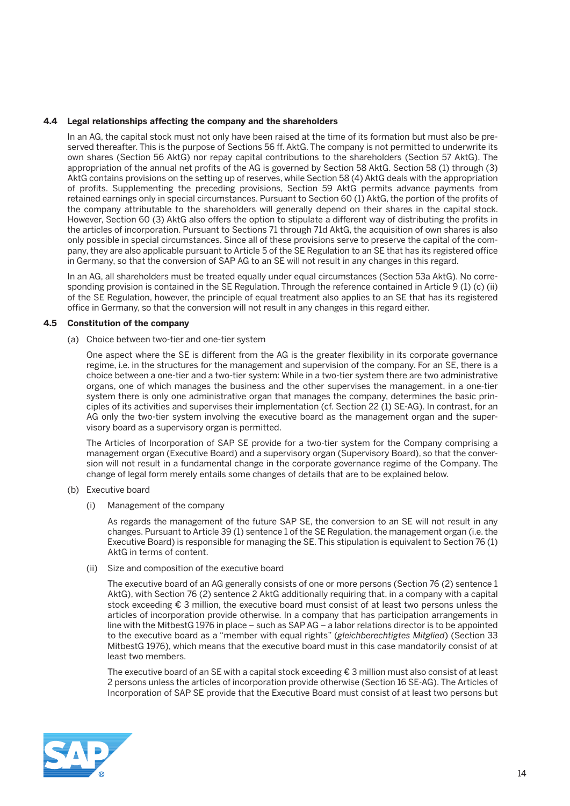#### **4.4 Legal relationships affecting the company and the shareholders**

 In an AG, the capital stock must not only have been raised at the time of its formation but must also be preserved thereafter. This is the purpose of Sections 56 ff. AktG. The company is not permitted to underwrite its own shares (Section 56 AktG) nor repay capital contributions to the shareholders (Section 57 AktG). The appropriation of the annual net profits of the AG is governed by Section 58 AktG. Section 58 (1) through (3) AktG contains provisions on the setting up of reserves, while Section 58 (4) AktG deals with the appropriation of profits. Supplementing the preceding provisions, Section 59 AktG permits advance payments from retained earnings only in special circumstances. Pursuant to Section 60 (1) AktG, the portion of the profits of the company attributable to the shareholders will generally depend on their shares in the capital stock. However, Section 60 (3) AktG also offers the option to stipulate a different way of distributing the profits in the articles of incorporation. Pursuant to Sections 71 through 71d AktG, the acquisition of own shares is also only possible in special circumstances. Since all of these provisions serve to preserve the capital of the company, they are also applicable pursuant to Article 5 of the SE Regulation to an SE that has its registered office in Germany, so that the conversion of SAP AG to an SE will not result in any changes in this regard.

 In an AG, all shareholders must be treated equally under equal circumstances (Section 53a AktG). No corresponding provision is contained in the SE Regulation. Through the reference contained in Article 9 (1) (c) (ii) of the SE Regulation, however, the principle of equal treatment also applies to an SE that has its registered office in Germany, so that the conversion will not result in any changes in this regard either.

#### **4.5 Constitution of the company**

(a) Choice between two-tier and one-tier system

 One aspect where the SE is different from the AG is the greater flexibility in its corporate governance regime, i.e. in the structures for the management and supervision of the company. For an SE, there is a choice between a one-tier and a two-tier system: While in a two-tier system there are two administrative organs, one of which manages the business and the other supervises the management, in a one-tier system there is only one administrative organ that manages the company, determines the basic principles of its activities and supervises their implementation (cf. Section 22 (1) SE-AG). In contrast, for an AG only the two-tier system involving the executive board as the management organ and the supervisory board as a supervisory organ is permitted.

 The Articles of Incorporation of SAP SE provide for a two-tier system for the Company comprising a management organ (Executive Board) and a supervisory organ (Supervisory Board), so that the conversion will not result in a fundamental change in the corporate governance regime of the Company. The change of legal form merely entails some changes of details that are to be explained below.

- (b) Executive board
	- (i) Management of the company

 As regards the management of the future SAP SE, the conversion to an SE will not result in any changes. Pursuant to Article 39 (1) sentence 1 of the SE Regulation, the management organ (i.e. the Executive Board) is responsible for managing the SE. This stipulation is equivalent to Section 76 (1) AktG in terms of content.

(ii) Size and composition of the executive board

 The executive board of an AG generally consists of one or more persons (Section 76 (2) sentence 1 AktG), with Section 76 (2) sentence 2 AktG additionally requiring that, in a company with a capital stock exceeding € 3 million, the executive board must consist of at least two persons unless the articles of incorporation provide otherwise. In a company that has participation arrangements in line with the MitbestG 1976 in place – such as SAP AG – a labor relations director is to be appointed to the executive board as a "member with equal rights" (*gleichberechtigtes Mitglied*) (Section 33 MitbestG 1976), which means that the executive board must in this case mandatorily consist of at least two members.

 The executive board of an SE with a capital stock exceeding € 3 million must also consist of at least 2 persons unless the articles of incorporation provide otherwise (Section 16 SE-AG). The Articles of Incorporation of SAP SE provide that the Executive Board must consist of at least two persons but

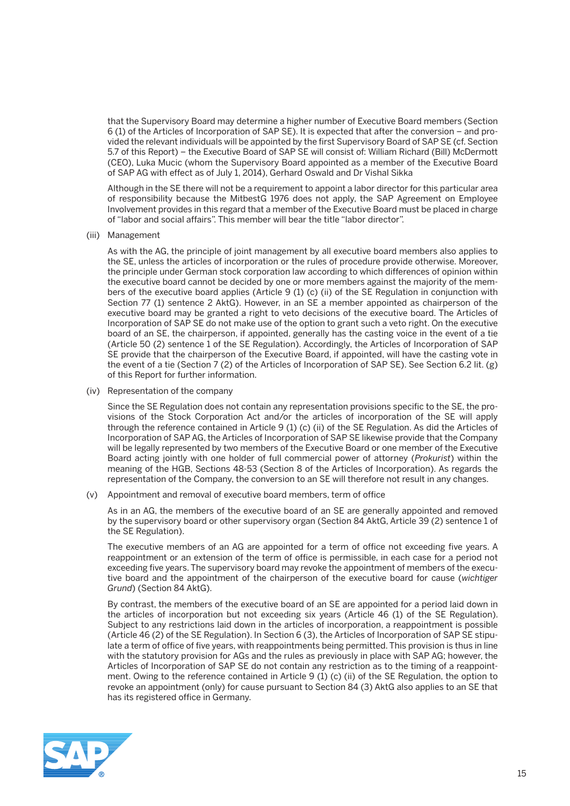that the Supervisory Board may determine a higher number of Executive Board members (Section 6 (1) of the Articles of Incorporation of SAP SE). It is expected that after the conversion – and provided the relevant individuals will be appointed by the first Supervisory Board of SAP SE (cf. Section 5.7 of this Report) – the Executive Board of SAP SE will consist of: William Richard (Bill) McDermott (CEO), Luka Mucic (whom the Supervisory Board appointed as a member of the Executive Board of SAP AG with effect as of July 1, 2014), Gerhard Oswald and Dr Vishal Sikka

 Although in the SE there will not be a requirement to appoint a labor director for this particular area of responsibility because the MitbestG 1976 does not apply, the SAP Agreement on Employee Involvement provides in this regard that a member of the Executive Board must be placed in charge of "labor and social affairs". This member will bear the title "labor director".

(iii) Management

 As with the AG, the principle of joint management by all executive board members also applies to the SE, unless the articles of incorporation or the rules of procedure provide otherwise. Moreover, the principle under German stock corporation law according to which differences of opinion within the executive board cannot be decided by one or more members against the majority of the members of the executive board applies (Article 9 (1) (c) (ii) of the SE Regulation in conjunction with Section 77 (1) sentence 2 AktG). However, in an SE a member appointed as chairperson of the executive board may be granted a right to veto decisions of the executive board. The Articles of Incorporation of SAP SE do not make use of the option to grant such a veto right. On the executive board of an SE, the chairperson, if appointed, generally has the casting voice in the event of a tie (Article 50 (2) sentence 1 of the SE Regulation). Accordingly, the Articles of Incorporation of SAP SE provide that the chairperson of the Executive Board, if appointed, will have the casting vote in the event of a tie (Section 7 (2) of the Articles of Incorporation of SAP SE). See Section 6.2 lit. (g) of this Report for further information.

(iv) Representation of the company

 Since the SE Regulation does not contain any representation provisions specific to the SE, the provisions of the Stock Corporation Act and/or the articles of incorporation of the SE will apply through the reference contained in Article 9 (1) (c) (ii) of the SE Regulation. As did the Articles of Incorporation of SAP AG, the Articles of Incorporation of SAP SE likewise provide that the Company will be legally represented by two members of the Executive Board or one member of the Executive Board acting jointly with one holder of full commercial power of attorney (*Prokurist*) within the meaning of the HGB, Sections 48-53 (Section 8 of the Articles of Incorporation). As regards the representation of the Company, the conversion to an SE will therefore not result in any changes.

(v) Appointment and removal of executive board members, term of office

 As in an AG, the members of the executive board of an SE are generally appointed and removed by the supervisory board or other supervisory organ (Section 84 AktG, Article 39 (2) sentence 1 of the SE Regulation).

 The executive members of an AG are appointed for a term of office not exceeding five years. A reappointment or an extension of the term of office is permissible, in each case for a period not exceeding five years. The supervisory board may revoke the appointment of members of the executive board and the appointment of the chairperson of the executive board for cause (*wichtiger Grund*) (Section 84 AktG).

 By contrast, the members of the executive board of an SE are appointed for a period laid down in the articles of incorporation but not exceeding six years (Article 46 (1) of the SE Regulation). Subject to any restrictions laid down in the articles of incorporation, a reappointment is possible (Article 46 (2) of the SE Regulation). In Section 6 (3), the Articles of Incorporation of SAP SE stipulate a term of office of five years, with reappointments being permitted. This provision is thus in line with the statutory provision for AGs and the rules as previously in place with SAP AG; however, the Articles of Incorporation of SAP SE do not contain any restriction as to the timing of a reappointment. Owing to the reference contained in Article 9 (1) (c) (ii) of the SE Regulation, the option to revoke an appointment (only) for cause pursuant to Section 84 (3) AktG also applies to an SE that has its registered office in Germany.

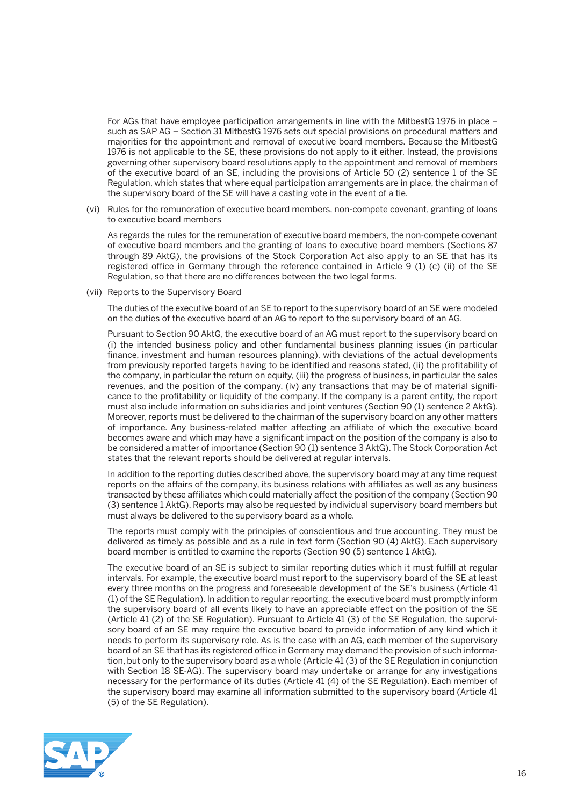For AGs that have employee participation arrangements in line with the MitbestG 1976 in place – such as SAP AG – Section 31 MitbestG 1976 sets out special provisions on procedural matters and majorities for the appointment and removal of executive board members. Because the MitbestG 1976 is not applicable to the SE, these provisions do not apply to it either. Instead, the provisions governing other supervisory board resolutions apply to the appointment and removal of members of the executive board of an SE, including the provisions of Article 50 (2) sentence 1 of the SE Regulation, which states that where equal participation arrangements are in place, the chairman of the supervisory board of the SE will have a casting vote in the event of a tie.

 (vi) Rules for the remuneration of executive board members, non-compete covenant, granting of loans to executive board members

 As regards the rules for the remuneration of executive board members, the non-compete covenant of executive board members and the granting of loans to executive board members (Sections 87 through 89 AktG), the provisions of the Stock Corporation Act also apply to an SE that has its registered office in Germany through the reference contained in Article 9 (1) (c) (ii) of the SE Regulation, so that there are no differences between the two legal forms.

(vii) Reports to the Supervisory Board

 The duties of the executive board of an SE to report to the supervisory board of an SE were modeled on the duties of the executive board of an AG to report to the supervisory board of an AG.

 Pursuant to Section 90 AktG, the executive board of an AG must report to the supervisory board on (i) the intended business policy and other fundamental business planning issues (in particular finance, investment and human resources planning), with deviations of the actual developments from previously reported targets having to be identified and reasons stated, (ii) the profitability of the company, in particular the return on equity, (iii) the progress of business, in particular the sales revenues, and the position of the company, (iv) any transactions that may be of material significance to the profitability or liquidity of the company. If the company is a parent entity, the report must also include information on subsidiaries and joint ventures (Section 90 (1) sentence 2 AktG). Moreover, reports must be delivered to the chairman of the supervisory board on any other matters of importance. Any business-related matter affecting an affiliate of which the executive board becomes aware and which may have a significant impact on the position of the company is also to be considered a matter of importance (Section 90 (1) sentence 3 AktG). The Stock Corporation Act states that the relevant reports should be delivered at regular intervals.

 In addition to the reporting duties described above, the supervisory board may at any time request reports on the affairs of the company, its business relations with affiliates as well as any business transacted by these affiliates which could materially affect the position of the company (Section 90 (3) sentence 1 AktG). Reports may also be requested by individual supervisory board members but must always be delivered to the supervisory board as a whole.

 The reports must comply with the principles of conscientious and true accounting. They must be delivered as timely as possible and as a rule in text form (Section 90 (4) AktG). Each supervisory board member is entitled to examine the reports (Section 90 (5) sentence 1 AktG).

 The executive board of an SE is subject to similar reporting duties which it must fulfill at regular intervals. For example, the executive board must report to the supervisory board of the SE at least every three months on the progress and foreseeable development of the SE's business (Article 41 (1) of the SE Regulation). In addition to regular reporting, the executive board must promptly inform the supervisory board of all events likely to have an appreciable effect on the position of the SE (Article 41 (2) of the SE Regulation). Pursuant to Article 41 (3) of the SE Regulation, the supervisory board of an SE may require the executive board to provide information of any kind which it needs to perform its supervisory role. As is the case with an AG, each member of the supervisory board of an SE that has its registered office in Germany may demand the provision of such information, but only to the supervisory board as a whole (Article 41 (3) of the SE Regulation in conjunction with Section 18 SE-AG). The supervisory board may undertake or arrange for any investigations necessary for the performance of its duties (Article 41 (4) of the SE Regulation). Each member of the supervisory board may examine all information submitted to the supervisory board (Article 41 (5) of the SE Regulation).

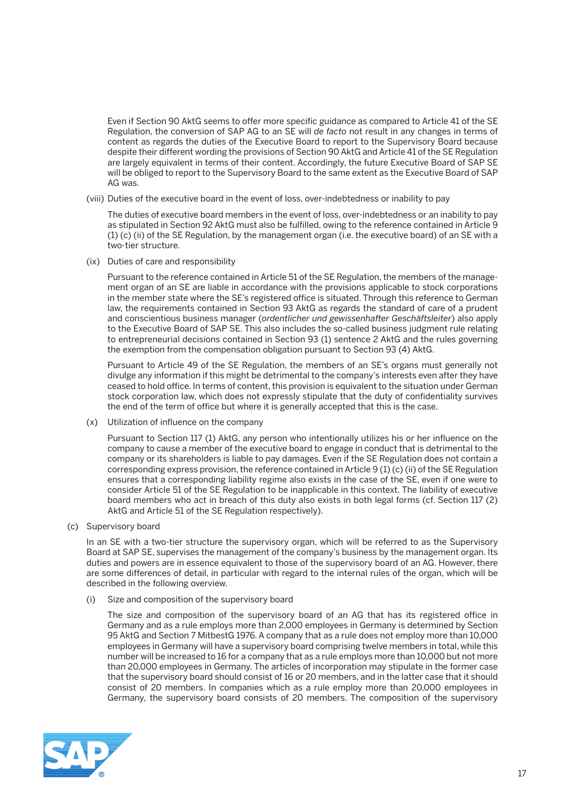Even if Section 90 AktG seems to offer more specific guidance as compared to Article 41 of the SE Regulation, the conversion of SAP AG to an SE will *de facto* not result in any changes in terms of content as regards the duties of the Executive Board to report to the Supervisory Board because despite their different wording the provisions of Section 90 AktG and Article 41 of the SE Regulation are largely equivalent in terms of their content. Accordingly, the future Executive Board of SAP SE will be obliged to report to the Supervisory Board to the same extent as the Executive Board of SAP AG was.

(viii) Duties of the executive board in the event of loss, over-indebtedness or inability to pay

 The duties of executive board members in the event of loss, over-indebtedness or an inability to pay as stipulated in Section 92 AktG must also be fulfilled, owing to the reference contained in Article 9 (1) (c) (ii) of the SE Regulation, by the management organ (i.e. the executive board) of an SE with a two-tier structure.

(ix) Duties of care and responsibility

 Pursuant to the reference contained in Article 51 of the SE Regulation, the members of the management organ of an SE are liable in accordance with the provisions applicable to stock corporations in the member state where the SE's registered office is situated. Through this reference to German law, the requirements contained in Section 93 AktG as regards the standard of care of a prudent and conscientious business manager (*ordentlicher und gewissenhafter Geschäftsleiter*) also apply to the Executive Board of SAP SE. This also includes the so-called business judgment rule relating to entrepreneurial decisions contained in Section 93 (1) sentence 2 AktG and the rules governing the exemption from the compensation obligation pursuant to Section 93 (4) AktG.

 Pursuant to Article 49 of the SE Regulation, the members of an SE's organs must generally not divulge any information if this might be detrimental to the company's interests even after they have ceased to hold office. In terms of content, this provision is equivalent to the situation under German stock corporation law, which does not expressly stipulate that the duty of confidentiality survives the end of the term of office but where it is generally accepted that this is the case.

(x) Utilization of influence on the company

 Pursuant to Section 117 (1) AktG, any person who intentionally utilizes his or her influence on the company to cause a member of the executive board to engage in conduct that is detrimental to the company or its shareholders is liable to pay damages. Even if the SE Regulation does not contain a corresponding express provision, the reference contained in Article 9 (1) (c) (ii) of the SE Regulation ensures that a corresponding liability regime also exists in the case of the SE, even if one were to consider Article 51 of the SE Regulation to be inapplicable in this context. The liability of executive board members who act in breach of this duty also exists in both legal forms (cf. Section 117 (2) AktG and Article 51 of the SE Regulation respectively).

(c) Supervisory board

 In an SE with a two-tier structure the supervisory organ, which will be referred to as the Supervisory Board at SAP SE, supervises the management of the company's business by the management organ. Its duties and powers are in essence equivalent to those of the supervisory board of an AG. However, there are some differences of detail, in particular with regard to the internal rules of the organ, which will be described in the following overview.

(i) Size and composition of the supervisory board

 The size and composition of the supervisory board of an AG that has its registered office in Germany and as a rule employs more than 2,000 employees in Germany is determined by Section 95 AktG and Section 7 MitbestG 1976. A company that as a rule does not employ more than 10,000 employees in Germany will have a supervisory board comprising twelve members in total, while this number will be increased to 16 for a company that as a rule employs more than 10,000 but not more than 20,000 employees in Germany. The articles of incorporation may stipulate in the former case that the supervisory board should consist of 16 or 20 members, and in the latter case that it should consist of 20 members. In companies which as a rule employ more than 20,000 employees in Germany, the supervisory board consists of 20 members. The composition of the supervisory

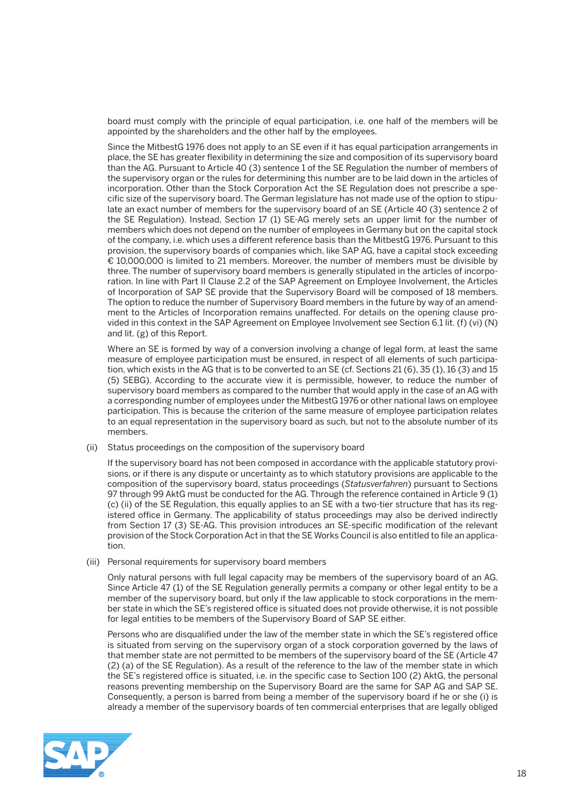board must comply with the principle of equal participation, i.e. one half of the members will be appointed by the shareholders and the other half by the employees.

 Since the MitbestG 1976 does not apply to an SE even if it has equal participation arrangements in place, the SE has greater flexibility in determining the size and composition of its supervisory board than the AG. Pursuant to Article 40 (3) sentence 1 of the SE Regulation the number of members of the supervisory organ or the rules for determining this number are to be laid down in the articles of incorporation. Other than the Stock Corporation Act the SE Regulation does not prescribe a specific size of the supervisory board. The German legislature has not made use of the option to stipulate an exact number of members for the supervisory board of an SE (Article 40 (3) sentence 2 of the SE Regulation). Instead, Section 17 (1) SE-AG merely sets an upper limit for the number of members which does not depend on the number of employees in Germany but on the capital stock of the company, i.e. which uses a different reference basis than the MitbestG 1976. Pursuant to this provision, the supervisory boards of companies which, like SAP AG, have a capital stock exceeding € 10,000,000 is limited to 21 members. Moreover, the number of members must be divisible by three. The number of supervisory board members is generally stipulated in the articles of incorporation. In line with Part II Clause 2.2 of the SAP Agreement on Employee Involvement, the Articles of Incorporation of SAP SE provide that the Supervisory Board will be composed of 18 members. The option to reduce the number of Supervisory Board members in the future by way of an amendment to the Articles of Incorporation remains unaffected. For details on the opening clause provided in this context in the SAP Agreement on Employee Involvement see Section 6.1 lit. (f) (vi) (N) and lit. (g) of this Report.

 Where an SE is formed by way of a conversion involving a change of legal form, at least the same measure of employee participation must be ensured, in respect of all elements of such participation, which exists in the AG that is to be converted to an SE (cf. Sections 21 (6), 35 (1), 16 (3) and 15 (5) SEBG). According to the accurate view it is permissible, however, to reduce the number of supervisory board members as compared to the number that would apply in the case of an AG with a corresponding number of employees under the MitbestG 1976 or other national laws on employee participation. This is because the criterion of the same measure of employee participation relates to an equal representation in the supervisory board as such, but not to the absolute number of its members.

(ii) Status proceedings on the composition of the supervisory board

 If the supervisory board has not been composed in accordance with the applicable statutory provisions, or if there is any dispute or uncertainty as to which statutory provisions are applicable to the composition of the supervisory board, status proceedings (*Statusverfahren*) pursuant to Sections 97 through 99 AktG must be conducted for the AG. Through the reference contained in Article 9 (1) (c) (ii) of the SE Regulation, this equally applies to an SE with a two-tier structure that has its registered office in Germany. The applicability of status proceedings may also be derived indirectly from Section 17 (3) SE-AG. This provision introduces an SE-specific modification of the relevant provision of the Stock Corporation Act in that the SE Works Council is also entitled to file an application.

(iii) Personal requirements for supervisory board members

 Only natural persons with full legal capacity may be members of the supervisory board of an AG. Since Article 47 (1) of the SE Regulation generally permits a company or other legal entity to be a member of the supervisory board, but only if the law applicable to stock corporations in the member state in which the SE's registered office is situated does not provide otherwise, it is not possible for legal entities to be members of the Supervisory Board of SAP SE either.

 Persons who are disqualified under the law of the member state in which the SE's registered office is situated from serving on the supervisory organ of a stock corporation governed by the laws of that member state are not permitted to be members of the supervisory board of the SE (Article 47 (2) (a) of the SE Regulation). As a result of the reference to the law of the member state in which the SE's registered office is situated, i.e. in the specific case to Section 100 (2) AktG, the personal reasons preventing membership on the Supervisory Board are the same for SAP AG and SAP SE. Consequently, a person is barred from being a member of the supervisory board if he or she (i) is already a member of the supervisory boards of ten commercial enterprises that are legally obliged

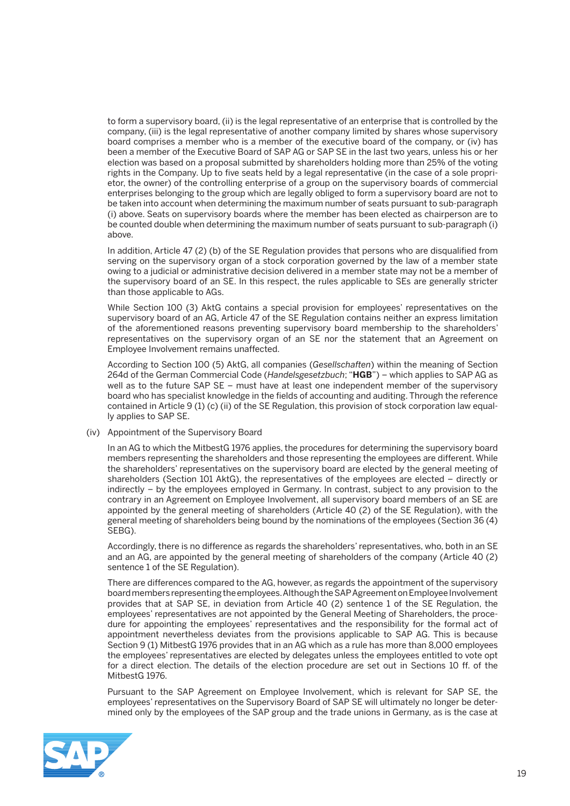to form a supervisory board, (ii) is the legal representative of an enterprise that is controlled by the company, (iii) is the legal representative of another company limited by shares whose supervisory board comprises a member who is a member of the executive board of the company, or (iv) has been a member of the Executive Board of SAP AG or SAP SE in the last two years, unless his or her election was based on a proposal submitted by shareholders holding more than 25% of the voting rights in the Company. Up to five seats held by a legal representative (in the case of a sole proprietor, the owner) of the controlling enterprise of a group on the supervisory boards of commercial enterprises belonging to the group which are legally obliged to form a supervisory board are not to be taken into account when determining the maximum number of seats pursuant to sub-paragraph (i) above. Seats on supervisory boards where the member has been elected as chairperson are to be counted double when determining the maximum number of seats pursuant to sub-paragraph (i) above.

 In addition, Article 47 (2) (b) of the SE Regulation provides that persons who are disqualified from serving on the supervisory organ of a stock corporation governed by the law of a member state owing to a judicial or administrative decision delivered in a member state may not be a member of the supervisory board of an SE. In this respect, the rules applicable to SEs are generally stricter than those applicable to AGs.

 While Section 100 (3) AktG contains a special provision for employees' representatives on the supervisory board of an AG, Article 47 of the SE Regulation contains neither an express limitation of the aforementioned reasons preventing supervisory board membership to the shareholders' representatives on the supervisory organ of an SE nor the statement that an Agreement on Employee Involvement remains unaffected.

 According to Section 100 (5) AktG, all companies (*Gesellschaften*) within the meaning of Section 264d of the German Commercial Code (*Handelsgesetzbuch*; "**HGB**") – which applies to SAP AG as well as to the future SAP SE – must have at least one independent member of the supervisory board who has specialist knowledge in the fields of accounting and auditing. Through the reference contained in Article 9 (1) (c) (ii) of the SE Regulation, this provision of stock corporation law equally applies to SAP SE.

(iv) Appointment of the Supervisory Board

 In an AG to which the MitbestG 1976 applies, the procedures for determining the supervisory board members representing the shareholders and those representing the employees are different. While the shareholders' representatives on the supervisory board are elected by the general meeting of shareholders (Section 101 AktG), the representatives of the employees are elected – directly or indirectly – by the employees employed in Germany. In contrast, subject to any provision to the contrary in an Agreement on Employee Involvement, all supervisory board members of an SE are appointed by the general meeting of shareholders (Article 40 (2) of the SE Regulation), with the general meeting of shareholders being bound by the nominations of the employees (Section 36 (4) SEBG).

 Accordingly, there is no difference as regards the shareholders' representatives, who, both in an SE and an AG, are appointed by the general meeting of shareholders of the company (Article 40 (2) sentence 1 of the SE Regulation).

 There are differences compared to the AG, however, as regards the appointment of the supervisory board members representing the employees. Although the SAP Agreement on Employee Involvement provides that at SAP SE, in deviation from Article 40 (2) sentence 1 of the SE Regulation, the employees' representatives are not appointed by the General Meeting of Shareholders, the procedure for appointing the employees' representatives and the responsibility for the formal act of appointment nevertheless deviates from the provisions applicable to SAP AG. This is because Section 9 (1) MitbestG 1976 provides that in an AG which as a rule has more than 8,000 employees the employees' representatives are elected by delegates unless the employees entitled to vote opt for a direct election. The details of the election procedure are set out in Sections 10 ff. of the MitbestG 1976.

 Pursuant to the SAP Agreement on Employee Involvement, which is relevant for SAP SE, the employees' representatives on the Supervisory Board of SAP SE will ultimately no longer be determined only by the employees of the SAP group and the trade unions in Germany, as is the case at

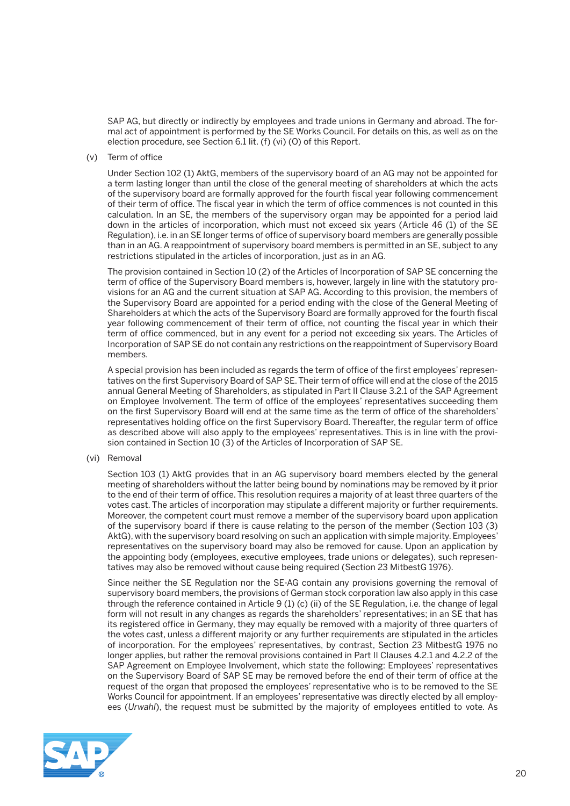SAP AG, but directly or indirectly by employees and trade unions in Germany and abroad. The formal act of appointment is performed by the SE Works Council. For details on this, as well as on the election procedure, see Section 6.1 lit. (f) (vi) (O) of this Report.

(v) Term of office

 Under Section 102 (1) AktG, members of the supervisory board of an AG may not be appointed for a term lasting longer than until the close of the general meeting of shareholders at which the acts of the supervisory board are formally approved for the fourth fiscal year following commencement of their term of office. The fiscal year in which the term of office commences is not counted in this calculation. In an SE, the members of the supervisory organ may be appointed for a period laid down in the articles of incorporation, which must not exceed six years (Article 46 (1) of the SE Regulation), i.e. in an SE longer terms of office of supervisory board members are generally possible than in an AG. A reappointment of supervisory board members is permitted in an SE, subject to any restrictions stipulated in the articles of incorporation, just as in an AG.

 The provision contained in Section 10 (2) of the Articles of Incorporation of SAP SE concerning the term of office of the Supervisory Board members is, however, largely in line with the statutory provisions for an AG and the current situation at SAP AG. According to this provision, the members of the Supervisory Board are appointed for a period ending with the close of the General Meeting of Shareholders at which the acts of the Supervisory Board are formally approved for the fourth fiscal year following commencement of their term of office, not counting the fiscal year in which their term of office commenced, but in any event for a period not exceeding six years. The Articles of Incorporation of SAP SE do not contain any restrictions on the reappointment of Supervisory Board members.

 A special provision has been included as regards the term of office of the first employees' representatives on the first Supervisory Board of SAP SE. Their term of office will end at the close of the 2015 annual General Meeting of Shareholders, as stipulated in Part II Clause 3.2.1 of the SAP Agreement on Employee Involvement. The term of office of the employees' representatives succeeding them on the first Supervisory Board will end at the same time as the term of office of the shareholders' representatives holding office on the first Supervisory Board. Thereafter, the regular term of office as described above will also apply to the employees' representatives. This is in line with the provision contained in Section 10 (3) of the Articles of Incorporation of SAP SE.

(vi) Removal

 Section 103 (1) AktG provides that in an AG supervisory board members elected by the general meeting of shareholders without the latter being bound by nominations may be removed by it prior to the end of their term of office. This resolution requires a majority of at least three quarters of the votes cast. The articles of incorporation may stipulate a different majority or further requirements. Moreover, the competent court must remove a member of the supervisory board upon application of the supervisory board if there is cause relating to the person of the member (Section 103 (3) AktG), with the supervisory board resolving on such an application with simple majority. Employees' representatives on the supervisory board may also be removed for cause. Upon an application by the appointing body (employees, executive employees, trade unions or delegates), such representatives may also be removed without cause being required (Section 23 MitbestG 1976).

 Since neither the SE Regulation nor the SE-AG contain any provisions governing the removal of supervisory board members, the provisions of German stock corporation law also apply in this case through the reference contained in Article 9 (1) (c) (ii) of the SE Regulation, i.e. the change of legal form will not result in any changes as regards the shareholders' representatives; in an SE that has its registered office in Germany, they may equally be removed with a majority of three quarters of the votes cast, unless a different majority or any further requirements are stipulated in the articles of incorporation. For the employees' representatives, by contrast, Section 23 MitbestG 1976 no longer applies, but rather the removal provisions contained in Part II Clauses 4.2.1 and 4.2.2 of the SAP Agreement on Employee Involvement, which state the following: Employees' representatives on the Supervisory Board of SAP SE may be removed before the end of their term of office at the request of the organ that proposed the employees' representative who is to be removed to the SE Works Council for appointment. If an employees' representative was directly elected by all employees (*Urwahl*), the request must be submitted by the majority of employees entitled to vote. As

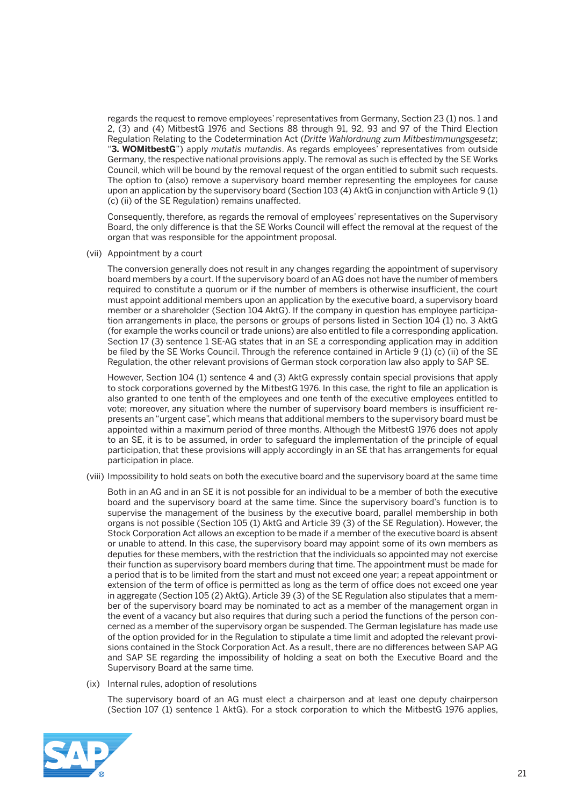regards the request to remove employees' representatives from Germany, Section 23 (1) nos. 1 and 2, (3) and (4) MitbestG 1976 and Sections 88 through 91, 92, 93 and 97 of the Third Election Regulation Relating to the Codetermination Act (*Dritte Wahlordnung zum Mitbestimmungsgesetz*; "**3. WOMitbestG**") apply *mutatis mutandis*. As regards employees' representatives from outside Germany, the respective national provisions apply. The removal as such is effected by the SE Works Council, which will be bound by the removal request of the organ entitled to submit such requests. The option to (also) remove a supervisory board member representing the employees for cause upon an application by the supervisory board (Section 103 (4) AktG in conjunction with Article 9 (1) (c) (ii) of the SE Regulation) remains unaffected.

 Consequently, therefore, as regards the removal of employees' representatives on the Supervisory Board, the only difference is that the SE Works Council will effect the removal at the request of the organ that was responsible for the appointment proposal.

(vii) Appointment by a court

 The conversion generally does not result in any changes regarding the appointment of supervisory board members by a court. If the supervisory board of an AG does not have the number of members required to constitute a quorum or if the number of members is otherwise insufficient, the court must appoint additional members upon an application by the executive board, a supervisory board member or a shareholder (Section 104 AktG). If the company in question has employee participation arrangements in place, the persons or groups of persons listed in Section 104 (1) no. 3 AktG (for example the works council or trade unions) are also entitled to file a corresponding application. Section 17 (3) sentence 1 SE-AG states that in an SE a corresponding application may in addition be filed by the SE Works Council. Through the reference contained in Article 9 (1) (c) (ii) of the SE Regulation, the other relevant provisions of German stock corporation law also apply to SAP SE.

 However, Section 104 (1) sentence 4 and (3) AktG expressly contain special provisions that apply to stock corporations governed by the MitbestG 1976. In this case, the right to file an application is also granted to one tenth of the employees and one tenth of the executive employees entitled to vote; moreover, any situation where the number of supervisory board members is insufficient represents an "urgent case", which means that additional members to the supervisory board must be appointed within a maximum period of three months. Although the MitbestG 1976 does not apply to an SE, it is to be assumed, in order to safeguard the implementation of the principle of equal participation, that these provisions will apply accordingly in an SE that has arrangements for equal participation in place.

(viii) Impossibility to hold seats on both the executive board and the supervisory board at the same time

 Both in an AG and in an SE it is not possible for an individual to be a member of both the executive board and the supervisory board at the same time. Since the supervisory board's function is to supervise the management of the business by the executive board, parallel membership in both organs is not possible (Section 105 (1) AktG and Article 39 (3) of the SE Regulation). However, the Stock Corporation Act allows an exception to be made if a member of the executive board is absent or unable to attend. In this case, the supervisory board may appoint some of its own members as deputies for these members, with the restriction that the individuals so appointed may not exercise their function as supervisory board members during that time. The appointment must be made for a period that is to be limited from the start and must not exceed one year; a repeat appointment or extension of the term of office is permitted as long as the term of office does not exceed one year in aggregate (Section 105 (2) AktG). Article 39 (3) of the SE Regulation also stipulates that a member of the supervisory board may be nominated to act as a member of the management organ in the event of a vacancy but also requires that during such a period the functions of the person concerned as a member of the supervisory organ be suspended. The German legislature has made use of the option provided for in the Regulation to stipulate a time limit and adopted the relevant provisions contained in the Stock Corporation Act. As a result, there are no differences between SAP AG and SAP SE regarding the impossibility of holding a seat on both the Executive Board and the Supervisory Board at the same time.

(ix) Internal rules, adoption of resolutions

 The supervisory board of an AG must elect a chairperson and at least one deputy chairperson (Section 107 (1) sentence 1 AktG). For a stock corporation to which the MitbestG 1976 applies,

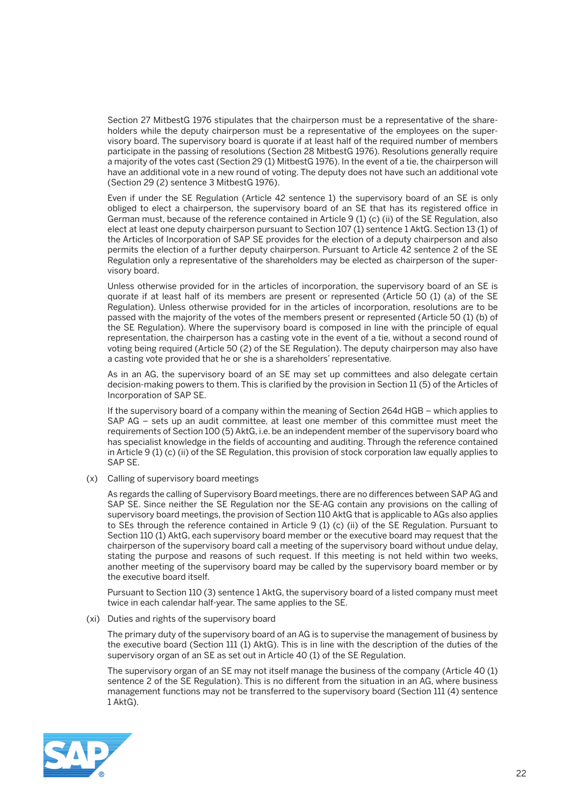Section 27 MitbestG 1976 stipulates that the chairperson must be a representative of the shareholders while the deputy chairperson must be a representative of the employees on the supervisory board. The supervisory board is quorate if at least half of the required number of members participate in the passing of resolutions (Section 28 MitbestG 1976). Resolutions generally require a majority of the votes cast (Section 29 (1) MitbestG 1976). In the event of a tie, the chairperson will have an additional vote in a new round of voting. The deputy does not have such an additional vote (Section 29 (2) sentence 3 MitbestG 1976).

 Even if under the SE Regulation (Article 42 sentence 1) the supervisory board of an SE is only obliged to elect a chairperson, the supervisory board of an SE that has its registered office in German must, because of the reference contained in Article 9 (1) (c) (ii) of the SE Regulation, also elect at least one deputy chairperson pursuant to Section 107 (1) sentence 1 AktG. Section 13 (1) of the Articles of Incorporation of SAP SE provides for the election of a deputy chairperson and also permits the election of a further deputy chairperson. Pursuant to Article 42 sentence 2 of the SE Regulation only a representative of the shareholders may be elected as chairperson of the supervisory board.

 Unless otherwise provided for in the articles of incorporation, the supervisory board of an SE is quorate if at least half of its members are present or represented (Article 50 (1) (a) of the SE Regulation). Unless otherwise provided for in the articles of incorporation, resolutions are to be passed with the majority of the votes of the members present or represented (Article 50 (1) (b) of the SE Regulation). Where the supervisory board is composed in line with the principle of equal representation, the chairperson has a casting vote in the event of a tie, without a second round of voting being required (Article 50 (2) of the SE Regulation). The deputy chairperson may also have a casting vote provided that he or she is a shareholders' representative.

 As in an AG, the supervisory board of an SE may set up committees and also delegate certain decision-making powers to them. This is clarified by the provision in Section 11 (5) of the Articles of Incorporation of SAP SE.

 If the supervisory board of a company within the meaning of Section 264d HGB – which applies to SAP AG – sets up an audit committee, at least one member of this committee must meet the requirements of Section 100 (5) AktG, i.e. be an independent member of the supervisory board who has specialist knowledge in the fields of accounting and auditing. Through the reference contained in Article 9 (1) (c) (ii) of the SE Regulation, this provision of stock corporation law equally applies to SAP SE.

(x) Calling of supervisory board meetings

 As regards the calling of Supervisory Board meetings, there are no differences between SAP AG and SAP SE. Since neither the SE Regulation nor the SE-AG contain any provisions on the calling of supervisory board meetings, the provision of Section 110 AktG that is applicable to AGs also applies to SEs through the reference contained in Article 9 (1) (c) (ii) of the SE Regulation. Pursuant to Section 110 (1) AktG, each supervisory board member or the executive board may request that the chairperson of the supervisory board call a meeting of the supervisory board without undue delay, stating the purpose and reasons of such request. If this meeting is not held within two weeks, another meeting of the supervisory board may be called by the supervisory board member or by the executive board itself.

 Pursuant to Section 110 (3) sentence 1 AktG, the supervisory board of a listed company must meet twice in each calendar half-year. The same applies to the SE.

(xi) Duties and rights of the supervisory board

 The primary duty of the supervisory board of an AG is to supervise the management of business by the executive board (Section 111 (1) AktG). This is in line with the description of the duties of the supervisory organ of an SE as set out in Article 40 (1) of the SE Regulation.

 The supervisory organ of an SE may not itself manage the business of the company (Article 40 (1) sentence 2 of the SE Regulation). This is no different from the situation in an AG, where business management functions may not be transferred to the supervisory board (Section 111 (4) sentence 1 AktG).

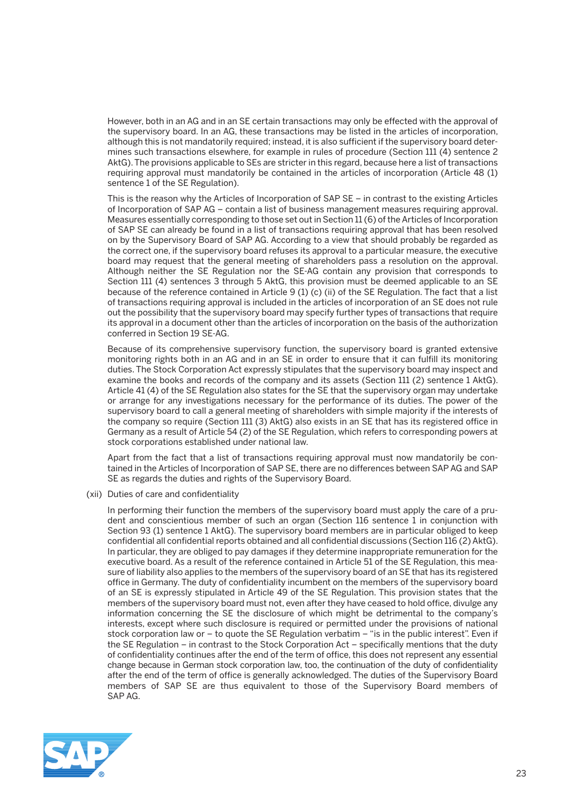However, both in an AG and in an SE certain transactions may only be effected with the approval of the supervisory board. In an AG, these transactions may be listed in the articles of incorporation, although this is not mandatorily required; instead, it is also sufficient if the supervisory board determines such transactions elsewhere, for example in rules of procedure (Section 111 (4) sentence 2 AktG). The provisions applicable to SEs are stricter in this regard, because here a list of transactions requiring approval must mandatorily be contained in the articles of incorporation (Article 48 (1) sentence 1 of the SE Regulation).

 This is the reason why the Articles of Incorporation of SAP SE – in contrast to the existing Articles of Incorporation of SAP AG – contain a list of business management measures requiring approval. Measures essentially corresponding to those set out in Section 11 (6) of the Articles of Incorporation of SAP SE can already be found in a list of transactions requiring approval that has been resolved on by the Supervisory Board of SAP AG. According to a view that should probably be regarded as the correct one, if the supervisory board refuses its approval to a particular measure, the executive board may request that the general meeting of shareholders pass a resolution on the approval. Although neither the SE Regulation nor the SE-AG contain any provision that corresponds to Section 111 (4) sentences 3 through 5 AktG, this provision must be deemed applicable to an SE because of the reference contained in Article 9 (1) (c) (ii) of the SE Regulation. The fact that a list of transactions requiring approval is included in the articles of incorporation of an SE does not rule out the possibility that the supervisory board may specify further types of transactions that require its approval in a document other than the articles of incorporation on the basis of the authorization conferred in Section 19 SE-AG.

 Because of its comprehensive supervisory function, the supervisory board is granted extensive monitoring rights both in an AG and in an SE in order to ensure that it can fulfill its monitoring duties. The Stock Corporation Act expressly stipulates that the supervisory board may inspect and examine the books and records of the company and its assets (Section 111 (2) sentence 1 AktG). Article 41 (4) of the SE Regulation also states for the SE that the supervisory organ may undertake or arrange for any investigations necessary for the performance of its duties. The power of the supervisory board to call a general meeting of shareholders with simple majority if the interests of the company so require (Section 111 (3) AktG) also exists in an SE that has its registered office in Germany as a result of Article 54 (2) of the SE Regulation, which refers to corresponding powers at stock corporations established under national law.

 Apart from the fact that a list of transactions requiring approval must now mandatorily be contained in the Articles of Incorporation of SAP SE, there are no differences between SAP AG and SAP SE as regards the duties and rights of the Supervisory Board.

(xii) Duties of care and confidentiality

 In performing their function the members of the supervisory board must apply the care of a prudent and conscientious member of such an organ (Section 116 sentence 1 in conjunction with Section 93 (1) sentence 1 AktG). The supervisory board members are in particular obliged to keep confidential all confidential reports obtained and all confidential discussions (Section 116 (2) AktG). In particular, they are obliged to pay damages if they determine inappropriate remuneration for the executive board. As a result of the reference contained in Article 51 of the SE Regulation, this measure of liability also applies to the members of the supervisory board of an SE that has its registered office in Germany. The duty of confidentiality incumbent on the members of the supervisory board of an SE is expressly stipulated in Article 49 of the SE Regulation. This provision states that the members of the supervisory board must not, even after they have ceased to hold office, divulge any information concerning the SE the disclosure of which might be detrimental to the company's interests, except where such disclosure is required or permitted under the provisions of national stock corporation law or – to quote the SE Regulation verbatim – "is in the public interest". Even if the SE Regulation – in contrast to the Stock Corporation Act – specifically mentions that the duty of confidentiality continues after the end of the term of office, this does not represent any essential change because in German stock corporation law, too, the continuation of the duty of confidentiality after the end of the term of office is generally acknowledged. The duties of the Supervisory Board members of SAP SE are thus equivalent to those of the Supervisory Board members of SAP AG.

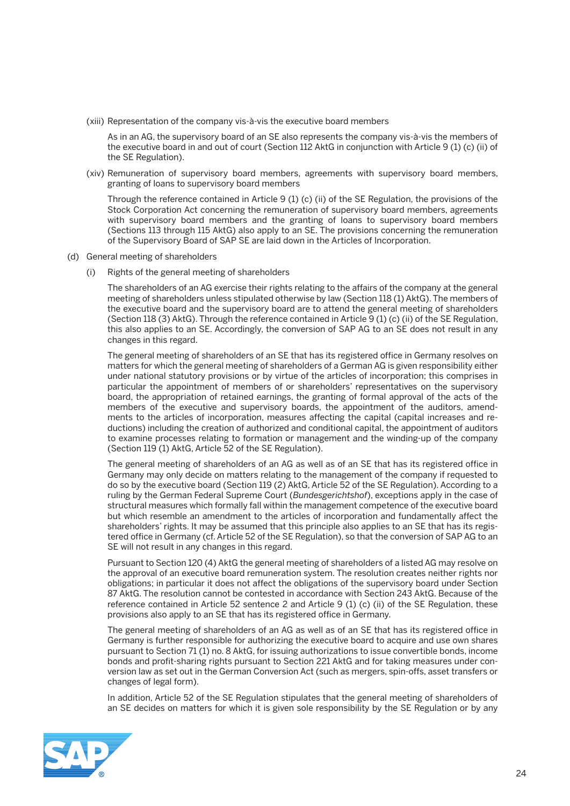(xiii) Representation of the company vis-à-vis the executive board members

 As in an AG, the supervisory board of an SE also represents the company vis-à-vis the members of the executive board in and out of court (Section 112 AktG in conjunction with Article 9 (1) (c) (ii) of the SE Regulation).

 (xiv) Remuneration of supervisory board members, agreements with supervisory board members, granting of loans to supervisory board members

 Through the reference contained in Article 9 (1) (c) (ii) of the SE Regulation, the provisions of the Stock Corporation Act concerning the remuneration of supervisory board members, agreements with supervisory board members and the granting of loans to supervisory board members (Sections 113 through 115 AktG) also apply to an SE. The provisions concerning the remuneration of the Supervisory Board of SAP SE are laid down in the Articles of Incorporation.

- (d) General meeting of shareholders
	- (i) Rights of the general meeting of shareholders

 The shareholders of an AG exercise their rights relating to the affairs of the company at the general meeting of shareholders unless stipulated otherwise by law (Section 118 (1) AktG). The members of the executive board and the supervisory board are to attend the general meeting of shareholders (Section 118 (3) AktG). Through the reference contained in Article 9 (1) (c) (ii) of the SE Regulation, this also applies to an SE. Accordingly, the conversion of SAP AG to an SE does not result in any changes in this regard.

 The general meeting of shareholders of an SE that has its registered office in Germany resolves on matters for which the general meeting of shareholders of a German AG is given responsibility either under national statutory provisions or by virtue of the articles of incorporation; this comprises in particular the appointment of members of or shareholders' representatives on the supervisory board, the appropriation of retained earnings, the granting of formal approval of the acts of the members of the executive and supervisory boards, the appointment of the auditors, amendments to the articles of incorporation, measures affecting the capital (capital increases and reductions) including the creation of authorized and conditional capital, the appointment of auditors to examine processes relating to formation or management and the winding-up of the company (Section 119 (1) AktG, Article 52 of the SE Regulation).

 The general meeting of shareholders of an AG as well as of an SE that has its registered office in Germany may only decide on matters relating to the management of the company if requested to do so by the executive board (Section 119 (2) AktG, Article 52 of the SE Regulation). According to a ruling by the German Federal Supreme Court (*Bundesgerichtshof*), exceptions apply in the case of structural measures which formally fall within the management competence of the executive board but which resemble an amendment to the articles of incorporation and fundamentally affect the shareholders' rights. It may be assumed that this principle also applies to an SE that has its registered office in Germany (cf. Article 52 of the SE Regulation), so that the conversion of SAP AG to an SE will not result in any changes in this regard.

 Pursuant to Section 120 (4) AktG the general meeting of shareholders of a listed AG may resolve on the approval of an executive board remuneration system. The resolution creates neither rights nor obligations; in particular it does not affect the obligations of the supervisory board under Section 87 AktG. The resolution cannot be contested in accordance with Section 243 AktG. Because of the reference contained in Article 52 sentence 2 and Article 9 (1) (c) (ii) of the SE Regulation, these provisions also apply to an SE that has its registered office in Germany.

 The general meeting of shareholders of an AG as well as of an SE that has its registered office in Germany is further responsible for authorizing the executive board to acquire and use own shares pursuant to Section 71 (1) no. 8 AktG, for issuing authorizations to issue convertible bonds, income bonds and profit-sharing rights pursuant to Section 221 AktG and for taking measures under conversion law as set out in the German Conversion Act (such as mergers, spin-offs, asset transfers or changes of legal form).

 In addition, Article 52 of the SE Regulation stipulates that the general meeting of shareholders of an SE decides on matters for which it is given sole responsibility by the SE Regulation or by any

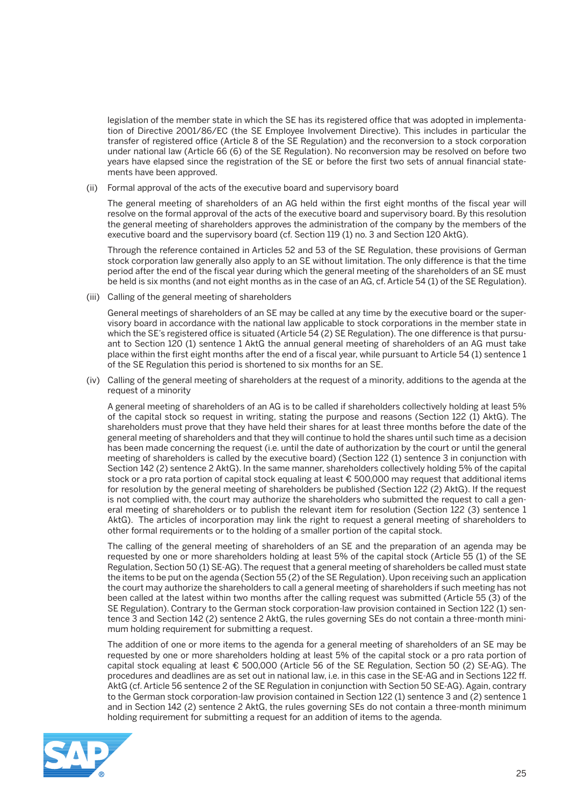legislation of the member state in which the SE has its registered office that was adopted in implementation of Directive 2001/86/EC (the SE Employee Involvement Directive). This includes in particular the transfer of registered office (Article 8 of the SE Regulation) and the reconversion to a stock corporation under national law (Article 66 (6) of the SE Regulation). No reconversion may be resolved on before two years have elapsed since the registration of the SE or before the first two sets of annual financial statements have been approved.

(ii) Formal approval of the acts of the executive board and supervisory board

 The general meeting of shareholders of an AG held within the first eight months of the fiscal year will resolve on the formal approval of the acts of the executive board and supervisory board. By this resolution the general meeting of shareholders approves the administration of the company by the members of the executive board and the supervisory board (cf. Section 119 (1) no. 3 and Section 120 AktG).

 Through the reference contained in Articles 52 and 53 of the SE Regulation, these provisions of German stock corporation law generally also apply to an SE without limitation. The only difference is that the time period after the end of the fiscal year during which the general meeting of the shareholders of an SE must be held is six months (and not eight months as in the case of an AG, cf. Article 54 (1) of the SE Regulation).

(iii) Calling of the general meeting of shareholders

 General meetings of shareholders of an SE may be called at any time by the executive board or the supervisory board in accordance with the national law applicable to stock corporations in the member state in which the SE's registered office is situated (Article 54 (2) SE Regulation). The one difference is that pursuant to Section 120 (1) sentence 1 AktG the annual general meeting of shareholders of an AG must take place within the first eight months after the end of a fiscal year, while pursuant to Article 54 (1) sentence 1 of the SE Regulation this period is shortened to six months for an SE.

 (iv) Calling of the general meeting of shareholders at the request of a minority, additions to the agenda at the request of a minority

 A general meeting of shareholders of an AG is to be called if shareholders collectively holding at least 5% of the capital stock so request in writing, stating the purpose and reasons (Section 122 (1) AktG). The shareholders must prove that they have held their shares for at least three months before the date of the general meeting of shareholders and that they will continue to hold the shares until such time as a decision has been made concerning the request (i.e. until the date of authorization by the court or until the general meeting of shareholders is called by the executive board) (Section 122 (1) sentence 3 in conjunction with Section 142 (2) sentence 2 AktG). In the same manner, shareholders collectively holding 5% of the capital stock or a pro rata portion of capital stock equaling at least € 500,000 may request that additional items for resolution by the general meeting of shareholders be published (Section 122 (2) AktG). If the request is not complied with, the court may authorize the shareholders who submitted the request to call a general meeting of shareholders or to publish the relevant item for resolution (Section 122 (3) sentence 1 AktG). The articles of incorporation may link the right to request a general meeting of shareholders to other formal requirements or to the holding of a smaller portion of the capital stock.

 The calling of the general meeting of shareholders of an SE and the preparation of an agenda may be requested by one or more shareholders holding at least 5% of the capital stock (Article 55 (1) of the SE Regulation, Section 50 (1) SE-AG). The request that a general meeting of shareholders be called must state the items to be put on the agenda (Section 55 (2) of the SE Regulation). Upon receiving such an application the court may authorize the shareholders to call a general meeting of shareholders if such meeting has not been called at the latest within two months after the calling request was submitted (Article 55 (3) of the SE Regulation). Contrary to the German stock corporation-law provision contained in Section 122 (1) sentence 3 and Section 142 (2) sentence 2 AktG, the rules governing SEs do not contain a three-month minimum holding requirement for submitting a request.

 The addition of one or more items to the agenda for a general meeting of shareholders of an SE may be requested by one or more shareholders holding at least 5% of the capital stock or a pro rata portion of capital stock equaling at least € 500,000 (Article 56 of the SE Regulation, Section 50 (2) SE-AG). The procedures and deadlines are as set out in national law, i.e. in this case in the SE-AG and in Sections 122 ff. AktG (cf. Article 56 sentence 2 of the SE Regulation in conjunction with Section 50 SE-AG). Again, contrary to the German stock corporation-law provision contained in Section 122 (1) sentence 3 and (2) sentence 1 and in Section 142 (2) sentence 2 AktG, the rules governing SEs do not contain a three-month minimum holding requirement for submitting a request for an addition of items to the agenda.

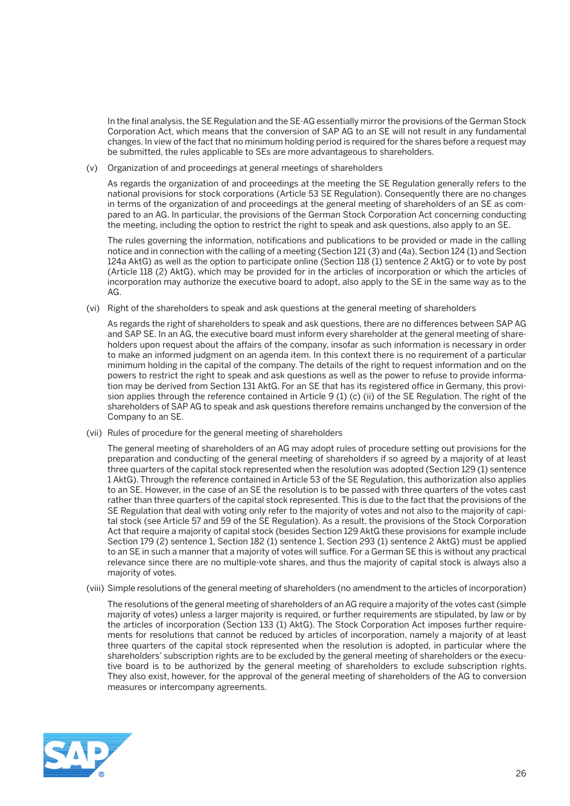In the final analysis, the SE Regulation and the SE-AG essentially mirror the provisions of the German Stock Corporation Act, which means that the conversion of SAP AG to an SE will not result in any fundamental changes. In view of the fact that no minimum holding period is required for the shares before a request may be submitted, the rules applicable to SEs are more advantageous to shareholders.

(v) Organization of and proceedings at general meetings of shareholders

 As regards the organization of and proceedings at the meeting the SE Regulation generally refers to the national provisions for stock corporations (Article 53 SE Regulation). Consequently there are no changes in terms of the organization of and proceedings at the general meeting of shareholders of an SE as compared to an AG. In particular, the provisions of the German Stock Corporation Act concerning conducting the meeting, including the option to restrict the right to speak and ask questions, also apply to an SE.

 The rules governing the information, notifications and publications to be provided or made in the calling notice and in connection with the calling of a meeting (Section 121 (3) and (4a), Section 124 (1) and Section 124a AktG) as well as the option to participate online (Section 118 (1) sentence 2 AktG) or to vote by post (Article 118 (2) AktG), which may be provided for in the articles of incorporation or which the articles of incorporation may authorize the executive board to adopt, also apply to the SE in the same way as to the AG.

(vi) Right of the shareholders to speak and ask questions at the general meeting of shareholders

 As regards the right of shareholders to speak and ask questions, there are no differences between SAP AG and SAP SE. In an AG, the executive board must inform every shareholder at the general meeting of shareholders upon request about the affairs of the company, insofar as such information is necessary in order to make an informed judgment on an agenda item. In this context there is no requirement of a particular minimum holding in the capital of the company. The details of the right to request information and on the powers to restrict the right to speak and ask questions as well as the power to refuse to provide information may be derived from Section 131 AktG. For an SE that has its registered office in Germany, this provision applies through the reference contained in Article 9 (1) (c) (ii) of the SE Regulation. The right of the shareholders of SAP AG to speak and ask questions therefore remains unchanged by the conversion of the Company to an SE.

(vii) Rules of procedure for the general meeting of shareholders

 The general meeting of shareholders of an AG may adopt rules of procedure setting out provisions for the preparation and conducting of the general meeting of shareholders if so agreed by a majority of at least three quarters of the capital stock represented when the resolution was adopted (Section 129 (1) sentence 1 AktG). Through the reference contained in Article 53 of the SE Regulation, this authorization also applies to an SE. However, in the case of an SE the resolution is to be passed with three quarters of the votes cast rather than three quarters of the capital stock represented. This is due to the fact that the provisions of the SE Regulation that deal with voting only refer to the majority of votes and not also to the majority of capital stock (see Article 57 and 59 of the SE Regulation). As a result, the provisions of the Stock Corporation Act that require a majority of capital stock (besides Section 129 AktG these provisions for example include Section 179 (2) sentence 1, Section 182 (1) sentence 1, Section 293 (1) sentence 2 AktG) must be applied to an SE in such a manner that a majority of votes will suffice. For a German SE this is without any practical relevance since there are no multiple-vote shares, and thus the majority of capital stock is always also a majority of votes.

(viii) Simple resolutions of the general meeting of shareholders (no amendment to the articles of incorporation)

 The resolutions of the general meeting of shareholders of an AG require a majority of the votes cast (simple majority of votes) unless a larger majority is required, or further requirements are stipulated, by law or by the articles of incorporation (Section 133 (1) AktG). The Stock Corporation Act imposes further requirements for resolutions that cannot be reduced by articles of incorporation, namely a majority of at least three quarters of the capital stock represented when the resolution is adopted, in particular where the shareholders' subscription rights are to be excluded by the general meeting of shareholders or the executive board is to be authorized by the general meeting of shareholders to exclude subscription rights. They also exist, however, for the approval of the general meeting of shareholders of the AG to conversion measures or intercompany agreements.

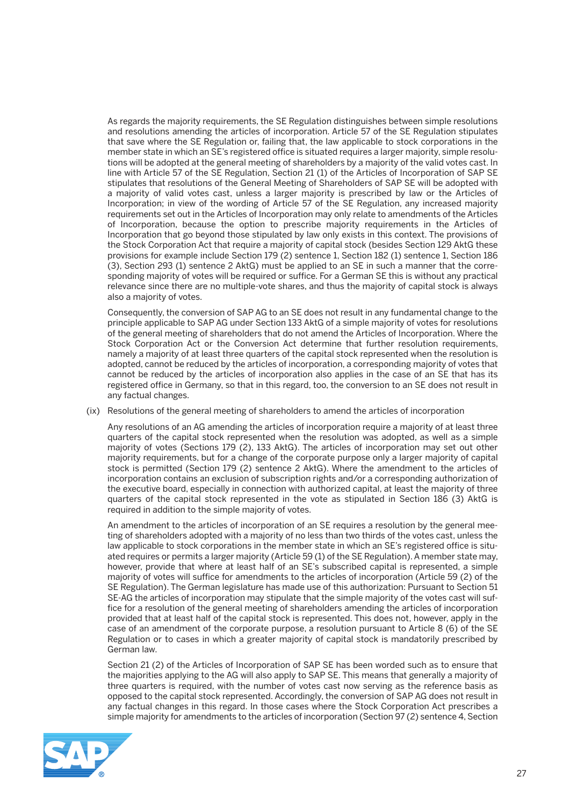As regards the majority requirements, the SE Regulation distinguishes between simple resolutions and resolutions amending the articles of incorporation. Article 57 of the SE Regulation stipulates that save where the SE Regulation or, failing that, the law applicable to stock corporations in the member state in which an SE's registered office is situated requires a larger majority, simple resolutions will be adopted at the general meeting of shareholders by a majority of the valid votes cast. In line with Article 57 of the SE Regulation, Section 21 (1) of the Articles of Incorporation of SAP SE stipulates that resolutions of the General Meeting of Shareholders of SAP SE will be adopted with a majority of valid votes cast, unless a larger majority is prescribed by law or the Articles of Incorporation; in view of the wording of Article 57 of the SE Regulation, any increased majority requirements set out in the Articles of Incorporation may only relate to amendments of the Articles of Incorporation, because the option to prescribe majority requirements in the Articles of Incorporation that go beyond those stipulated by law only exists in this context. The provisions of the Stock Corporation Act that require a majority of capital stock (besides Section 129 AktG these provisions for example include Section 179 (2) sentence 1, Section 182 (1) sentence 1, Section 186 (3), Section 293 (1) sentence 2 AktG) must be applied to an SE in such a manner that the corresponding majority of votes will be required or suffice. For a German SE this is without any practical relevance since there are no multiple-vote shares, and thus the majority of capital stock is always also a majority of votes.

 Consequently, the conversion of SAP AG to an SE does not result in any fundamental change to the principle applicable to SAP AG under Section 133 AktG of a simple majority of votes for resolutions of the general meeting of shareholders that do not amend the Articles of Incorporation. Where the Stock Corporation Act or the Conversion Act determine that further resolution requirements, namely a majority of at least three quarters of the capital stock represented when the resolution is adopted, cannot be reduced by the articles of incorporation, a corresponding majority of votes that cannot be reduced by the articles of incorporation also applies in the case of an SE that has its registered office in Germany, so that in this regard, too, the conversion to an SE does not result in any factual changes.

(ix) Resolutions of the general meeting of shareholders to amend the articles of incorporation

 Any resolutions of an AG amending the articles of incorporation require a majority of at least three quarters of the capital stock represented when the resolution was adopted, as well as a simple majority of votes (Sections 179 (2), 133 AktG). The articles of incorporation may set out other majority requirements, but for a change of the corporate purpose only a larger majority of capital stock is permitted (Section 179 (2) sentence 2 AktG). Where the amendment to the articles of incorporation contains an exclusion of subscription rights and/or a corresponding authorization of the executive board, especially in connection with authorized capital, at least the majority of three quarters of the capital stock represented in the vote as stipulated in Section 186 (3) AktG is required in addition to the simple majority of votes.

 An amendment to the articles of incorporation of an SE requires a resolution by the general meeting of shareholders adopted with a majority of no less than two thirds of the votes cast, unless the law applicable to stock corporations in the member state in which an SE's registered office is situated requires or permits a larger majority (Article 59 (1) of the SE Regulation). A member state may, however, provide that where at least half of an SE's subscribed capital is represented, a simple majority of votes will suffice for amendments to the articles of incorporation (Article 59 (2) of the SE Regulation). The German legislature has made use of this authorization: Pursuant to Section 51 SE-AG the articles of incorporation may stipulate that the simple majority of the votes cast will suffice for a resolution of the general meeting of shareholders amending the articles of incorporation provided that at least half of the capital stock is represented. This does not, however, apply in the case of an amendment of the corporate purpose, a resolution pursuant to Article 8 (6) of the SE Regulation or to cases in which a greater majority of capital stock is mandatorily prescribed by German law.

 Section 21 (2) of the Articles of Incorporation of SAP SE has been worded such as to ensure that the majorities applying to the AG will also apply to SAP SE. This means that generally a majority of three quarters is required, with the number of votes cast now serving as the reference basis as opposed to the capital stock represented. Accordingly, the conversion of SAP AG does not result in any factual changes in this regard. In those cases where the Stock Corporation Act prescribes a simple majority for amendments to the articles of incorporation (Section 97 (2) sentence 4, Section

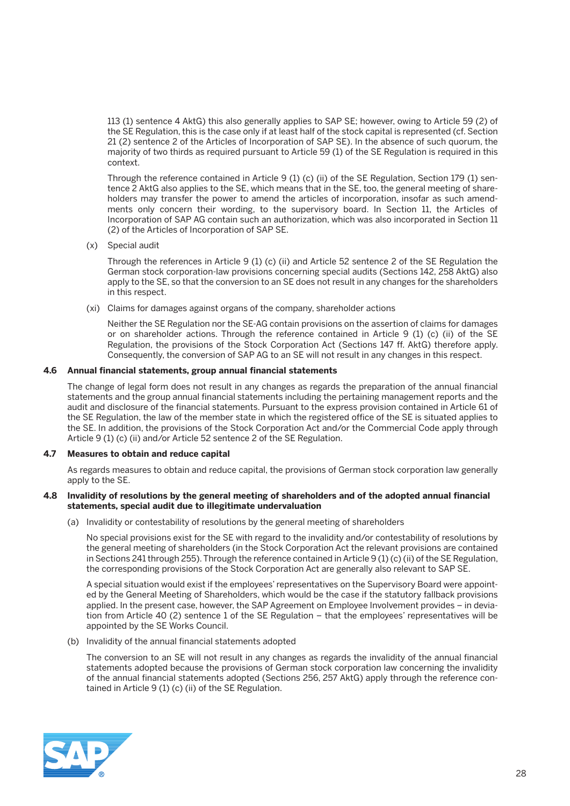113 (1) sentence 4 AktG) this also generally applies to SAP SE; however, owing to Article 59 (2) of the SE Regulation, this is the case only if at least half of the stock capital is represented (cf. Section 21 (2) sentence 2 of the Articles of Incorporation of SAP SE). In the absence of such quorum, the majority of two thirds as required pursuant to Article 59 (1) of the SE Regulation is required in this context.

 Through the reference contained in Article 9 (1) (c) (ii) of the SE Regulation, Section 179 (1) sentence 2 AktG also applies to the SE, which means that in the SE, too, the general meeting of shareholders may transfer the power to amend the articles of incorporation, insofar as such amendments only concern their wording, to the supervisory board. In Section 11, the Articles of Incorporation of SAP AG contain such an authorization, which was also incorporated in Section 11 (2) of the Articles of Incorporation of SAP SE.

(x) Special audit

 Through the references in Article 9 (1) (c) (ii) and Article 52 sentence 2 of the SE Regulation the German stock corporation-law provisions concerning special audits (Sections 142, 258 AktG) also apply to the SE, so that the conversion to an SE does not result in any changes for the shareholders in this respect.

(xi) Claims for damages against organs of the company, shareholder actions

 Neither the SE Regulation nor the SE-AG contain provisions on the assertion of claims for damages or on shareholder actions. Through the reference contained in Article 9 (1) (c) (ii) of the SE Regulation, the provisions of the Stock Corporation Act (Sections 147 ff. AktG) therefore apply. Consequently, the conversion of SAP AG to an SE will not result in any changes in this respect.

#### **4.6 Annual financial statements, group annual financial statements**

 The change of legal form does not result in any changes as regards the preparation of the annual financial statements and the group annual financial statements including the pertaining management reports and the audit and disclosure of the financial statements. Pursuant to the express provision contained in Article 61 of the SE Regulation, the law of the member state in which the registered office of the SE is situated applies to the SE. In addition, the provisions of the Stock Corporation Act and/or the Commercial Code apply through Article 9 (1) (c) (ii) and/or Article 52 sentence 2 of the SE Regulation.

#### **4.7 Measures to obtain and reduce capital**

 As regards measures to obtain and reduce capital, the provisions of German stock corporation law generally apply to the SE.

#### **4.8 Invalidity of resolutions by the general meeting of shareholders and of the adopted annual financial statements, special audit due to illegitimate undervaluation**

(a) Invalidity or contestability of resolutions by the general meeting of shareholders

 No special provisions exist for the SE with regard to the invalidity and/or contestability of resolutions by the general meeting of shareholders (in the Stock Corporation Act the relevant provisions are contained in Sections 241 through 255). Through the reference contained in Article 9 (1) (c) (ii) of the SE Regulation, the corresponding provisions of the Stock Corporation Act are generally also relevant to SAP SE.

 A special situation would exist if the employees' representatives on the Supervisory Board were appointed by the General Meeting of Shareholders, which would be the case if the statutory fallback provisions applied. In the present case, however, the SAP Agreement on Employee Involvement provides – in deviation from Article 40 (2) sentence 1 of the SE Regulation – that the employees' representatives will be appointed by the SE Works Council.

(b) Invalidity of the annual financial statements adopted

 The conversion to an SE will not result in any changes as regards the invalidity of the annual financial statements adopted because the provisions of German stock corporation law concerning the invalidity of the annual financial statements adopted (Sections 256, 257 AktG) apply through the reference contained in Article 9 (1) (c) (ii) of the SE Regulation.

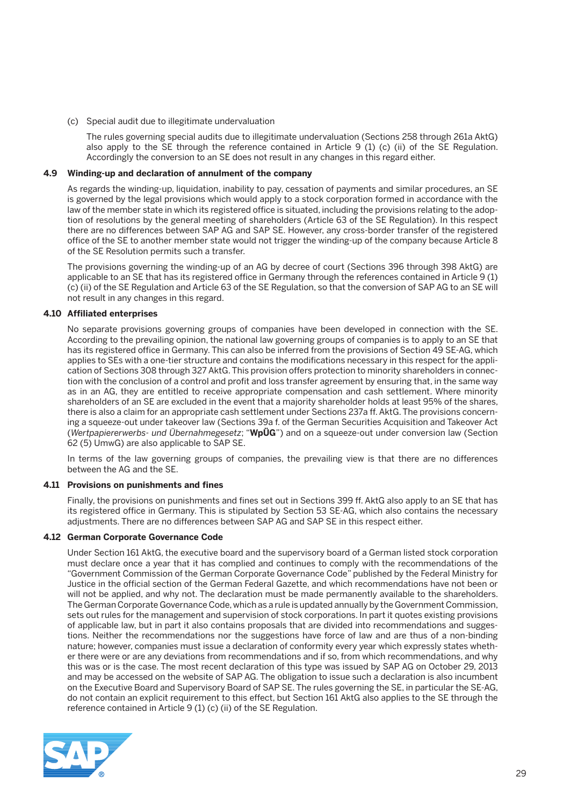(c) Special audit due to illegitimate undervaluation

 The rules governing special audits due to illegitimate undervaluation (Sections 258 through 261a AktG) also apply to the SE through the reference contained in Article 9 (1) (c) (ii) of the SE Regulation. Accordingly the conversion to an SE does not result in any changes in this regard either.

#### **4.9 Winding-up and declaration of annulment of the company**

 As regards the winding-up, liquidation, inability to pay, cessation of payments and similar procedures, an SE is governed by the legal provisions which would apply to a stock corporation formed in accordance with the law of the member state in which its registered office is situated, including the provisions relating to the adoption of resolutions by the general meeting of shareholders (Article 63 of the SE Regulation). In this respect there are no differences between SAP AG and SAP SE. However, any cross-border transfer of the registered office of the SE to another member state would not trigger the winding-up of the company because Article 8 of the SE Resolution permits such a transfer.

 The provisions governing the winding-up of an AG by decree of court (Sections 396 through 398 AktG) are applicable to an SE that has its registered office in Germany through the references contained in Article 9 (1) (c) (ii) of the SE Regulation and Article 63 of the SE Regulation, so that the conversion of SAP AG to an SE will not result in any changes in this regard.

#### **4.10 Affiliated enterprises**

 No separate provisions governing groups of companies have been developed in connection with the SE. According to the prevailing opinion, the national law governing groups of companies is to apply to an SE that has its registered office in Germany. This can also be inferred from the provisions of Section 49 SE-AG, which applies to SEs with a one-tier structure and contains the modifications necessary in this respect for the application of Sections 308 through 327 AktG. This provision offers protection to minority shareholders in connection with the conclusion of a control and profit and loss transfer agreement by ensuring that, in the same way as in an AG, they are entitled to receive appropriate compensation and cash settlement. Where minority shareholders of an SE are excluded in the event that a majority shareholder holds at least 95% of the shares, there is also a claim for an appropriate cash settlement under Sections 237a ff. AktG. The provisions concerning a squeeze-out under takeover law (Sections 39a f. of the German Securities Acquisition and Takeover Act (*Wertpapiererwerbs- und Übernahmegesetz*; "**WpÜG**") and on a squeeze-out under conversion law (Section 62 (5) UmwG) are also applicable to SAP SE.

 In terms of the law governing groups of companies, the prevailing view is that there are no differences between the AG and the SE.

#### **4.11 Provisions on punishments and fines**

 Finally, the provisions on punishments and fines set out in Sections 399 ff. AktG also apply to an SE that has its registered office in Germany. This is stipulated by Section 53 SE-AG, which also contains the necessary adjustments. There are no differences between SAP AG and SAP SE in this respect either.

#### **4.12 German Corporate Governance Code**

 Under Section 161 AktG, the executive board and the supervisory board of a German listed stock corporation must declare once a year that it has complied and continues to comply with the recommendations of the "Government Commission of the German Corporate Governance Code" published by the Federal Ministry for Justice in the official section of the German Federal Gazette, and which recommendations have not been or will not be applied, and why not. The declaration must be made permanently available to the shareholders. The German Corporate Governance Code, which as a rule is updated annually by the Government Commission, sets out rules for the management and supervision of stock corporations. In part it quotes existing provisions of applicable law, but in part it also contains proposals that are divided into recommendations and suggestions. Neither the recommendations nor the suggestions have force of law and are thus of a non-binding nature; however, companies must issue a declaration of conformity every year which expressly states whether there were or are any deviations from recommendations and if so, from which recommendations, and why this was or is the case. The most recent declaration of this type was issued by SAP AG on October 29, 2013 and may be accessed on the website of SAP AG. The obligation to issue such a declaration is also incumbent on the Executive Board and Supervisory Board of SAP SE. The rules governing the SE, in particular the SE-AG, do not contain an explicit requirement to this effect, but Section 161 AktG also applies to the SE through the reference contained in Article 9 (1) (c) (ii) of the SE Regulation.

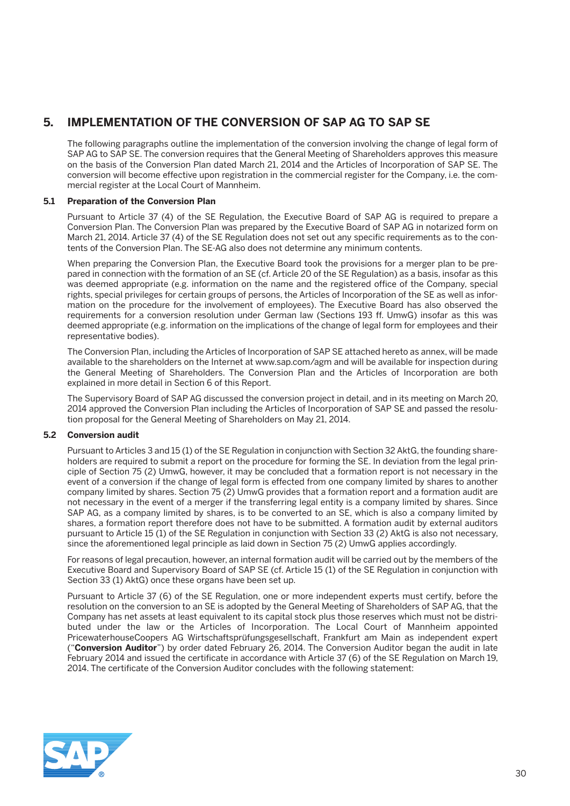# **5. IMPLEMENTATION OF THE CONVERSION OF SAP AG TO SAP SE**

 The following paragraphs outline the implementation of the conversion involving the change of legal form of SAP AG to SAP SE. The conversion requires that the General Meeting of Shareholders approves this measure on the basis of the Conversion Plan dated March 21, 2014 and the Articles of Incorporation of SAP SE. The conversion will become effective upon registration in the commercial register for the Company, i.e. the commercial register at the Local Court of Mannheim.

#### **5.1 Preparation of the Conversion Plan**

 Pursuant to Article 37 (4) of the SE Regulation, the Executive Board of SAP AG is required to prepare a Conversion Plan. The Conversion Plan was prepared by the Executive Board of SAP AG in notarized form on March 21, 2014. Article 37 (4) of the SE Regulation does not set out any specific requirements as to the contents of the Conversion Plan. The SE-AG also does not determine any minimum contents.

 When preparing the Conversion Plan, the Executive Board took the provisions for a merger plan to be prepared in connection with the formation of an SE (cf. Article 20 of the SE Regulation) as a basis, insofar as this was deemed appropriate (e.g. information on the name and the registered office of the Company, special rights, special privileges for certain groups of persons, the Articles of Incorporation of the SE as well as information on the procedure for the involvement of employees). The Executive Board has also observed the requirements for a conversion resolution under German law (Sections 193 ff. UmwG) insofar as this was deemed appropriate (e.g. information on the implications of the change of legal form for employees and their representative bodies).

 The Conversion Plan, including the Articles of Incorporation of SAP SE attached hereto as annex, will be made available to the shareholders on the Internet at www.sap.com/agm and will be available for inspection during the General Meeting of Shareholders. The Conversion Plan and the Articles of Incorporation are both explained in more detail in Section 6 of this Report.

 The Supervisory Board of SAP AG discussed the conversion project in detail, and in its meeting on March 20, 2014 approved the Conversion Plan including the Articles of Incorporation of SAP SE and passed the resolution proposal for the General Meeting of Shareholders on May 21, 2014.

#### **5.2 Conversion audit**

 Pursuant to Articles 3 and 15 (1) of the SE Regulation in conjunction with Section 32 AktG, the founding shareholders are required to submit a report on the procedure for forming the SE. In deviation from the legal principle of Section 75 (2) UmwG, however, it may be concluded that a formation report is not necessary in the event of a conversion if the change of legal form is effected from one company limited by shares to another company limited by shares. Section 75 (2) UmwG provides that a formation report and a formation audit are not necessary in the event of a merger if the transferring legal entity is a company limited by shares. Since SAP AG, as a company limited by shares, is to be converted to an SE, which is also a company limited by shares, a formation report therefore does not have to be submitted. A formation audit by external auditors pursuant to Article 15 (1) of the SE Regulation in conjunction with Section 33 (2) AktG is also not necessary, since the aforementioned legal principle as laid down in Section 75 (2) UmwG applies accordingly.

 For reasons of legal precaution, however, an internal formation audit will be carried out by the members of the Executive Board and Supervisory Board of SAP SE (cf. Article 15 (1) of the SE Regulation in conjunction with Section 33 (1) AktG) once these organs have been set up.

 Pursuant to Article 37 (6) of the SE Regulation, one or more independent experts must certify, before the resolution on the conversion to an SE is adopted by the General Meeting of Shareholders of SAP AG, that the Company has net assets at least equivalent to its capital stock plus those reserves which must not be distributed under the law or the Articles of Incorporation. The Local Court of Mannheim appointed PricewaterhouseCoopers AG Wirtschaftsprüfungsgesellschaft, Frankfurt am Main as independent expert ("**Conversion Auditor**") by order dated February 26, 2014. The Conversion Auditor began the audit in late February 2014 and issued the certificate in accordance with Article 37 (6) of the SE Regulation on March 19, 2014. The certificate of the Conversion Auditor concludes with the following statement:

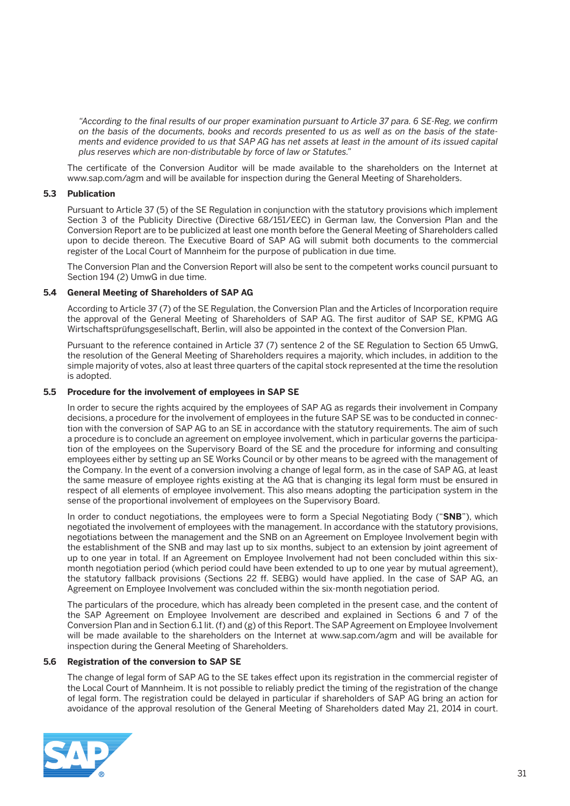*"According to the final results of our proper examination pursuant to Article 37 para. 6 SE-Reg, we confirm on the basis of the documents, books and records presented to us as well as on the basis of the statements and evidence provided to us that SAP AG has net assets at least in the amount of its issued capital plus reserves which are non-distributable by force of law or Statutes."*

 The certificate of the Conversion Auditor will be made available to the shareholders on the Internet at www.sap.com/agm and will be available for inspection during the General Meeting of Shareholders.

#### **5.3 Publication**

 Pursuant to Article 37 (5) of the SE Regulation in conjunction with the statutory provisions which implement Section 3 of the Publicity Directive (Directive 68/151/EEC) in German law, the Conversion Plan and the Conversion Report are to be publicized at least one month before the General Meeting of Shareholders called upon to decide thereon. The Executive Board of SAP AG will submit both documents to the commercial register of the Local Court of Mannheim for the purpose of publication in due time.

 The Conversion Plan and the Conversion Report will also be sent to the competent works council pursuant to Section 194 (2) UmwG in due time.

#### **5.4 General Meeting of Shareholders of SAP AG**

 According to Article 37 (7) of the SE Regulation, the Conversion Plan and the Articles of Incorporation require the approval of the General Meeting of Shareholders of SAP AG. The first auditor of SAP SE, KPMG AG Wirtschaftsprüfungsgesellschaft, Berlin, will also be appointed in the context of the Conversion Plan.

 Pursuant to the reference contained in Article 37 (7) sentence 2 of the SE Regulation to Section 65 UmwG, the resolution of the General Meeting of Shareholders requires a majority, which includes, in addition to the simple majority of votes, also at least three quarters of the capital stock represented at the time the resolution is adopted.

#### **5.5 Procedure for the involvement of employees in SAP SE**

 In order to secure the rights acquired by the employees of SAP AG as regards their involvement in Company decisions, a procedure for the involvement of employees in the future SAP SE was to be conducted in connection with the conversion of SAP AG to an SE in accordance with the statutory requirements. The aim of such a procedure is to conclude an agreement on employee involvement, which in particular governs the participation of the employees on the Supervisory Board of the SE and the procedure for informing and consulting employees either by setting up an SE Works Council or by other means to be agreed with the management of the Company. In the event of a conversion involving a change of legal form, as in the case of SAP AG, at least the same measure of employee rights existing at the AG that is changing its legal form must be ensured in respect of all elements of employee involvement. This also means adopting the participation system in the sense of the proportional involvement of employees on the Supervisory Board.

 In order to conduct negotiations, the employees were to form a Special Negotiating Body ("**SNB**"), which negotiated the involvement of employees with the management. In accordance with the statutory provisions, negotiations between the management and the SNB on an Agreement on Employee Involvement begin with the establishment of the SNB and may last up to six months, subject to an extension by joint agreement of up to one year in total. If an Agreement on Employee Involvement had not been concluded within this sixmonth negotiation period (which period could have been extended to up to one year by mutual agreement), the statutory fallback provisions (Sections 22 ff. SEBG) would have applied. In the case of SAP AG, an Agreement on Employee Involvement was concluded within the six-month negotiation period.

 The particulars of the procedure, which has already been completed in the present case, and the content of the SAP Agreement on Employee Involvement are described and explained in Sections 6 and 7 of the Conversion Plan and in Section 6.1 lit. (f) and (g) of this Report. The SAP Agreement on Employee Involvement will be made available to the shareholders on the Internet at www.sap.com/agm and will be available for inspection during the General Meeting of Shareholders.

#### **5.6 Registration of the conversion to SAP SE**

 The change of legal form of SAP AG to the SE takes effect upon its registration in the commercial register of the Local Court of Mannheim. It is not possible to reliably predict the timing of the registration of the change of legal form. The registration could be delayed in particular if shareholders of SAP AG bring an action for avoidance of the approval resolution of the General Meeting of Shareholders dated May 21, 2014 in court.

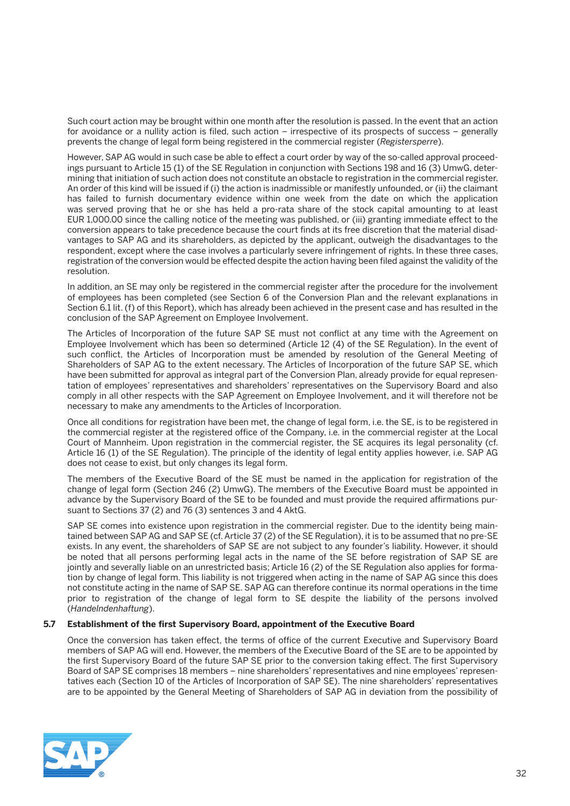Such court action may be brought within one month after the resolution is passed. In the event that an action for avoidance or a nullity action is filed, such action – irrespective of its prospects of success – generally prevents the change of legal form being registered in the commercial register (*Registersperre*).

 However, SAP AG would in such case be able to effect a court order by way of the so-called approval proceedings pursuant to Article 15 (1) of the SE Regulation in conjunction with Sections 198 and 16 (3) UmwG, determining that initiation of such action does not constitute an obstacle to registration in the commercial register. An order of this kind will be issued if (i) the action is inadmissible or manifestly unfounded, or (ii) the claimant has failed to furnish documentary evidence within one week from the date on which the application was served proving that he or she has held a pro-rata share of the stock capital amounting to at least EUR 1,000.00 since the calling notice of the meeting was published, or (iii) granting immediate effect to the conversion appears to take precedence because the court finds at its free discretion that the material disadvantages to SAP AG and its shareholders, as depicted by the applicant, outweigh the disadvantages to the respondent, except where the case involves a particularly severe infringement of rights. In these three cases, registration of the conversion would be effected despite the action having been filed against the validity of the resolution.

 In addition, an SE may only be registered in the commercial register after the procedure for the involvement of employees has been completed (see Section 6 of the Conversion Plan and the relevant explanations in Section 6.1 lit. (f) of this Report), which has already been achieved in the present case and has resulted in the conclusion of the SAP Agreement on Employee Involvement.

 The Articles of Incorporation of the future SAP SE must not conflict at any time with the Agreement on Employee Involvement which has been so determined (Article 12 (4) of the SE Regulation). In the event of such conflict, the Articles of Incorporation must be amended by resolution of the General Meeting of Shareholders of SAP AG to the extent necessary. The Articles of Incorporation of the future SAP SE, which have been submitted for approval as integral part of the Conversion Plan, already provide for equal representation of employees' representatives and shareholders' representatives on the Supervisory Board and also comply in all other respects with the SAP Agreement on Employee Involvement, and it will therefore not be necessary to make any amendments to the Articles of Incorporation.

 Once all conditions for registration have been met, the change of legal form, i.e. the SE, is to be registered in the commercial register at the registered office of the Company, i.e. in the commercial register at the Local Court of Mannheim. Upon registration in the commercial register, the SE acquires its legal personality (cf. Article 16 (1) of the SE Regulation). The principle of the identity of legal entity applies however, i.e. SAP AG does not cease to exist, but only changes its legal form.

 The members of the Executive Board of the SE must be named in the application for registration of the change of legal form (Section 246 (2) UmwG). The members of the Executive Board must be appointed in advance by the Supervisory Board of the SE to be founded and must provide the required affirmations pursuant to Sections 37 (2) and 76 (3) sentences 3 and 4 AktG.

 SAP SE comes into existence upon registration in the commercial register. Due to the identity being maintained between SAP AG and SAP SE (cf. Article 37 (2) of the SE Regulation), it is to be assumed that no pre-SE exists. In any event, the shareholders of SAP SE are not subject to any founder's liability. However, it should be noted that all persons performing legal acts in the name of the SE before registration of SAP SE are jointly and severally liable on an unrestricted basis; Article 16 (2) of the SE Regulation also applies for formation by change of legal form. This liability is not triggered when acting in the name of SAP AG since this does not constitute acting in the name of SAP SE. SAP AG can therefore continue its normal operations in the time prior to registration of the change of legal form to SE despite the liability of the persons involved (*Handelndenhaftung*).

#### **5.7 Establishment of the first Supervisory Board, appointment of the Executive Board**

 Once the conversion has taken effect, the terms of office of the current Executive and Supervisory Board members of SAP AG will end. However, the members of the Executive Board of the SE are to be appointed by the first Supervisory Board of the future SAP SE prior to the conversion taking effect. The first Supervisory Board of SAP SE comprises 18 members – nine shareholders' representatives and nine employees' representatives each (Section 10 of the Articles of Incorporation of SAP SE). The nine shareholders' representatives are to be appointed by the General Meeting of Shareholders of SAP AG in deviation from the possibility of

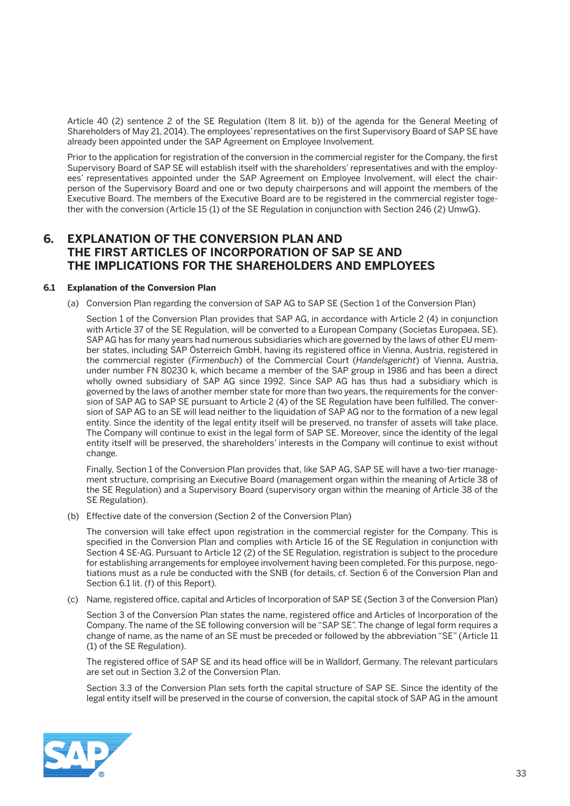Article 40 (2) sentence 2 of the SE Regulation (Item 8 lit. b)) of the agenda for the General Meeting of Shareholders of May 21, 2014). The employees' representatives on the first Supervisory Board of SAP SE have already been appointed under the SAP Agreement on Employee Involvement.

 Prior to the application for registration of the conversion in the commercial register for the Company, the first Supervisory Board of SAP SE will establish itself with the shareholders' representatives and with the employees' representatives appointed under the SAP Agreement on Employee Involvement, will elect the chairperson of the Supervisory Board and one or two deputy chairpersons and will appoint the members of the Executive Board. The members of the Executive Board are to be registered in the commercial register together with the conversion (Article 15 (1) of the SE Regulation in conjunction with Section 246 (2) UmwG).

## **6. EXPLANATION OF THE CONVERSION PLAN AND THE FIRST ARTICLES OF INCORPORATION OF SAP SE AND THE IMPLICATIONS FOR THE SHAREHOLDERS AND EMPLOYEES**

#### **6.1 Explanation of the Conversion Plan**

(a) Conversion Plan regarding the conversion of SAP AG to SAP SE (Section 1 of the Conversion Plan)

 Section 1 of the Conversion Plan provides that SAP AG, in accordance with Article 2 (4) in conjunction with Article 37 of the SE Regulation, will be converted to a European Company (Societas Europaea, SE). SAP AG has for many years had numerous subsidiaries which are governed by the laws of other EU member states, including SAP Österreich GmbH, having its registered office in Vienna, Austria, registered in the commercial register (*Firmenbuch*) of the Commercial Court (*Handelsgericht*) of Vienna, Austria, under number FN 80230 k, which became a member of the SAP group in 1986 and has been a direct wholly owned subsidiary of SAP AG since 1992. Since SAP AG has thus had a subsidiary which is governed by the laws of another member state for more than two years, the requirements for the conversion of SAP AG to SAP SE pursuant to Article 2 (4) of the SE Regulation have been fulfilled. The conversion of SAP AG to an SE will lead neither to the liquidation of SAP AG nor to the formation of a new legal entity. Since the identity of the legal entity itself will be preserved, no transfer of assets will take place. The Company will continue to exist in the legal form of SAP SE. Moreover, since the identity of the legal entity itself will be preserved, the shareholders' interests in the Company will continue to exist without change.

 Finally, Section 1 of the Conversion Plan provides that, like SAP AG, SAP SE will have a two-tier management structure, comprising an Executive Board (management organ within the meaning of Article 38 of the SE Regulation) and a Supervisory Board (supervisory organ within the meaning of Article 38 of the SE Regulation).

(b) Effective date of the conversion (Section 2 of the Conversion Plan)

 The conversion will take effect upon registration in the commercial register for the Company. This is specified in the Conversion Plan and complies with Article 16 of the SE Regulation in conjunction with Section 4 SE-AG. Pursuant to Article 12 (2) of the SE Regulation, registration is subject to the procedure for establishing arrangements for employee involvement having been completed. For this purpose, negotiations must as a rule be conducted with the SNB (for details, cf. Section 6 of the Conversion Plan and Section 6.1 lit. (f) of this Report).

(c) Name, registered office, capital and Articles of Incorporation of SAP SE (Section 3 of the Conversion Plan)

 Section 3 of the Conversion Plan states the name, registered office and Articles of Incorporation of the Company. The name of the SE following conversion will be "SAP SE". The change of legal form requires a change of name, as the name of an SE must be preceded or followed by the abbreviation "SE" (Article 11 (1) of the SE Regulation).

 The registered office of SAP SE and its head office will be in Walldorf, Germany. The relevant particulars are set out in Section 3.2 of the Conversion Plan.

 Section 3.3 of the Conversion Plan sets forth the capital structure of SAP SE. Since the identity of the legal entity itself will be preserved in the course of conversion, the capital stock of SAP AG in the amount

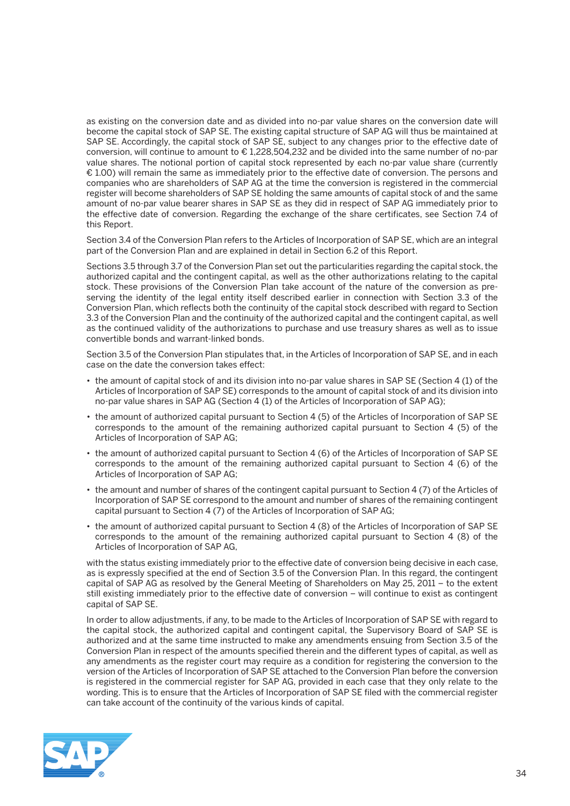as existing on the conversion date and as divided into no-par value shares on the conversion date will become the capital stock of SAP SE. The existing capital structure of SAP AG will thus be maintained at SAP SE. Accordingly, the capital stock of SAP SE, subject to any changes prior to the effective date of conversion, will continue to amount to € 1,228,504,232 and be divided into the same number of no-par value shares. The notional portion of capital stock represented by each no-par value share (currently € 1.00) will remain the same as immediately prior to the effective date of conversion. The persons and companies who are shareholders of SAP AG at the time the conversion is registered in the commercial register will become shareholders of SAP SE holding the same amounts of capital stock of and the same amount of no-par value bearer shares in SAP SE as they did in respect of SAP AG immediately prior to the effective date of conversion. Regarding the exchange of the share certificates, see Section 7.4 of this Report.

 Section 3.4 of the Conversion Plan refers to the Articles of Incorporation of SAP SE, which are an integral part of the Conversion Plan and are explained in detail in Section 6.2 of this Report.

 Sections 3.5 through 3.7 of the Conversion Plan set out the particularities regarding the capital stock, the authorized capital and the contingent capital, as well as the other authorizations relating to the capital stock. These provisions of the Conversion Plan take account of the nature of the conversion as preserving the identity of the legal entity itself described earlier in connection with Section 3.3 of the Conversion Plan, which reflects both the continuity of the capital stock described with regard to Section 3.3 of the Conversion Plan and the continuity of the authorized capital and the contingent capital, as well as the continued validity of the authorizations to purchase and use treasury shares as well as to issue convertible bonds and warrant-linked bonds.

 Section 3.5 of the Conversion Plan stipulates that, in the Articles of Incorporation of SAP SE, and in each case on the date the conversion takes effect:

- • the amount of capital stock of and its division into no-par value shares in SAP SE (Section 4 (1) of the Articles of Incorporation of SAP SE) corresponds to the amount of capital stock of and its division into no-par value shares in SAP AG (Section 4 (1) of the Articles of Incorporation of SAP AG);
- the amount of authorized capital pursuant to Section 4 (5) of the Articles of Incorporation of SAP SE corresponds to the amount of the remaining authorized capital pursuant to Section 4 (5) of the Articles of Incorporation of SAP AG;
- the amount of authorized capital pursuant to Section 4 (6) of the Articles of Incorporation of SAP SE corresponds to the amount of the remaining authorized capital pursuant to Section 4 (6) of the Articles of Incorporation of SAP AG;
- the amount and number of shares of the contingent capital pursuant to Section 4 (7) of the Articles of Incorporation of SAP SE correspond to the amount and number of shares of the remaining contingent capital pursuant to Section 4 (7) of the Articles of Incorporation of SAP AG;
- the amount of authorized capital pursuant to Section 4 (8) of the Articles of Incorporation of SAP SE corresponds to the amount of the remaining authorized capital pursuant to Section 4 (8) of the Articles of Incorporation of SAP AG,

 with the status existing immediately prior to the effective date of conversion being decisive in each case, as is expressly specified at the end of Section 3.5 of the Conversion Plan. In this regard, the contingent capital of SAP AG as resolved by the General Meeting of Shareholders on May 25, 2011 – to the extent still existing immediately prior to the effective date of conversion – will continue to exist as contingent capital of SAP SE.

 In order to allow adjustments, if any, to be made to the Articles of Incorporation of SAP SE with regard to the capital stock, the authorized capital and contingent capital, the Supervisory Board of SAP SE is authorized and at the same time instructed to make any amendments ensuing from Section 3.5 of the Conversion Plan in respect of the amounts specified therein and the different types of capital, as well as any amendments as the register court may require as a condition for registering the conversion to the version of the Articles of Incorporation of SAP SE attached to the Conversion Plan before the conversion is registered in the commercial register for SAP AG, provided in each case that they only relate to the wording. This is to ensure that the Articles of Incorporation of SAP SE filed with the commercial register can take account of the continuity of the various kinds of capital.

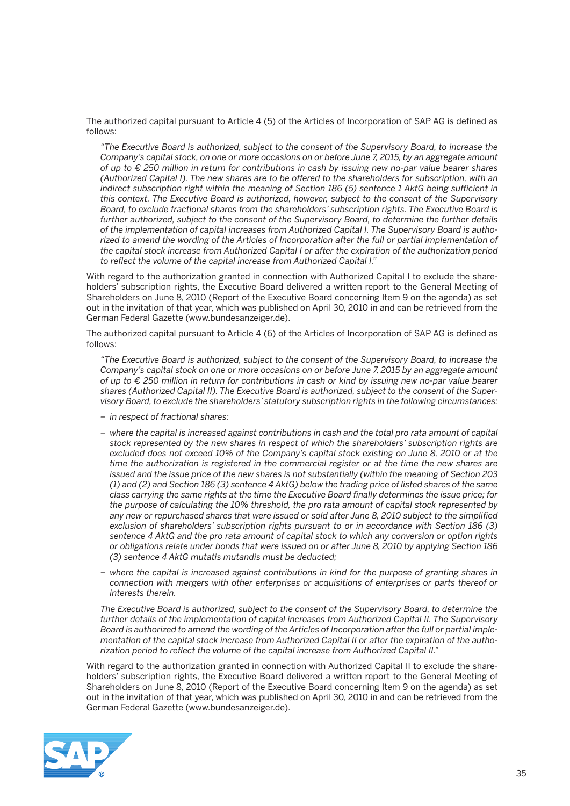The authorized capital pursuant to Article 4 (5) of the Articles of Incorporation of SAP AG is defined as follows:

 *"The Executive Board is authorized, subject to the consent of the Supervisory Board, to increase the Company's capital stock, on one or more occasions on or before June 7, 2015, by an aggregate amount of up to € 250 million in return for contributions in cash by issuing new no-par value bearer shares (Authorized Capital I). The new shares are to be offered to the shareholders for subscription, with an indirect subscription right within the meaning of Section 186 (5) sentence 1 AktG being sufficient in this context. The Executive Board is authorized, however, subject to the consent of the Supervisory Board, to exclude fractional shares from the shareholders' subscription rights. The Executive Board is further authorized, subject to the consent of the Supervisory Board, to determine the further details of the implementation of capital increases from Authorized Capital I. The Supervisory Board is authorized to amend the wording of the Articles of Incorporation after the full or partial implementation of the capital stock increase from Authorized Capital I or after the expiration of the authorization period to reflect the volume of the capital increase from Authorized Capital I."*

With regard to the authorization granted in connection with Authorized Capital I to exclude the shareholders' subscription rights, the Executive Board delivered a written report to the General Meeting of Shareholders on June 8, 2010 (Report of the Executive Board concerning Item 9 on the agenda) as set out in the invitation of that year, which was published on April 30, 2010 in and can be retrieved from the German Federal Gazette (www.bundesanzeiger.de).

 The authorized capital pursuant to Article 4 (6) of the Articles of Incorporation of SAP AG is defined as follows:

 *"The Executive Board is authorized, subject to the consent of the Supervisory Board, to increase the Company's capital stock on one or more occasions on or before June 7, 2015 by an aggregate amount of up to € 250 million in return for contributions in cash or kind by issuing new no-par value bearer shares (Authorized Capital II). The Executive Board is authorized, subject to the consent of the Supervisory Board, to exclude the shareholders' statutory subscription rights in the following circumstances:* 

- *in respect of fractional shares;*
- *– where the capital is increased against contributions in cash and the total pro rata amount of capital stock represented by the new shares in respect of which the shareholders' subscription rights are excluded does not exceed 10% of the Company's capital stock existing on June 8, 2010 or at the time the authorization is registered in the commercial register or at the time the new shares are issued and the issue price of the new shares is not substantially (within the meaning of Section 203 (1) and (2) and Section 186 (3) sentence 4 AktG) below the trading price of listed shares of the same class carrying the same rights at the time the Executive Board finally determines the issue price; for the purpose of calculating the 10% threshold, the pro rata amount of capital stock represented by any new or repurchased shares that were issued or sold after June 8, 2010 subject to the simplified exclusion of shareholders' subscription rights pursuant to or in accordance with Section 186 (3) sentence 4 AktG and the pro rata amount of capital stock to which any conversion or option rights or obligations relate under bonds that were issued on or after June 8, 2010 by applying Section 186 (3) sentence 4 AktG mutatis mutandis must be deducted;*
- *– where the capital is increased against contributions in kind for the purpose of granting shares in connection with mergers with other enterprises or acquisitions of enterprises or parts thereof or interests therein.*

 *The Executive Board is authorized, subject to the consent of the Supervisory Board, to determine the further details of the implementation of capital increases from Authorized Capital II. The Supervisory Board is authorized to amend the wording of the Articles of Incorporation after the full or partial implementation of the capital stock increase from Authorized Capital II or after the expiration of the authorization period to reflect the volume of the capital increase from Authorized Capital II."*

With regard to the authorization granted in connection with Authorized Capital II to exclude the shareholders' subscription rights, the Executive Board delivered a written report to the General Meeting of Shareholders on June 8, 2010 (Report of the Executive Board concerning Item 9 on the agenda) as set out in the invitation of that year, which was published on April 30, 2010 in and can be retrieved from the German Federal Gazette (www.bundesanzeiger.de).

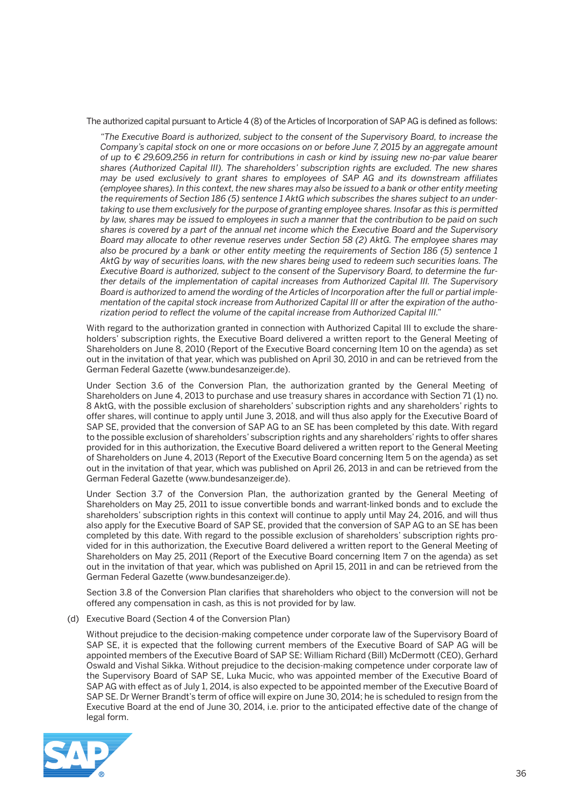The authorized capital pursuant to Article 4 (8) of the Articles of Incorporation of SAP AG is defined as follows:

 *"The Executive Board is authorized, subject to the consent of the Supervisory Board, to increase the Company's capital stock on one or more occasions on or before June 7, 2015 by an aggregate amount of up to € 29,609,256 in return for contributions in cash or kind by issuing new no-par value bearer shares (Authorized Capital III). The shareholders' subscription rights are excluded. The new shares may be used exclusively to grant shares to employees of SAP AG and its downstream affiliates (employee shares). In this context, the new shares may also be issued to a bank or other entity meeting the requirements of Section 186 (5) sentence 1 AktG which subscribes the shares subject to an undertaking to use them exclusively for the purpose of granting employee shares. Insofar as this is permitted by law, shares may be issued to employees in such a manner that the contribution to be paid on such shares is covered by a part of the annual net income which the Executive Board and the Supervisory Board may allocate to other revenue reserves under Section 58 (2) AktG. The employee shares may also be procured by a bank or other entity meeting the requirements of Section 186 (5) sentence 1 AktG by way of securities loans, with the new shares being used to redeem such securities loans. The Executive Board is authorized, subject to the consent of the Supervisory Board, to determine the further details of the implementation of capital increases from Authorized Capital III. The Supervisory Board is authorized to amend the wording of the Articles of Incorporation after the full or partial implementation of the capital stock increase from Authorized Capital III or after the expiration of the authorization period to reflect the volume of the capital increase from Authorized Capital III."*

With regard to the authorization granted in connection with Authorized Capital III to exclude the shareholders' subscription rights, the Executive Board delivered a written report to the General Meeting of Shareholders on June 8, 2010 (Report of the Executive Board concerning Item 10 on the agenda) as set out in the invitation of that year, which was published on April 30, 2010 in and can be retrieved from the German Federal Gazette (www.bundesanzeiger.de).

 Under Section 3.6 of the Conversion Plan, the authorization granted by the General Meeting of Shareholders on June 4, 2013 to purchase and use treasury shares in accordance with Section 71 (1) no. 8 AktG, with the possible exclusion of shareholders' subscription rights and any shareholders' rights to offer shares, will continue to apply until June 3, 2018, and will thus also apply for the Executive Board of SAP SE, provided that the conversion of SAP AG to an SE has been completed by this date. With regard to the possible exclusion of shareholders' subscription rights and any shareholders' rights to offer shares provided for in this authorization, the Executive Board delivered a written report to the General Meeting of Shareholders on June 4, 2013 (Report of the Executive Board concerning Item 5 on the agenda) as set out in the invitation of that year, which was published on April 26, 2013 in and can be retrieved from the German Federal Gazette (www.bundesanzeiger.de).

 Under Section 3.7 of the Conversion Plan, the authorization granted by the General Meeting of Shareholders on May 25, 2011 to issue convertible bonds and warrant-linked bonds and to exclude the shareholders' subscription rights in this context will continue to apply until May 24, 2016, and will thus also apply for the Executive Board of SAP SE, provided that the conversion of SAP AG to an SE has been completed by this date. With regard to the possible exclusion of shareholders' subscription rights provided for in this authorization, the Executive Board delivered a written report to the General Meeting of Shareholders on May 25, 2011 (Report of the Executive Board concerning Item 7 on the agenda) as set out in the invitation of that year, which was published on April 15, 2011 in and can be retrieved from the German Federal Gazette (www.bundesanzeiger.de).

 Section 3.8 of the Conversion Plan clarifies that shareholders who object to the conversion will not be offered any compensation in cash, as this is not provided for by law.

(d) Executive Board (Section 4 of the Conversion Plan)

 Without prejudice to the decision-making competence under corporate law of the Supervisory Board of SAP SE, it is expected that the following current members of the Executive Board of SAP AG will be appointed members of the Executive Board of SAP SE: William Richard (Bill) McDermott (CEO), Gerhard Oswald and Vishal Sikka. Without prejudice to the decision-making competence under corporate law of the Supervisory Board of SAP SE, Luka Mucic, who was appointed member of the Executive Board of SAP AG with effect as of July 1, 2014, is also expected to be appointed member of the Executive Board of SAP SE. Dr Werner Brandt's term of office will expire on June 30, 2014; he is scheduled to resign from the Executive Board at the end of June 30, 2014, i.e. prior to the anticipated effective date of the change of legal form.

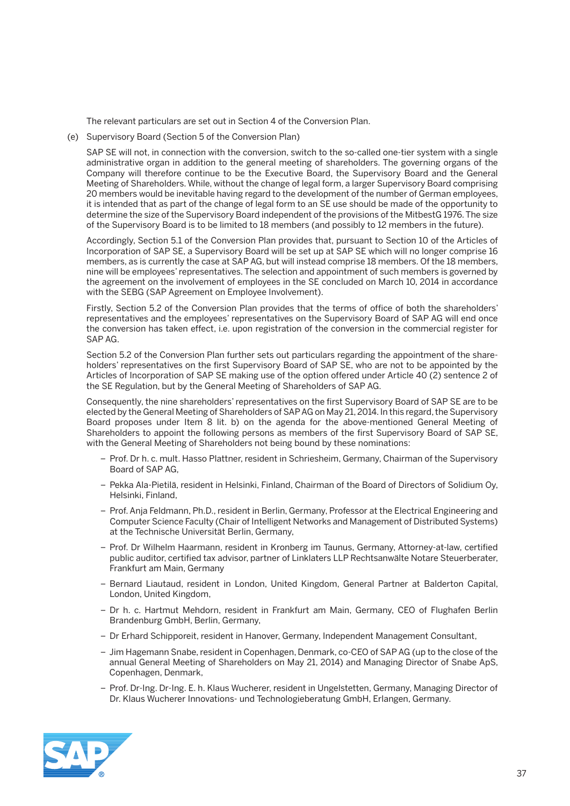The relevant particulars are set out in Section 4 of the Conversion Plan.

(e) Supervisory Board (Section 5 of the Conversion Plan)

 SAP SE will not, in connection with the conversion, switch to the so-called one-tier system with a single administrative organ in addition to the general meeting of shareholders. The governing organs of the Company will therefore continue to be the Executive Board, the Supervisory Board and the General Meeting of Shareholders. While, without the change of legal form, a larger Supervisory Board comprising 20 members would be inevitable having regard to the development of the number of German employees, it is intended that as part of the change of legal form to an SE use should be made of the opportunity to determine the size of the Supervisory Board independent of the provisions of the MitbestG 1976. The size of the Supervisory Board is to be limited to 18 members (and possibly to 12 members in the future).

 Accordingly, Section 5.1 of the Conversion Plan provides that, pursuant to Section 10 of the Articles of Incorporation of SAP SE, a Supervisory Board will be set up at SAP SE which will no longer comprise 16 members, as is currently the case at SAP AG, but will instead comprise 18 members. Of the 18 members, nine will be employees' representatives. The selection and appointment of such members is governed by the agreement on the involvement of employees in the SE concluded on March 10, 2014 in accordance with the SEBG (SAP Agreement on Employee Involvement).

 Firstly, Section 5.2 of the Conversion Plan provides that the terms of office of both the shareholders' representatives and the employees' representatives on the Supervisory Board of SAP AG will end once the conversion has taken effect, i.e. upon registration of the conversion in the commercial register for SAP AG.

 Section 5.2 of the Conversion Plan further sets out particulars regarding the appointment of the shareholders' representatives on the first Supervisory Board of SAP SE, who are not to be appointed by the Articles of Incorporation of SAP SE making use of the option offered under Article 40 (2) sentence 2 of the SE Regulation, but by the General Meeting of Shareholders of SAP AG.

 Consequently, the nine shareholders' representatives on the first Supervisory Board of SAP SE are to be elected by the General Meeting of Shareholders of SAP AG on May 21, 2014. In this regard, the Supervisory Board proposes under Item 8 lit. b) on the agenda for the above-mentioned General Meeting of Shareholders to appoint the following persons as members of the first Supervisory Board of SAP SE, with the General Meeting of Shareholders not being bound by these nominations:

- *–* Prof. Dr h. c. mult. Hasso Plattner, resident in Schriesheim, Germany, Chairman of the Supervisory Board of SAP AG,
- Pekka Ala-Pietilä, resident in Helsinki, Finland, Chairman of the Board of Directors of Solidium Oy, Helsinki, Finland,
- Prof. Anja Feldmann, Ph.D., resident in Berlin, Germany, Professor at the Electrical Engineering and Computer Science Faculty (Chair of Intelligent Networks and Management of Distributed Systems) at the Technische Universität Berlin, Germany,
- Prof. Dr Wilhelm Haarmann, resident in Kronberg im Taunus, Germany, Attorney-at-law, certified public auditor, certified tax advisor, partner of Linklaters LLP Rechtsanwälte Notare Steuerberater, Frankfurt am Main, Germany
- Bernard Liautaud, resident in London, United Kingdom, General Partner at Balderton Capital, London, United Kingdom,
- Dr h. c. Hartmut Mehdorn, resident in Frankfurt am Main, Germany, CEO of Flughafen Berlin Brandenburg GmbH, Berlin, Germany,
- Dr Erhard Schipporeit, resident in Hanover, Germany, Independent Management Consultant,
- Jim Hagemann Snabe, resident in Copenhagen, Denmark, co-CEO of SAP AG (up to the close of the annual General Meeting of Shareholders on May 21, 2014) and Managing Director of Snabe ApS, Copenhagen, Denmark,
- Prof. Dr-Ing. Dr-Ing. E. h. Klaus Wucherer, resident in Ungelstetten, Germany, Managing Director of Dr. Klaus Wucherer Innovations- und Technologieberatung GmbH, Erlangen, Germany.

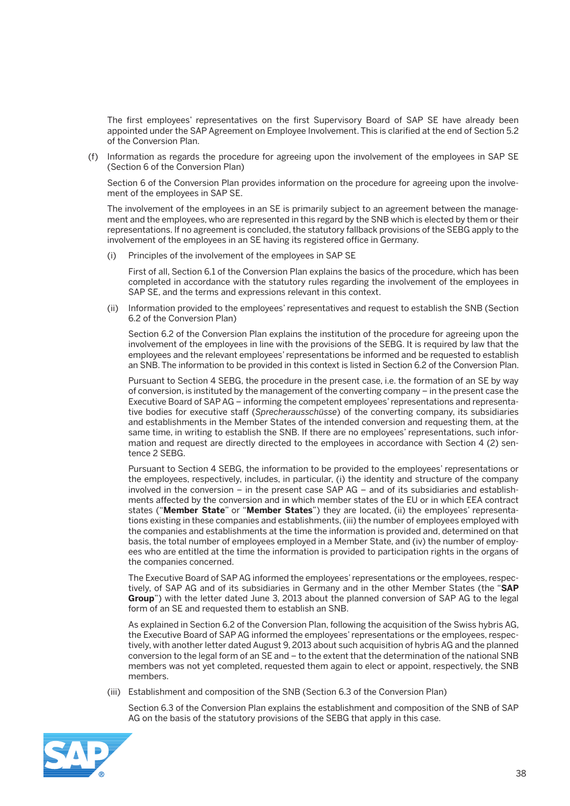The first employees' representatives on the first Supervisory Board of SAP SE have already been appointed under the SAP Agreement on Employee Involvement. This is clarified at the end of Section 5.2 of the Conversion Plan.

 (f) Information as regards the procedure for agreeing upon the involvement of the employees in SAP SE (Section 6 of the Conversion Plan)

 Section 6 of the Conversion Plan provides information on the procedure for agreeing upon the involvement of the employees in SAP SE.

 The involvement of the employees in an SE is primarily subject to an agreement between the management and the employees, who are represented in this regard by the SNB which is elected by them or their representations. If no agreement is concluded, the statutory fallback provisions of the SEBG apply to the involvement of the employees in an SE having its registered office in Germany.

(i) Principles of the involvement of the employees in SAP SE

 First of all, Section 6.1 of the Conversion Plan explains the basics of the procedure, which has been completed in accordance with the statutory rules regarding the involvement of the employees in SAP SE, and the terms and expressions relevant in this context.

 (ii) Information provided to the employees' representatives and request to establish the SNB (Section 6.2 of the Conversion Plan)

 Section 6.2 of the Conversion Plan explains the institution of the procedure for agreeing upon the involvement of the employees in line with the provisions of the SEBG. It is required by law that the employees and the relevant employees' representations be informed and be requested to establish an SNB. The information to be provided in this context is listed in Section 6.2 of the Conversion Plan.

 Pursuant to Section 4 SEBG, the procedure in the present case, i.e. the formation of an SE by way of conversion, is instituted by the management of the converting company – in the present case the Executive Board of SAP AG – informing the competent employees' representations and representative bodies for executive staff (*Sprecherausschüsse*) of the converting company, its subsidiaries and establishments in the Member States of the intended conversion and requesting them, at the same time, in writing to establish the SNB. If there are no employees' representations, such information and request are directly directed to the employees in accordance with Section 4 (2) sentence 2 SEBG.

 Pursuant to Section 4 SEBG, the information to be provided to the employees' representations or the employees, respectively, includes, in particular, (i) the identity and structure of the company involved in the conversion – in the present case SAP AG – and of its subsidiaries and establishments affected by the conversion and in which member states of the EU or in which EEA contract states ("**Member State**" or "**Member States**") they are located, (ii) the employees' representations existing in these companies and establishments, (iii) the number of employees employed with the companies and establishments at the time the information is provided and, determined on that basis, the total number of employees employed in a Member State, and (iv) the number of employees who are entitled at the time the information is provided to participation rights in the organs of the companies concerned.

 The Executive Board of SAP AG informed the employees' representations or the employees, respectively, of SAP AG and of its subsidiaries in Germany and in the other Member States (the "**SAP Group**") with the letter dated June 3, 2013 about the planned conversion of SAP AG to the legal form of an SE and requested them to establish an SNB.

 As explained in Section 6.2 of the Conversion Plan, following the acquisition of the Swiss hybris AG, the Executive Board of SAP AG informed the employees' representations or the employees, respectively, with another letter dated August 9, 2013 about such acquisition of hybris AG and the planned conversion to the legal form of an SE and – to the extent that the determination of the national SNB members was not yet completed, requested them again to elect or appoint, respectively, the SNB members.

(iii) Establishment and composition of the SNB (Section 6.3 of the Conversion Plan)

 Section 6.3 of the Conversion Plan explains the establishment and composition of the SNB of SAP AG on the basis of the statutory provisions of the SEBG that apply in this case.

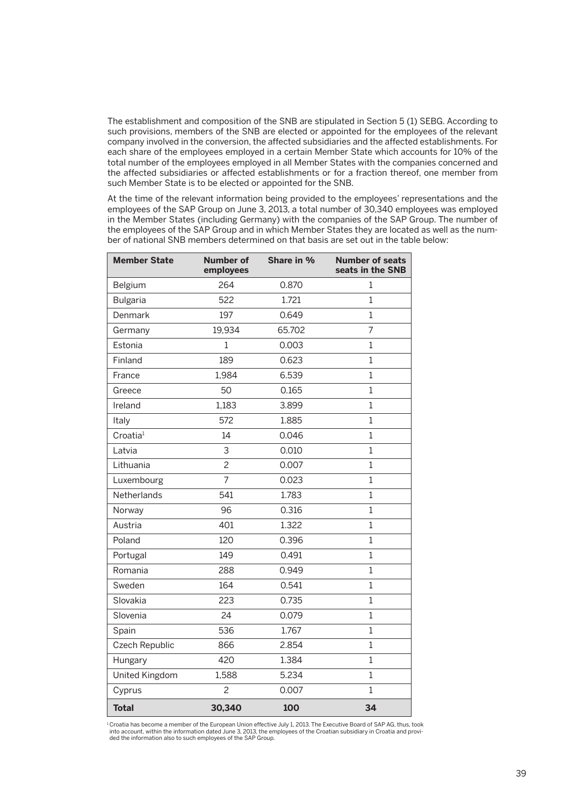The establishment and composition of the SNB are stipulated in Section 5 (1) SEBG. According to such provisions, members of the SNB are elected or appointed for the employees of the relevant company involved in the conversion, the affected subsidiaries and the affected establishments. For each share of the employees employed in a certain Member State which accounts for 10% of the total number of the employees employed in all Member States with the companies concerned and the affected subsidiaries or affected establishments or for a fraction thereof, one member from such Member State is to be elected or appointed for the SNB.

 At the time of the relevant information being provided to the employees' representations and the employees of the SAP Group on June 3, 2013, a total number of 30,340 employees was employed in the Member States (including Germany) with the companies of the SAP Group. The number of the employees of the SAP Group and in which Member States they are located as well as the number of national SNB members determined on that basis are set out in the table below:

| <b>Member State</b>   | <b>Number of</b><br>employees | Share in % | <b>Number of seats</b><br>seats in the SNB |
|-----------------------|-------------------------------|------------|--------------------------------------------|
| Belgium               | 264                           | 0.870      | 1                                          |
| <b>Bulgaria</b>       | 522                           | 1.721      | 1                                          |
| Denmark               | 197                           | 0.649      | 1                                          |
| Germany               | 19,934                        | 65.702     | 7                                          |
| Estonia               | $\mathbf{1}$                  | 0.003      | $\mathbf 1$                                |
| Finland               | 189                           | 0.623      | 1                                          |
| France                | 1,984                         | 6.539      | 1                                          |
| Greece                | 50                            | 0.165      | $\mathbf{1}$                               |
| Ireland               | 1,183                         | 3.899      | $\mathbf 1$                                |
| Italy                 | 572                           | 1.885      | $\mathbf 1$                                |
| Croatia <sup>1</sup>  | 14                            | 0.046      | $\mathbf 1$                                |
| Latvia                | 3                             | 0.010      | 1                                          |
| Lithuania             | $\overline{c}$                | 0.007      | $\overline{1}$                             |
| Luxembourg            | $\overline{7}$                | 0.023      | 1                                          |
| Netherlands           | 541                           | 1.783      | $\overline{1}$                             |
| Norway                | 96                            | 0.316      | 1                                          |
| Austria               | 401                           | 1.322      | $\overline{1}$                             |
| Poland                | 120                           | 0.396      | $\mathbf 1$                                |
| Portugal              | 149                           | 0.491      | $\mathbf{1}$                               |
| Romania               | 288                           | 0.949      | 1                                          |
| Sweden                | 164                           | 0.541      | 1                                          |
| Slovakia              | 223                           | 0.735      | $\mathbf{1}$                               |
| Slovenia              | 24                            | 0.079      | $\mathbf 1$                                |
| Spain                 | 536                           | 1.767      | $\overline{1}$                             |
| <b>Czech Republic</b> | 866                           | 2.854      | 1                                          |
| Hungary               | 420                           | 1.384      | $\mathbf{1}$                               |
| United Kingdom        | 1,588                         | 5.234      | $\mathbf 1$                                |
| Cyprus                | $\overline{c}$                | 0.007      | 1                                          |
| <b>Total</b>          | 30,340                        | 100        | 34                                         |

<sup>1</sup>Croatia has become a member of the European Union effective July 1, 2013. The Executive Board of SAP AG, thus, took<br>into account, within the information dated June 3, 2013, the employees of the Croatian subsidiary in Cr ded the information also to such employees of the SAP Group.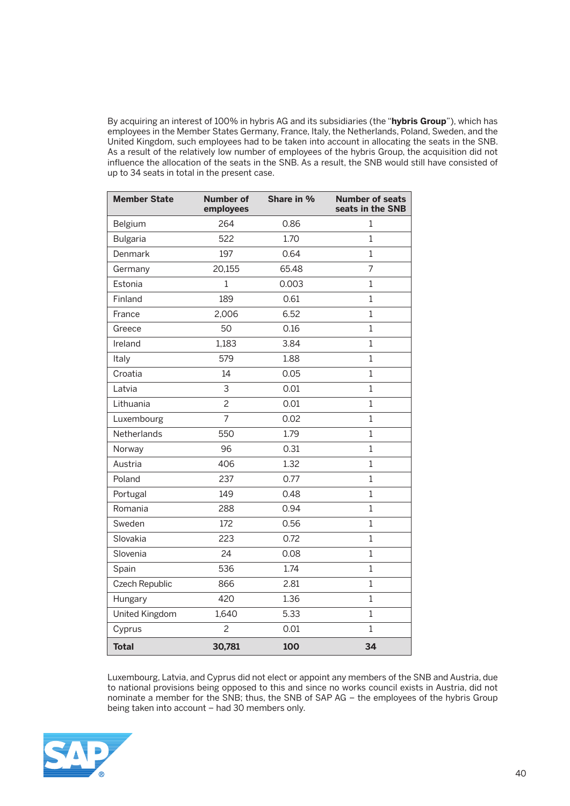By acquiring an interest of 100% in hybris AG and its subsidiaries (the "**hybris Group**"), which has employees in the Member States Germany, France, Italy, the Netherlands, Poland, Sweden, and the United Kingdom, such employees had to be taken into account in allocating the seats in the SNB. As a result of the relatively low number of employees of the hybris Group, the acquisition did not influence the allocation of the seats in the SNB. As a result, the SNB would still have consisted of up to 34 seats in total in the present case.

| <b>Member State</b> | <b>Number of</b><br>employees | Share in % | <b>Number of seats</b><br>seats in the SNB |
|---------------------|-------------------------------|------------|--------------------------------------------|
| Belgium             | 264                           | 0.86       | 1                                          |
| <b>Bulgaria</b>     | 522                           | 1.70       | $\mathbf{1}$                               |
| Denmark             | 197                           | 0.64       | $\mathbf{1}$                               |
| Germany             | 20,155                        | 65.48      | 7                                          |
| Estonia             | 1                             | 0.003      | $\mathbf{1}$                               |
| Finland             | 189                           | 0.61       | $\mathbf{1}$                               |
| France              | 2,006                         | 6.52       | $\mathbf{1}$                               |
| Greece              | 50                            | 0.16       | $\mathbf{1}$                               |
| Ireland             | 1,183                         | 3.84       | $\mathbf{1}$                               |
| Italy               | 579                           | 1.88       | $\mathbf{1}$                               |
| Croatia             | 14                            | 0.05       | $\mathbf{1}$                               |
| Latvia              | 3                             | 0.01       | $\mathbf{1}$                               |
| Lithuania           | $\overline{c}$                | 0.01       | $\mathbf{1}$                               |
| Luxembourg          | $\overline{7}$                | 0.02       | $\mathbf{1}$                               |
| Netherlands         | 550                           | 1.79       | $\mathbf{1}$                               |
| Norway              | 96                            | 0.31       | $\mathbf{1}$                               |
| Austria             | 406                           | 1.32       | $\mathbf{1}$                               |
| Poland              | 237                           | 0.77       | $\mathbf{1}$                               |
| Portugal            | 149                           | 0.48       | $\mathbf{1}$                               |
| Romania             | 288                           | 0.94       | $\mathbf{1}$                               |
| Sweden              | 172                           | 0.56       | 1                                          |
| Slovakia            | 223                           | 0.72       | $\mathbf{1}$                               |
| Slovenia            | 24                            | 0.08       | $\mathbf{1}$                               |
| Spain               | 536                           | 1.74       | $\mathbf{1}$                               |
| Czech Republic      | 866                           | 2.81       | $\mathbf{1}$                               |
| Hungary             | 420                           | 1.36       | $\mathbf{1}$                               |
| United Kingdom      | 1,640                         | 5.33       | $\mathbf{1}$                               |
| Cyprus              | $\overline{c}$                | 0.01       | $\mathbf{1}$                               |
| <b>Total</b>        | 30,781                        | 100        | 34                                         |

 Luxembourg, Latvia, and Cyprus did not elect or appoint any members of the SNB and Austria, due to national provisions being opposed to this and since no works council exists in Austria, did not nominate a member for the SNB; thus, the SNB of SAP AG – the employees of the hybris Group being taken into account – had 30 members only.

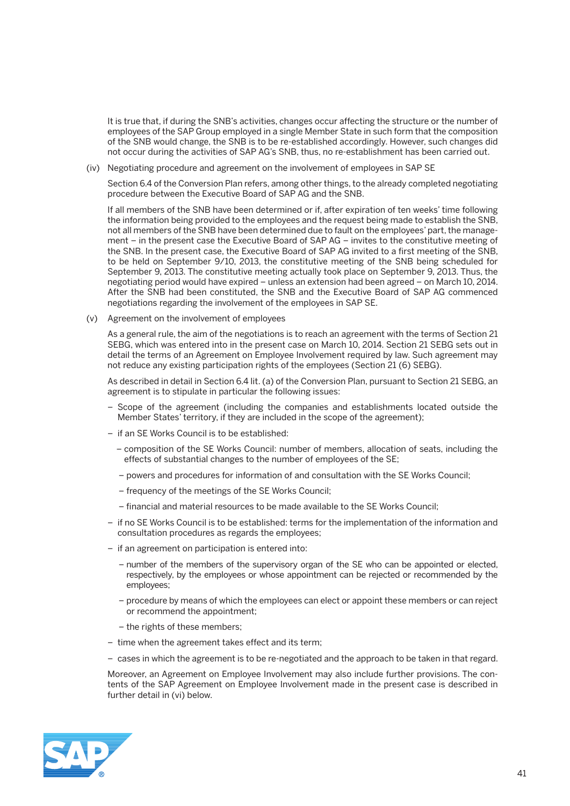It is true that, if during the SNB's activities, changes occur affecting the structure or the number of employees of the SAP Group employed in a single Member State in such form that the composition of the SNB would change, the SNB is to be re-established accordingly. However, such changes did not occur during the activities of SAP AG's SNB, thus, no re-establishment has been carried out.

(iv) Negotiating procedure and agreement on the involvement of employees in SAP SE

 Section 6.4 of the Conversion Plan refers, among other things, to the already completed negotiating procedure between the Executive Board of SAP AG and the SNB.

 If all members of the SNB have been determined or if, after expiration of ten weeks' time following the information being provided to the employees and the request being made to establish the SNB, not all members of the SNB have been determined due to fault on the employees' part, the management – in the present case the Executive Board of SAP AG – invites to the constitutive meeting of the SNB. In the present case, the Executive Board of SAP AG invited to a first meeting of the SNB, to be held on September 9/10, 2013, the constitutive meeting of the SNB being scheduled for September 9, 2013. The constitutive meeting actually took place on September 9, 2013. Thus, the negotiating period would have expired – unless an extension had been agreed – on March 10, 2014. After the SNB had been constituted, the SNB and the Executive Board of SAP AG commenced negotiations regarding the involvement of the employees in SAP SE.

(v) Agreement on the involvement of employees

 As a general rule, the aim of the negotiations is to reach an agreement with the terms of Section 21 SEBG, which was entered into in the present case on March 10, 2014. Section 21 SEBG sets out in detail the terms of an Agreement on Employee Involvement required by law. Such agreement may not reduce any existing participation rights of the employees (Section 21 (6) SEBG).

 As described in detail in Section 6.4 lit. (a) of the Conversion Plan, pursuant to Section 21 SEBG, an agreement is to stipulate in particular the following issues:

- Scope of the agreement (including the companies and establishments located outside the Member States' territory, if they are included in the scope of the agreement);
- if an SE Works Council is to be established:
	- composition of the SE Works Council: number of members, allocation of seats, including the effects of substantial changes to the number of employees of the SE;
	- powers and procedures for information of and consultation with the SE Works Council;
	- frequency of the meetings of the SE Works Council;
	- financial and material resources to be made available to the SE Works Council;
- if no SE Works Council is to be established: terms for the implementation of the information and consultation procedures as regards the employees;
- if an agreement on participation is entered into:
	- number of the members of the supervisory organ of the SE who can be appointed or elected, respectively, by the employees or whose appointment can be rejected or recommended by the employees;
	- procedure by means of which the employees can elect or appoint these members or can reject or recommend the appointment;
	- the rights of these members;
- time when the agreement takes effect and its term;
- cases in which the agreement is to be re-negotiated and the approach to be taken in that regard.

 Moreover, an Agreement on Employee Involvement may also include further provisions. The contents of the SAP Agreement on Employee Involvement made in the present case is described in further detail in (vi) below.

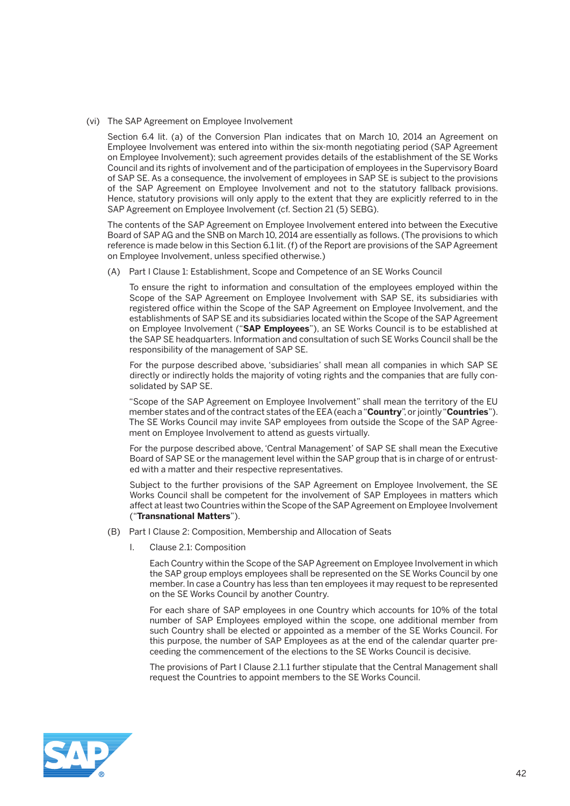(vi) The SAP Agreement on Employee Involvement

 Section 6.4 lit. (a) of the Conversion Plan indicates that on March 10, 2014 an Agreement on Employee Involvement was entered into within the six-month negotiating period (SAP Agreement on Employee Involvement); such agreement provides details of the establishment of the SE Works Council and its rights of involvement and of the participation of employees in the Supervisory Board of SAP SE. As a consequence, the involvement of employees in SAP SE is subject to the provisions of the SAP Agreement on Employee Involvement and not to the statutory fallback provisions. Hence, statutory provisions will only apply to the extent that they are explicitly referred to in the SAP Agreement on Employee Involvement (cf. Section 21 (5) SEBG).

 The contents of the SAP Agreement on Employee Involvement entered into between the Executive Board of SAP AG and the SNB on March 10, 2014 are essentially as follows. (The provisions to which reference is made below in this Section 6.1 lit. (f) of the Report are provisions of the SAP Agreement on Employee Involvement, unless specified otherwise.)

(A) Part I Clause 1: Establishment, Scope and Competence of an SE Works Council

 To ensure the right to information and consultation of the employees employed within the Scope of the SAP Agreement on Employee Involvement with SAP SE, its subsidiaries with registered office within the Scope of the SAP Agreement on Employee Involvement, and the establishments of SAP SE and its subsidiaries located within the Scope of the SAP Agreement on Employee Involvement ("**SAP Employees**"), an SE Works Council is to be established at the SAP SE headquarters. Information and consultation of such SE Works Council shall be the responsibility of the management of SAP SE.

 For the purpose described above, 'subsidiaries' shall mean all companies in which SAP SE directly or indirectly holds the majority of voting rights and the companies that are fully consolidated by SAP SE.

 "Scope of the SAP Agreement on Employee Involvement" shall mean the territory of the EU member states and of the contract states of the EEA (each a "**Country**", or jointly "**Countries**"). The SE Works Council may invite SAP employees from outside the Scope of the SAP Agreement on Employee Involvement to attend as guests virtually.

 For the purpose described above, 'Central Management' of SAP SE shall mean the Executive Board of SAP SE or the management level within the SAP group that is in charge of or entrusted with a matter and their respective representatives.

 Subject to the further provisions of the SAP Agreement on Employee Involvement, the SE Works Council shall be competent for the involvement of SAP Employees in matters which affect at least two Countries within the Scope of the SAP Agreement on Employee Involvement ("**Transnational Matters**").

- (B) Part I Clause 2: Composition, Membership and Allocation of Seats
	- I. Clause 2.1: Composition

 Each Country within the Scope of the SAP Agreement on Employee Involvement in which the SAP group employs employees shall be represented on the SE Works Council by one member. In case a Country has less than ten employees it may request to be represented on the SE Works Council by another Country.

 For each share of SAP employees in one Country which accounts for 10% of the total number of SAP Employees employed within the scope, one additional member from such Country shall be elected or appointed as a member of the SE Works Council. For this purpose, the number of SAP Employees as at the end of the calendar quarter preceeding the commencement of the elections to the SE Works Council is decisive.

 The provisions of Part I Clause 2.1.1 further stipulate that the Central Management shall request the Countries to appoint members to the SE Works Council.

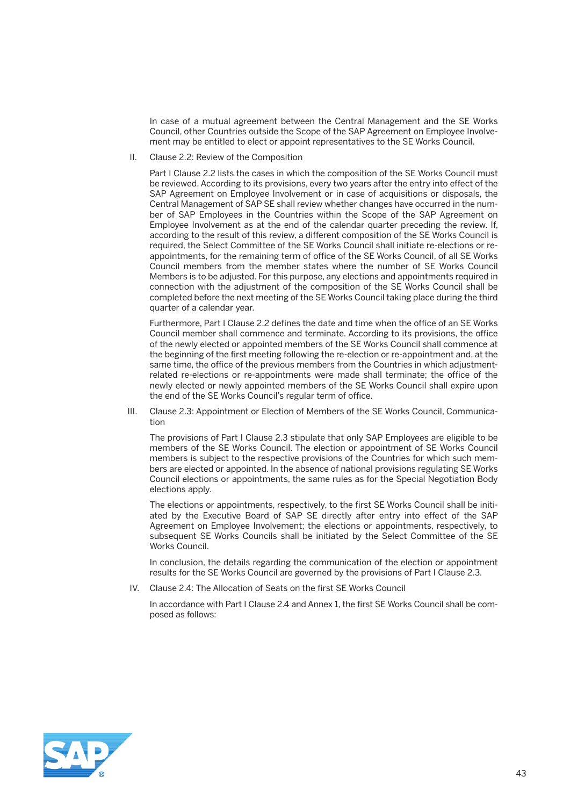In case of a mutual agreement between the Central Management and the SE Works Council, other Countries outside the Scope of the SAP Agreement on Employee Involvement may be entitled to elect or appoint representatives to the SE Works Council.

II. Clause 2.2: Review of the Composition

 Part I Clause 2.2 lists the cases in which the composition of the SE Works Council must be reviewed. According to its provisions, every two years after the entry into effect of the SAP Agreement on Employee Involvement or in case of acquisitions or disposals, the Central Management of SAP SE shall review whether changes have occurred in the number of SAP Employees in the Countries within the Scope of the SAP Agreement on Employee Involvement as at the end of the calendar quarter preceding the review. If, according to the result of this review, a different composition of the SE Works Council is required, the Select Committee of the SE Works Council shall initiate re-elections or reappointments, for the remaining term of office of the SE Works Council, of all SE Works Council members from the member states where the number of SE Works Council Members is to be adjusted. For this purpose, any elections and appointments required in connection with the adjustment of the composition of the SE Works Council shall be completed before the next meeting of the SE Works Council taking place during the third quarter of a calendar year.

 Furthermore, Part I Clause 2.2 defines the date and time when the office of an SE Works Council member shall commence and terminate. According to its provisions, the office of the newly elected or appointed members of the SE Works Council shall commence at the beginning of the first meeting following the re-election or re-appointment and, at the same time, the office of the previous members from the Countries in which adjustmentrelated re-elections or re-appointments were made shall terminate; the office of the newly elected or newly appointed members of the SE Works Council shall expire upon the end of the SE Works Council's regular term of office.

 III. Clause 2.3: Appointment or Election of Members of the SE Works Council, Communication

 The provisions of Part I Clause 2.3 stipulate that only SAP Employees are eligible to be members of the SE Works Council. The election or appointment of SE Works Council members is subject to the respective provisions of the Countries for which such members are elected or appointed. In the absence of national provisions regulating SE Works Council elections or appointments, the same rules as for the Special Negotiation Body elections apply.

 The elections or appointments, respectively, to the first SE Works Council shall be initiated by the Executive Board of SAP SE directly after entry into effect of the SAP Agreement on Employee Involvement; the elections or appointments, respectively, to subsequent SE Works Councils shall be initiated by the Select Committee of the SE Works Council.

 In conclusion, the details regarding the communication of the election or appointment results for the SE Works Council are governed by the provisions of Part I Clause 2.3.

IV. Clause 2.4: The Allocation of Seats on the first SE Works Council

 In accordance with Part I Clause 2.4 and Annex 1, the first SE Works Council shall be composed as follows:

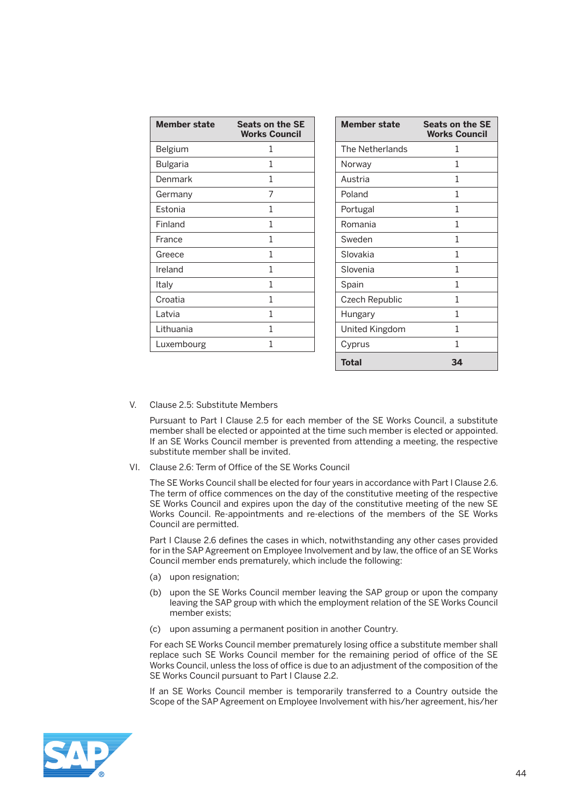| <b>Member state</b> | <b>Seats on the SE</b><br><b>Works Council</b> | <b>Member state</b> | <b>Seats on the SE</b><br><b>Works Council</b> |
|---------------------|------------------------------------------------|---------------------|------------------------------------------------|
| Belgium             | 1                                              | The Netherlands     | 1                                              |
| <b>Bulgaria</b>     |                                                | Norway              |                                                |
| Denmark             | 1                                              | Austria             | 1                                              |
| Germany             | 7                                              | Poland              | 1                                              |
| Estonia             | 1                                              | Portugal            | 1                                              |
| Finland             | 1                                              | Romania             | 1                                              |
| France              | 1                                              | Sweden              |                                                |
| Greece              | 1                                              | Slovakia            | 1                                              |
| Ireland             | 1                                              | Slovenia            | 1                                              |
| Italy               | 1                                              | Spain               | 1                                              |
| Croatia             | 1                                              | Czech Republic      | 1                                              |
| Latvia              | 1                                              | Hungary             | 1                                              |
| Lithuania           | 1                                              | United Kingdom      | 1                                              |
| Luxembourg          | 1                                              | Cyprus              | 1                                              |
|                     |                                                | <b>Total</b>        | 34                                             |

V. Clause 2.5: Substitute Members

 Pursuant to Part I Clause 2.5 for each member of the SE Works Council, a substitute member shall be elected or appointed at the time such member is elected or appointed. If an SE Works Council member is prevented from attending a meeting, the respective substitute member shall be invited.

VI. Clause 2.6: Term of Office of the SE Works Council

 The SE Works Council shall be elected for four years in accordance with Part I Clause 2.6. The term of office commences on the day of the constitutive meeting of the respective SE Works Council and expires upon the day of the constitutive meeting of the new SE Works Council. Re-appointments and re-elections of the members of the SE Works Council are permitted.

 Part I Clause 2.6 defines the cases in which, notwithstanding any other cases provided for in the SAP Agreement on Employee Involvement and by law, the office of an SE Works Council member ends prematurely, which include the following:

- (a) upon resignation;
- (b) upon the SE Works Council member leaving the SAP group or upon the company leaving the SAP group with which the employment relation of the SE Works Council member exists;
- (c) upon assuming a permanent position in another Country.

 For each SE Works Council member prematurely losing office a substitute member shall replace such SE Works Council member for the remaining period of office of the SE Works Council, unless the loss of office is due to an adjustment of the composition of the SE Works Council pursuant to Part I Clause 2.2.

 If an SE Works Council member is temporarily transferred to a Country outside the Scope of the SAP Agreement on Employee Involvement with his/her agreement, his/her

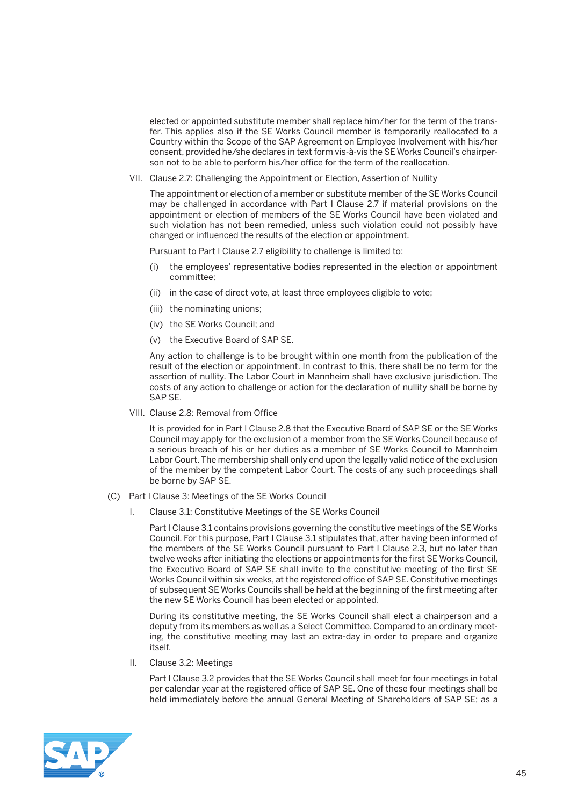elected or appointed substitute member shall replace him/her for the term of the transfer. This applies also if the SE Works Council member is temporarily reallocated to a Country within the Scope of the SAP Agreement on Employee Involvement with his/her consent, provided he/she declares in text form vis-à-vis the SE Works Council's chairperson not to be able to perform his/her office for the term of the reallocation.

VII. Clause 2.7: Challenging the Appointment or Election, Assertion of Nullity

 The appointment or election of a member or substitute member of the SE Works Council may be challenged in accordance with Part I Clause 2.7 if material provisions on the appointment or election of members of the SE Works Council have been violated and such violation has not been remedied, unless such violation could not possibly have changed or influenced the results of the election or appointment.

Pursuant to Part I Clause 2.7 eligibility to challenge is limited to:

- (i) the employees' representative bodies represented in the election or appointment committee;
- (ii) in the case of direct vote, at least three employees eligible to vote;
- (iii) the nominating unions;
- (iv) the SE Works Council; and
- (v) the Executive Board of SAP SE.

 Any action to challenge is to be brought within one month from the publication of the result of the election or appointment. In contrast to this, there shall be no term for the assertion of nullity. The Labor Court in Mannheim shall have exclusive jurisdiction. The costs of any action to challenge or action for the declaration of nullity shall be borne by SAP SE.

VIII. Clause 2.8: Removal from Office

 It is provided for in Part I Clause 2.8 that the Executive Board of SAP SE or the SE Works Council may apply for the exclusion of a member from the SE Works Council because of a serious breach of his or her duties as a member of SE Works Council to Mannheim Labor Court. The membership shall only end upon the legally valid notice of the exclusion of the member by the competent Labor Court. The costs of any such proceedings shall be borne by SAP SE.

- (C) Part I Clause 3: Meetings of the SE Works Council
	- I. Clause 3.1: Constitutive Meetings of the SE Works Council

 Part I Clause 3.1 contains provisions governing the constitutive meetings of the SE Works Council. For this purpose, Part I Clause 3.1 stipulates that, after having been informed of the members of the SE Works Council pursuant to Part I Clause 2.3, but no later than twelve weeks after initiating the elections or appointments for the first SE Works Council, the Executive Board of SAP SE shall invite to the constitutive meeting of the first SE Works Council within six weeks, at the registered office of SAP SE. Constitutive meetings of subsequent SE Works Councils shall be held at the beginning of the first meeting after the new SE Works Council has been elected or appointed.

 During its constitutive meeting, the SE Works Council shall elect a chairperson and a deputy from its members as well as a Select Committee. Compared to an ordinary meeting, the constitutive meeting may last an extra-day in order to prepare and organize itself.

II. Clause 3.2: Meetings

 Part I Clause 3.2 provides that the SE Works Council shall meet for four meetings in total per calendar year at the registered office of SAP SE. One of these four meetings shall be held immediately before the annual General Meeting of Shareholders of SAP SE; as a

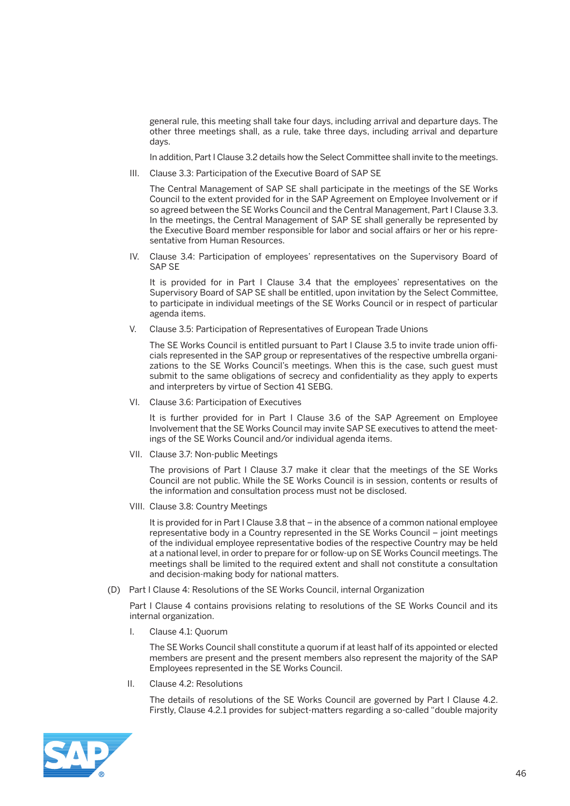general rule, this meeting shall take four days, including arrival and departure days. The other three meetings shall, as a rule, take three days, including arrival and departure days.

In addition, Part I Clause 3.2 details how the Select Committee shall invite to the meetings.

III. Clause 3.3: Participation of the Executive Board of SAP SE

 The Central Management of SAP SE shall participate in the meetings of the SE Works Council to the extent provided for in the SAP Agreement on Employee Involvement or if so agreed between the SE Works Council and the Central Management, Part I Clause 3.3. In the meetings, the Central Management of SAP SE shall generally be represented by the Executive Board member responsible for labor and social affairs or her or his representative from Human Resources.

 IV. Clause 3.4: Participation of employees' representatives on the Supervisory Board of SAP SE

 It is provided for in Part I Clause 3.4 that the employees' representatives on the Supervisory Board of SAP SE shall be entitled, upon invitation by the Select Committee, to participate in individual meetings of the SE Works Council or in respect of particular agenda items.

V. Clause 3.5: Participation of Representatives of European Trade Unions

 The SE Works Council is entitled pursuant to Part I Clause 3.5 to invite trade union officials represented in the SAP group or representatives of the respective umbrella organizations to the SE Works Council's meetings. When this is the case, such guest must submit to the same obligations of secrecy and confidentiality as they apply to experts and interpreters by virtue of Section 41 SEBG.

VI. Clause 3.6: Participation of Executives

 It is further provided for in Part I Clause 3.6 of the SAP Agreement on Employee Involvement that the SE Works Council may invite SAP SE executives to attend the meetings of the SE Works Council and/or individual agenda items.

VII. Clause 3.7: Non-public Meetings

 The provisions of Part I Clause 3.7 make it clear that the meetings of the SE Works Council are not public. While the SE Works Council is in session, contents or results of the information and consultation process must not be disclosed.

VIII. Clause 3.8: Country Meetings

 It is provided for in Part I Clause 3.8 that – in the absence of a common national employee representative body in a Country represented in the SE Works Council – joint meetings of the individual employee representative bodies of the respective Country may be held at a national level, in order to prepare for or follow-up on SE Works Council meetings. The meetings shall be limited to the required extent and shall not constitute a consultation and decision-making body for national matters.

(D) Part I Clause 4: Resolutions of the SE Works Council, internal Organization

 Part I Clause 4 contains provisions relating to resolutions of the SE Works Council and its internal organization.

I. Clause 4.1: Quorum

 The SE Works Council shall constitute a quorum if at least half of its appointed or elected members are present and the present members also represent the majority of the SAP Employees represented in the SE Works Council.

II. Clause 4.2: Resolutions

 The details of resolutions of the SE Works Council are governed by Part I Clause 4.2. Firstly, Clause 4.2.1 provides for subject-matters regarding a so-called "double majority

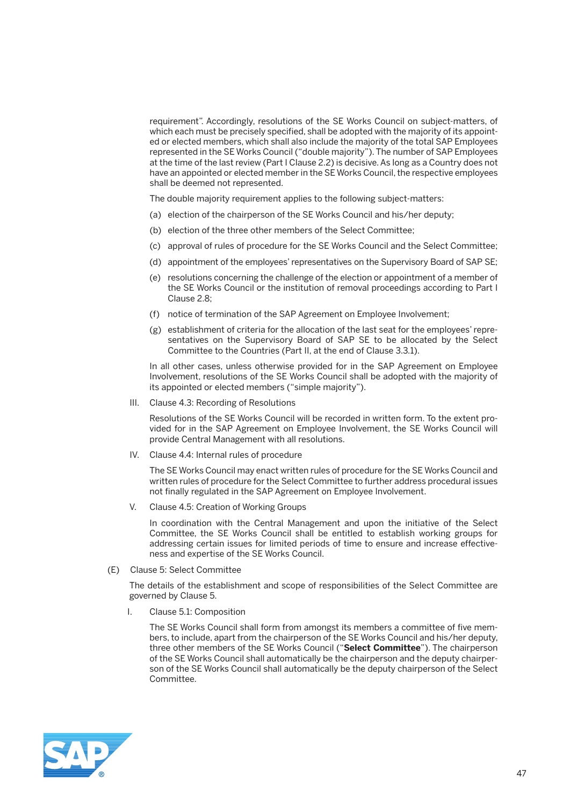requirement". Accordingly, resolutions of the SE Works Council on subject-matters, of which each must be precisely specified, shall be adopted with the majority of its appointed or elected members, which shall also include the majority of the total SAP Employees represented in the SE Works Council ("double majority"). The number of SAP Employees at the time of the last review (Part I Clause 2.2) is decisive. As long as a Country does not have an appointed or elected member in the SE Works Council, the respective employees shall be deemed not represented.

The double majority requirement applies to the following subject-matters:

- (a) election of the chairperson of the SE Works Council and his/her deputy;
- (b) election of the three other members of the Select Committee;
- (c) approval of rules of procedure for the SE Works Council and the Select Committee;
- (d) appointment of the employees' representatives on the Supervisory Board of SAP SE;
- (e) resolutions concerning the challenge of the election or appointment of a member of the SE Works Council or the institution of removal proceedings according to Part I Clause 2.8;
- (f) notice of termination of the SAP Agreement on Employee Involvement;
- (g) establishment of criteria for the allocation of the last seat for the employees' representatives on the Supervisory Board of SAP SE to be allocated by the Select Committee to the Countries (Part II, at the end of Clause 3.3.1).

 In all other cases, unless otherwise provided for in the SAP Agreement on Employee Involvement, resolutions of the SE Works Council shall be adopted with the majority of its appointed or elected members ("simple majority").

III. Clause 4.3: Recording of Resolutions

 Resolutions of the SE Works Council will be recorded in written form. To the extent provided for in the SAP Agreement on Employee Involvement, the SE Works Council will provide Central Management with all resolutions.

IV. Clause 4.4: Internal rules of procedure

 The SE Works Council may enact written rules of procedure for the SE Works Council and written rules of procedure for the Select Committee to further address procedural issues not finally regulated in the SAP Agreement on Employee Involvement.

V. Clause 4.5: Creation of Working Groups

 In coordination with the Central Management and upon the initiative of the Select Committee, the SE Works Council shall be entitled to establish working groups for addressing certain issues for limited periods of time to ensure and increase effectiveness and expertise of the SE Works Council.

(E) Clause 5: Select Committee

 The details of the establishment and scope of responsibilities of the Select Committee are governed by Clause 5.

I. Clause 5.1: Composition

 The SE Works Council shall form from amongst its members a committee of five members, to include, apart from the chairperson of the SE Works Council and his/her deputy, three other members of the SE Works Council ("**Select Committee**"). The chairperson of the SE Works Council shall automatically be the chairperson and the deputy chairperson of the SE Works Council shall automatically be the deputy chairperson of the Select Committee.

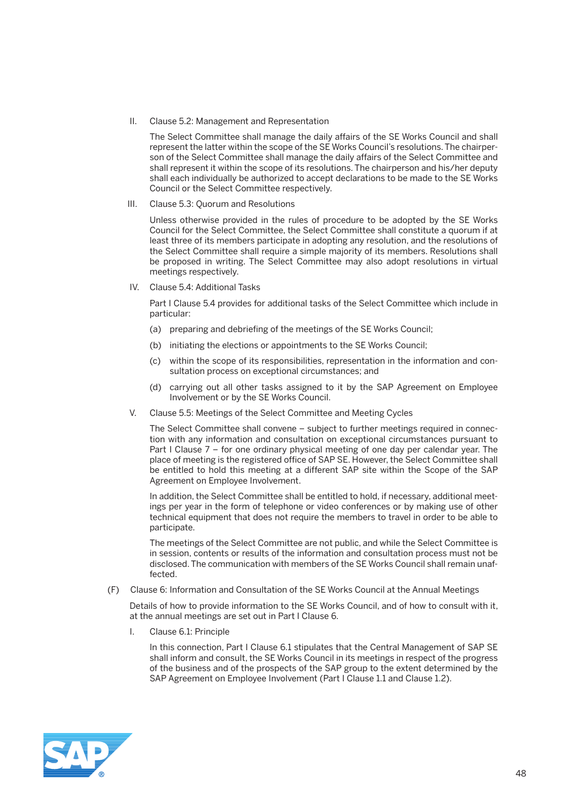II. Clause 5.2: Management and Representation

 The Select Committee shall manage the daily affairs of the SE Works Council and shall represent the latter within the scope of the SE Works Council's resolutions. The chairperson of the Select Committee shall manage the daily affairs of the Select Committee and shall represent it within the scope of its resolutions. The chairperson and his/her deputy shall each individually be authorized to accept declarations to be made to the SE Works Council or the Select Committee respectively.

III. Clause 5.3: Quorum and Resolutions

 Unless otherwise provided in the rules of procedure to be adopted by the SE Works Council for the Select Committee, the Select Committee shall constitute a quorum if at least three of its members participate in adopting any resolution, and the resolutions of the Select Committee shall require a simple majority of its members. Resolutions shall be proposed in writing. The Select Committee may also adopt resolutions in virtual meetings respectively.

IV. Clause 5.4: Additional Tasks

 Part I Clause 5.4 provides for additional tasks of the Select Committee which include in particular:

- (a) preparing and debriefing of the meetings of the SE Works Council;
- (b) initiating the elections or appointments to the SE Works Council;
- (c) within the scope of its responsibilities, representation in the information and consultation process on exceptional circumstances; and
- (d) carrying out all other tasks assigned to it by the SAP Agreement on Employee Involvement or by the SE Works Council.
- V. Clause 5.5: Meetings of the Select Committee and Meeting Cycles

 The Select Committee shall convene – subject to further meetings required in connection with any information and consultation on exceptional circumstances pursuant to Part I Clause 7 – for one ordinary physical meeting of one day per calendar year. The place of meeting is the registered office of SAP SE. However, the Select Committee shall be entitled to hold this meeting at a different SAP site within the Scope of the SAP Agreement on Employee Involvement.

 In addition, the Select Committee shall be entitled to hold, if necessary, additional meetings per year in the form of telephone or video conferences or by making use of other technical equipment that does not require the members to travel in order to be able to participate.

 The meetings of the Select Committee are not public, and while the Select Committee is in session, contents or results of the information and consultation process must not be disclosed. The communication with members of the SE Works Council shall remain unaffected.

(F) Clause 6: Information and Consultation of the SE Works Council at the Annual Meetings

 Details of how to provide information to the SE Works Council, and of how to consult with it, at the annual meetings are set out in Part I Clause 6.

I. Clause 6.1: Principle

 In this connection, Part I Clause 6.1 stipulates that the Central Management of SAP SE shall inform and consult, the SE Works Council in its meetings in respect of the progress of the business and of the prospects of the SAP group to the extent determined by the SAP Agreement on Employee Involvement (Part I Clause 1.1 and Clause 1.2).

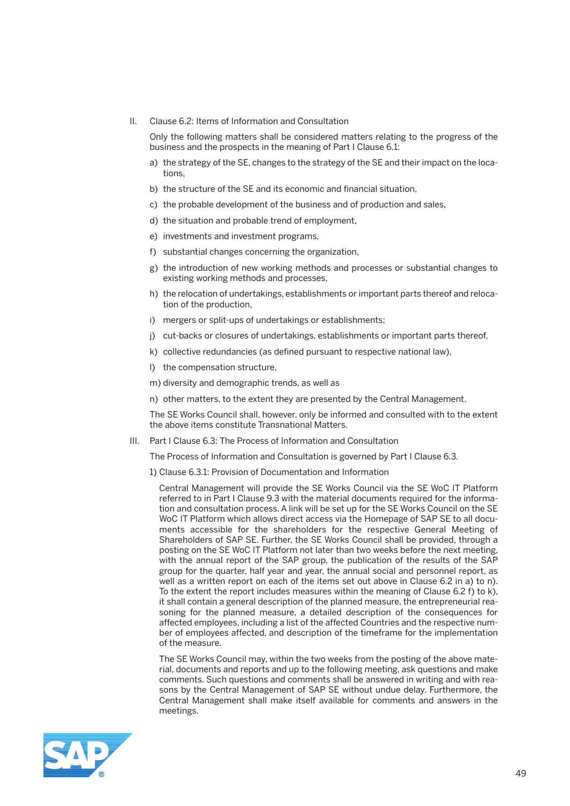II. Clause 6.2: Items of Information and Consultation

 Only the following matters shall be considered matters relating to the progress of the business and the prospects in the meaning of Part I Clause 6.1:

- a) the strategy of the SE, changes to the strategy of the SE and their impact on the locations,
- b) the structure of the SE and its economic and financial situation,
- c) the probable development of the business and of production and sales,
- d) the situation and probable trend of employment,
- e) investments and investment programs,
- f) substantial changes concerning the organization,
- g) the introduction of new working methods and processes or substantial changes to existing working methods and processes,
- h) the relocation of undertakings, establishments or important parts thereof and relocation of the production,
- i) mergers or split-ups of undertakings or establishments;
- j) cut-backs or closures of undertakings, establishments or important parts thereof,
- k) collective redundancies (as defined pursuant to respective national law),
- l) the compensation structure,
- m) diversity and demographic trends, as well as
- n) other matters, to the extent they are presented by the Central Management.

 The SE Works Council shall, however, only be informed and consulted with to the extent the above items constitute Transnational Matters.

III. Part I Clause 6.3: The Process of Information and Consultation

The Process of Information and Consultation is governed by Part I Clause 6.3.

1) Clause 6.3.1: Provision of Documentation and Information

 Central Management will provide the SE Works Council via the SE WoC IT Platform referred to in Part I Clause 9.3 with the material documents required for the information and consultation process. A link will be set up for the SE Works Council on the SE WoC IT Platform which allows direct access via the Homepage of SAP SE to all documents accessible for the shareholders for the respective General Meeting of Shareholders of SAP SE. Further, the SE Works Council shall be provided, through a posting on the SE WoC IT Platform not later than two weeks before the next meeting, with the annual report of the SAP group, the publication of the results of the SAP group for the quarter, half year and year, the annual social and personnel report, as well as a written report on each of the items set out above in Clause 6.2 in a) to n). To the extent the report includes measures within the meaning of Clause 6.2 f) to k), it shall contain a general description of the planned measure, the entrepreneurial reasoning for the planned measure, a detailed description of the consequences for affected employees, including a list of the affected Countries and the respective number of employees affected, and description of the timeframe for the implementation of the measure.

 The SE Works Council may, within the two weeks from the posting of the above material, documents and reports and up to the following meeting, ask questions and make comments. Such questions and comments shall be answered in writing and with reasons by the Central Management of SAP SE without undue delay. Furthermore, the Central Management shall make itself available for comments and answers in the meetings.

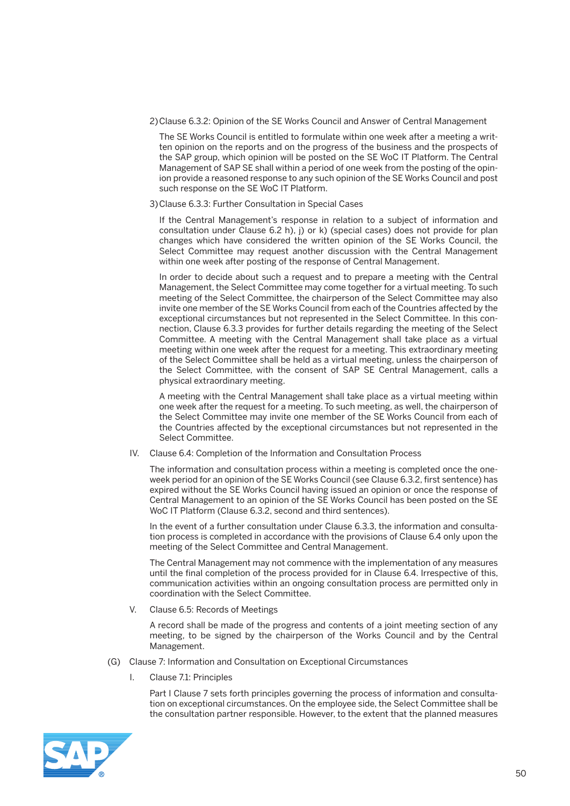2)Clause 6.3.2: Opinion of the SE Works Council and Answer of Central Management

 The SE Works Council is entitled to formulate within one week after a meeting a written opinion on the reports and on the progress of the business and the prospects of the SAP group, which opinion will be posted on the SE WoC IT Platform. The Central Management of SAP SE shall within a period of one week from the posting of the opinion provide a reasoned response to any such opinion of the SE Works Council and post such response on the SE WoC IT Platform.

3)Clause 6.3.3: Further Consultation in Special Cases

 If the Central Management's response in relation to a subject of information and consultation under Clause 6.2 h), j) or k) (special cases) does not provide for plan changes which have considered the written opinion of the SE Works Council, the Select Committee may request another discussion with the Central Management within one week after posting of the response of Central Management.

 In order to decide about such a request and to prepare a meeting with the Central Management, the Select Committee may come together for a virtual meeting. To such meeting of the Select Committee, the chairperson of the Select Committee may also invite one member of the SE Works Council from each of the Countries affected by the exceptional circumstances but not represented in the Select Committee. In this connection, Clause 6.3.3 provides for further details regarding the meeting of the Select Committee. A meeting with the Central Management shall take place as a virtual meeting within one week after the request for a meeting. This extraordinary meeting of the Select Committee shall be held as a virtual meeting, unless the chairperson of the Select Committee, with the consent of SAP SE Central Management, calls a physical extraordinary meeting.

 A meeting with the Central Management shall take place as a virtual meeting within one week after the request for a meeting. To such meeting, as well, the chairperson of the Select Committee may invite one member of the SE Works Council from each of the Countries affected by the exceptional circumstances but not represented in the Select Committee.

IV. Clause 6.4: Completion of the Information and Consultation Process

 The information and consultation process within a meeting is completed once the oneweek period for an opinion of the SE Works Council (see Clause 6.3.2, first sentence) has expired without the SE Works Council having issued an opinion or once the response of Central Management to an opinion of the SE Works Council has been posted on the SE WoC IT Platform (Clause 6.3.2, second and third sentences).

 In the event of a further consultation under Clause 6.3.3, the information and consultation process is completed in accordance with the provisions of Clause 6.4 only upon the meeting of the Select Committee and Central Management.

 The Central Management may not commence with the implementation of any measures until the final completion of the process provided for in Clause 6.4. Irrespective of this, communication activities within an ongoing consultation process are permitted only in coordination with the Select Committee.

V. Clause 6.5: Records of Meetings

 A record shall be made of the progress and contents of a joint meeting section of any meeting, to be signed by the chairperson of the Works Council and by the Central Management.

- (G) Clause 7: Information and Consultation on Exceptional Circumstances
	- Clause 7.1: Principles

 Part I Clause 7 sets forth principles governing the process of information and consultation on exceptional circumstances. On the employee side, the Select Committee shall be the consultation partner responsible. However, to the extent that the planned measures

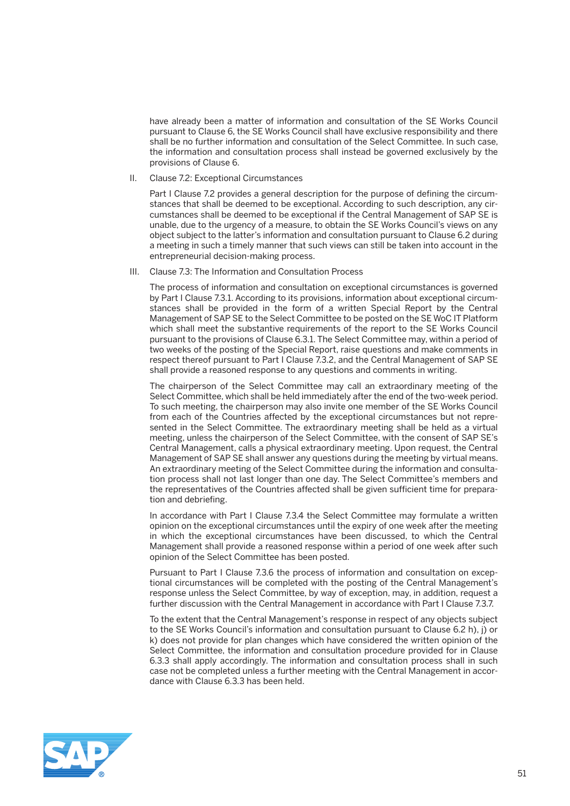have already been a matter of information and consultation of the SE Works Council pursuant to Clause 6, the SE Works Council shall have exclusive responsibility and there shall be no further information and consultation of the Select Committee. In such case, the information and consultation process shall instead be governed exclusively by the provisions of Clause 6.

II. Clause 7.2: Exceptional Circumstances

 Part I Clause 7.2 provides a general description for the purpose of defining the circumstances that shall be deemed to be exceptional. According to such description, any circumstances shall be deemed to be exceptional if the Central Management of SAP SE is unable, due to the urgency of a measure, to obtain the SE Works Council's views on any object subject to the latter's information and consultation pursuant to Clause 6.2 during a meeting in such a timely manner that such views can still be taken into account in the entrepreneurial decision-making process.

III. Clause 7.3: The Information and Consultation Process

 The process of information and consultation on exceptional circumstances is governed by Part I Clause 7.3.1. According to its provisions, information about exceptional circumstances shall be provided in the form of a written Special Report by the Central Management of SAP SE to the Select Committee to be posted on the SE WoC IT Platform which shall meet the substantive requirements of the report to the SE Works Council pursuant to the provisions of Clause 6.3.1. The Select Committee may, within a period of two weeks of the posting of the Special Report, raise questions and make comments in respect thereof pursuant to Part I Clause 7.3.2, and the Central Management of SAP SE shall provide a reasoned response to any questions and comments in writing.

 The chairperson of the Select Committee may call an extraordinary meeting of the Select Committee, which shall be held immediately after the end of the two-week period. To such meeting, the chairperson may also invite one member of the SE Works Council from each of the Countries affected by the exceptional circumstances but not represented in the Select Committee. The extraordinary meeting shall be held as a virtual meeting, unless the chairperson of the Select Committee, with the consent of SAP SE's Central Management, calls a physical extraordinary meeting. Upon request, the Central Management of SAP SE shall answer any questions during the meeting by virtual means. An extraordinary meeting of the Select Committee during the information and consultation process shall not last longer than one day. The Select Committee's members and the representatives of the Countries affected shall be given sufficient time for preparation and debriefing.

 In accordance with Part I Clause 7.3.4 the Select Committee may formulate a written opinion on the exceptional circumstances until the expiry of one week after the meeting in which the exceptional circumstances have been discussed, to which the Central Management shall provide a reasoned response within a period of one week after such opinion of the Select Committee has been posted.

 Pursuant to Part I Clause 7.3.6 the process of information and consultation on exceptional circumstances will be completed with the posting of the Central Management's response unless the Select Committee, by way of exception, may, in addition, request a further discussion with the Central Management in accordance with Part I Clause 7.3.7.

 To the extent that the Central Management's response in respect of any objects subject to the SE Works Council's information and consultation pursuant to Clause 6.2 h), j) or k) does not provide for plan changes which have considered the written opinion of the Select Committee, the information and consultation procedure provided for in Clause 6.3.3 shall apply accordingly. The information and consultation process shall in such case not be completed unless a further meeting with the Central Management in accordance with Clause 6.3.3 has been held.

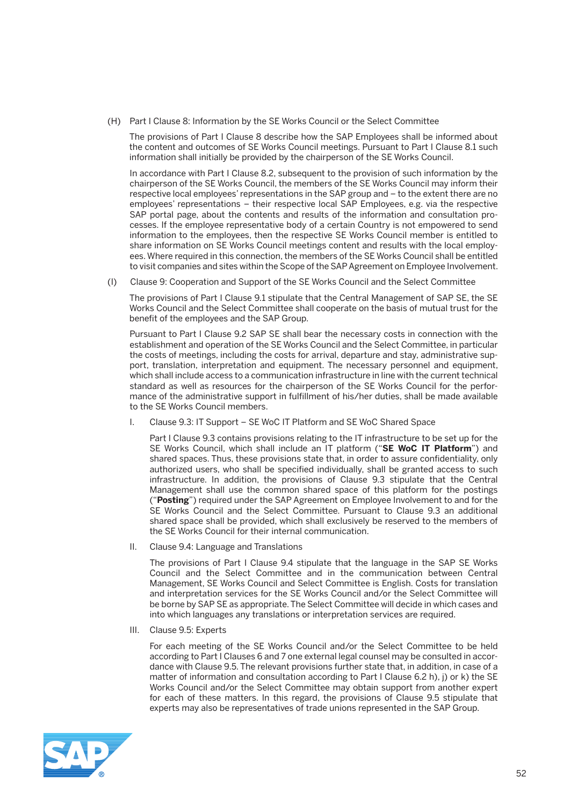(H) Part I Clause 8: Information by the SE Works Council or the Select Committee

 The provisions of Part I Clause 8 describe how the SAP Employees shall be informed about the content and outcomes of SE Works Council meetings. Pursuant to Part I Clause 8.1 such information shall initially be provided by the chairperson of the SE Works Council.

 In accordance with Part I Clause 8.2, subsequent to the provision of such information by the chairperson of the SE Works Council, the members of the SE Works Council may inform their respective local employees' representations in the SAP group and – to the extent there are no employees' representations – their respective local SAP Employees, e.g. via the respective SAP portal page, about the contents and results of the information and consultation processes. If the employee representative body of a certain Country is not empowered to send information to the employees, then the respective SE Works Council member is entitled to share information on SE Works Council meetings content and results with the local employees. Where required in this connection, the members of the SE Works Council shall be entitled to visit companies and sites within the Scope of the SAP Agreement on Employee Involvement.

(I) Clause 9: Cooperation and Support of the SE Works Council and the Select Committee

 The provisions of Part I Clause 9.1 stipulate that the Central Management of SAP SE, the SE Works Council and the Select Committee shall cooperate on the basis of mutual trust for the benefit of the employees and the SAP Group.

 Pursuant to Part I Clause 9.2 SAP SE shall bear the necessary costs in connection with the establishment and operation of the SE Works Council and the Select Committee, in particular the costs of meetings, including the costs for arrival, departure and stay, administrative support, translation, interpretation and equipment. The necessary personnel and equipment, which shall include access to a communication infrastructure in line with the current technical standard as well as resources for the chairperson of the SE Works Council for the performance of the administrative support in fulfillment of his/her duties, shall be made available to the SE Works Council members.

I. Clause 9.3: IT Support – SE WoC IT Platform and SE WoC Shared Space

 Part I Clause 9.3 contains provisions relating to the IT infrastructure to be set up for the SE Works Council, which shall include an IT platform ("**SE WoC IT Platform**") and shared spaces. Thus, these provisions state that, in order to assure confidentiality, only authorized users, who shall be specified individually, shall be granted access to such infrastructure. In addition, the provisions of Clause 9.3 stipulate that the Central Management shall use the common shared space of this platform for the postings ("**Posting**") required under the SAP Agreement on Employee Involvement to and for the SE Works Council and the Select Committee. Pursuant to Clause 9.3 an additional shared space shall be provided, which shall exclusively be reserved to the members of the SE Works Council for their internal communication.

II. Clause 9.4: Language and Translations

 The provisions of Part I Clause 9.4 stipulate that the language in the SAP SE Works Council and the Select Committee and in the communication between Central Management, SE Works Council and Select Committee is English. Costs for translation and interpretation services for the SE Works Council and/or the Select Committee will be borne by SAP SE as appropriate. The Select Committee will decide in which cases and into which languages any translations or interpretation services are required.

III. Clause 9.5: Experts

 For each meeting of the SE Works Council and/or the Select Committee to be held according to Part I Clauses 6 and 7 one external legal counsel may be consulted in accordance with Clause 9.5. The relevant provisions further state that, in addition, in case of a matter of information and consultation according to Part I Clause 6.2 h), j) or k) the SE Works Council and/or the Select Committee may obtain support from another expert for each of these matters. In this regard, the provisions of Clause 9.5 stipulate that experts may also be representatives of trade unions represented in the SAP Group.

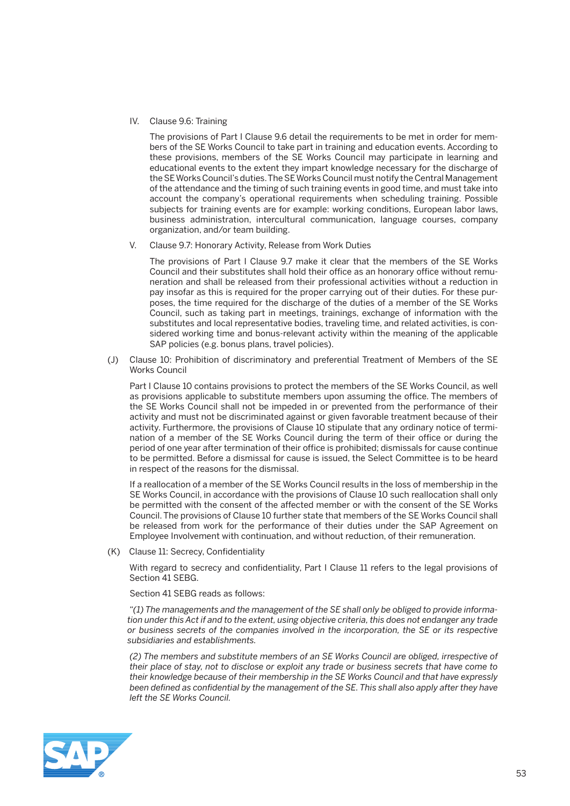IV. Clause 9.6: Training

 The provisions of Part I Clause 9.6 detail the requirements to be met in order for members of the SE Works Council to take part in training and education events. According to these provisions, members of the SE Works Council may participate in learning and educational events to the extent they impart knowledge necessary for the discharge of the SE Works Council's duties. The SE Works Council must notify the Central Management of the attendance and the timing of such training events in good time, and must take into account the company's operational requirements when scheduling training. Possible subjects for training events are for example: working conditions, European labor laws, business administration, intercultural communication, language courses, company organization, and/or team building.

V. Clause 9.7: Honorary Activity, Release from Work Duties

 The provisions of Part I Clause 9.7 make it clear that the members of the SE Works Council and their substitutes shall hold their office as an honorary office without remuneration and shall be released from their professional activities without a reduction in pay insofar as this is required for the proper carrying out of their duties. For these purposes, the time required for the discharge of the duties of a member of the SE Works Council, such as taking part in meetings, trainings, exchange of information with the substitutes and local representative bodies, traveling time, and related activities, is considered working time and bonus-relevant activity within the meaning of the applicable SAP policies (e.g. bonus plans, travel policies).

 (J) Clause 10: Prohibition of discriminatory and preferential Treatment of Members of the SE Works Council

 Part I Clause 10 contains provisions to protect the members of the SE Works Council, as well as provisions applicable to substitute members upon assuming the office. The members of the SE Works Council shall not be impeded in or prevented from the performance of their activity and must not be discriminated against or given favorable treatment because of their activity. Furthermore, the provisions of Clause 10 stipulate that any ordinary notice of termination of a member of the SE Works Council during the term of their office or during the period of one year after termination of their office is prohibited; dismissals for cause continue to be permitted. Before a dismissal for cause is issued, the Select Committee is to be heard in respect of the reasons for the dismissal.

 If a reallocation of a member of the SE Works Council results in the loss of membership in the SE Works Council, in accordance with the provisions of Clause 10 such reallocation shall only be permitted with the consent of the affected member or with the consent of the SE Works Council. The provisions of Clause 10 further state that members of the SE Works Council shall be released from work for the performance of their duties under the SAP Agreement on Employee Involvement with continuation, and without reduction, of their remuneration.

(K) Clause 11: Secrecy, Confidentiality

With regard to secrecy and confidentiality, Part I Clause 11 refers to the legal provisions of Section 41 SEBG.

Section 41 SEBG reads as follows:

 *"(1) The managements and the management of the SE shall only be obliged to provide information under this Act if and to the extent, using objective criteria, this does not endanger any trade or business secrets of the companies involved in the incorporation, the SE or its respective subsidiaries and establishments.* 

 *(2) The members and substitute members of an SE Works Council are obliged, irrespective of their place of stay, not to disclose or exploit any trade or business secrets that have come to their knowledge because of their membership in the SE Works Council and that have expressly been defined as confidential by the management of the SE. This shall also apply after they have left the SE Works Council.* 

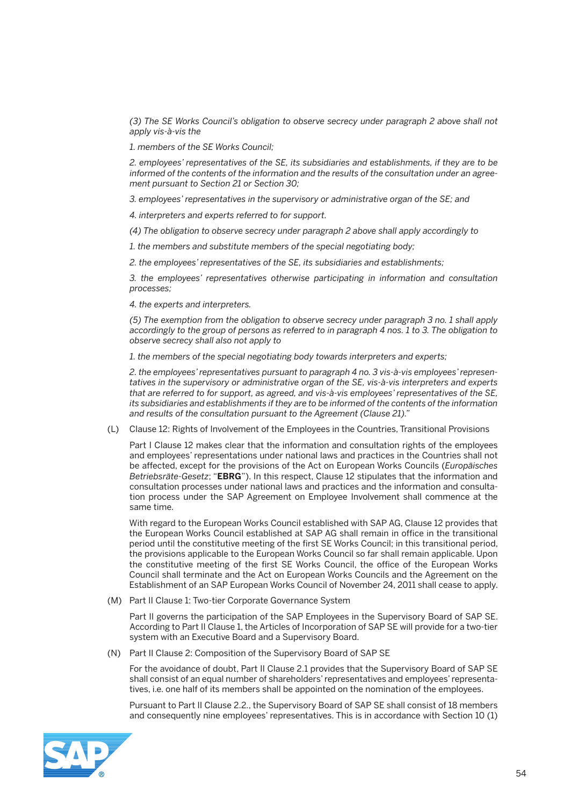*(3) The SE Works Council's obligation to observe secrecy under paragraph 2 above shall not apply vis-à-vis the* 

 *1. members of the SE Works Council;*

 *2. employees' representatives of the SE, its subsidiaries and establishments, if they are to be informed of the contents of the information and the results of the consultation under an agreement pursuant to Section 21 or Section 30;*

 *3. employees' representatives in the supervisory or administrative organ of the SE; and*

 *4. interpreters and experts referred to for support.*

 *(4) The obligation to observe secrecy under paragraph 2 above shall apply accordingly to* 

 *1. the members and substitute members of the special negotiating body;*

 *2. the employees' representatives of the SE, its subsidiaries and establishments;*

 *3. the employees' representatives otherwise participating in information and consultation processes;*

 *4. the experts and interpreters.*

 *(5) The exemption from the obligation to observe secrecy under paragraph 3 no. 1 shall apply accordingly to the group of persons as referred to in paragraph 4 nos. 1 to 3. The obligation to observe secrecy shall also not apply to* 

 *1. the members of the special negotiating body towards interpreters and experts;*

 *2. the employees' representatives pursuant to paragraph 4 no. 3 vis-à-vis employees' representatives in the supervisory or administrative organ of the SE, vis-à-vis interpreters and experts that are referred to for support, as agreed, and vis-à-vis employees' representatives of the SE, its subsidiaries and establishments if they are to be informed of the contents of the information and results of the consultation pursuant to the Agreement (Clause 21)."*

(L) Clause 12: Rights of Involvement of the Employees in the Countries, Transitional Provisions

 Part I Clause 12 makes clear that the information and consultation rights of the employees and employees' representations under national laws and practices in the Countries shall not be affected, except for the provisions of the Act on European Works Councils (*Europäisches Betriebsräte-Gesetz*; "**EBRG**"). In this respect, Clause 12 stipulates that the information and consultation processes under national laws and practices and the information and consultation process under the SAP Agreement on Employee Involvement shall commence at the same time.

 With regard to the European Works Council established with SAP AG, Clause 12 provides that the European Works Council established at SAP AG shall remain in office in the transitional period until the constitutive meeting of the first SE Works Council; in this transitional period, the provisions applicable to the European Works Council so far shall remain applicable. Upon the constitutive meeting of the first SE Works Council, the office of the European Works Council shall terminate and the Act on European Works Councils and the Agreement on the Establishment of an SAP European Works Council of November 24, 2011 shall cease to apply.

(M) Part II Clause 1: Two-tier Corporate Governance System

 Part II governs the participation of the SAP Employees in the Supervisory Board of SAP SE. According to Part II Clause 1, the Articles of Incorporation of SAP SE will provide for a two-tier system with an Executive Board and a Supervisory Board.

(N) Part II Clause 2: Composition of the Supervisory Board of SAP SE

 For the avoidance of doubt, Part II Clause 2.1 provides that the Supervisory Board of SAP SE shall consist of an equal number of shareholders' representatives and employees' representatives, i.e. one half of its members shall be appointed on the nomination of the employees.

 Pursuant to Part II Clause 2.2., the Supervisory Board of SAP SE shall consist of 18 members and consequently nine employees' representatives. This is in accordance with Section 10 (1)

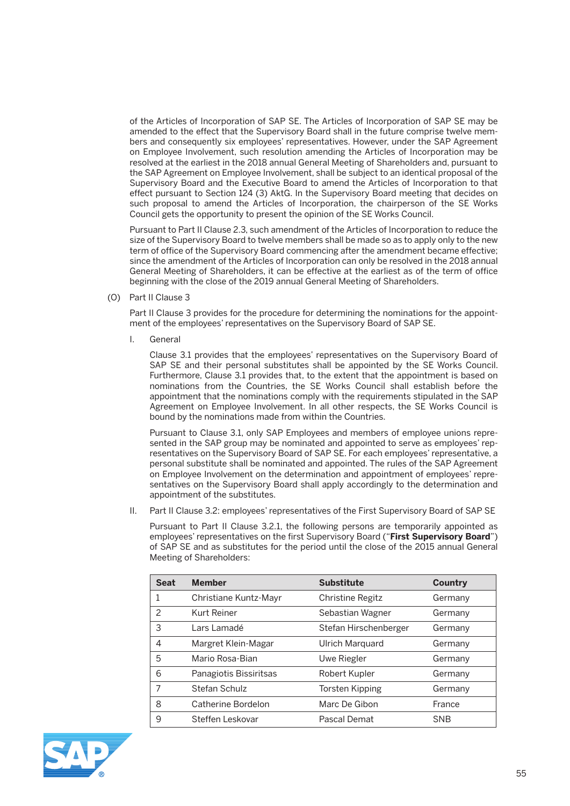of the Articles of Incorporation of SAP SE. The Articles of Incorporation of SAP SE may be amended to the effect that the Supervisory Board shall in the future comprise twelve members and consequently six employees' representatives. However, under the SAP Agreement on Employee Involvement, such resolution amending the Articles of Incorporation may be resolved at the earliest in the 2018 annual General Meeting of Shareholders and, pursuant to the SAP Agreement on Employee Involvement, shall be subject to an identical proposal of the Supervisory Board and the Executive Board to amend the Articles of Incorporation to that effect pursuant to Section 124 (3) AktG. In the Supervisory Board meeting that decides on such proposal to amend the Articles of Incorporation, the chairperson of the SE Works Council gets the opportunity to present the opinion of the SE Works Council.

 Pursuant to Part II Clause 2.3, such amendment of the Articles of Incorporation to reduce the size of the Supervisory Board to twelve members shall be made so as to apply only to the new term of office of the Supervisory Board commencing after the amendment became effective; since the amendment of the Articles of Incorporation can only be resolved in the 2018 annual General Meeting of Shareholders, it can be effective at the earliest as of the term of office beginning with the close of the 2019 annual General Meeting of Shareholders.

(O) Part II Clause 3

 Part II Clause 3 provides for the procedure for determining the nominations for the appointment of the employees' representatives on the Supervisory Board of SAP SE.

I. General

 Clause 3.1 provides that the employees' representatives on the Supervisory Board of SAP SE and their personal substitutes shall be appointed by the SE Works Council. Furthermore, Clause 3.1 provides that, to the extent that the appointment is based on nominations from the Countries, the SE Works Council shall establish before the appointment that the nominations comply with the requirements stipulated in the SAP Agreement on Employee Involvement. In all other respects, the SE Works Council is bound by the nominations made from within the Countries.

 Pursuant to Clause 3.1, only SAP Employees and members of employee unions represented in the SAP group may be nominated and appointed to serve as employees' representatives on the Supervisory Board of SAP SE. For each employees' representative, a personal substitute shall be nominated and appointed. The rules of the SAP Agreement on Employee Involvement on the determination and appointment of employees' representatives on the Supervisory Board shall apply accordingly to the determination and appointment of the substitutes.

II. Part II Clause 3.2: employees' representatives of the First Supervisory Board of SAP SE

 Pursuant to Part II Clause 3.2.1, the following persons are temporarily appointed as employees' representatives on the first Supervisory Board ("**First Supervisory Board**") of SAP SE and as substitutes for the period until the close of the 2015 annual General Meeting of Shareholders:

| <b>Seat</b>    | <b>Member</b>          | <b>Substitute</b>       | <b>Country</b> |
|----------------|------------------------|-------------------------|----------------|
|                | Christiane Kuntz-Mayr  | <b>Christine Regitz</b> | Germany        |
| 2              | Kurt Reiner            | Sebastian Wagner        | Germany        |
| 3              | Lars Lamadé            | Stefan Hirschenberger   | Germany        |
| $\overline{4}$ | Margret Klein-Magar    | Ulrich Marguard         | Germany        |
| 5              | Mario Rosa-Bian        | Uwe Riegler             | Germany        |
| 6              | Panagiotis Bissiritsas | Robert Kupler           | Germany        |
| 7              | Stefan Schulz          | <b>Torsten Kipping</b>  | Germany        |
| 8              | Catherine Bordelon     | Marc De Gibon           | France         |
| 9              | Steffen Leskovar       | Pascal Demat            | <b>SNB</b>     |

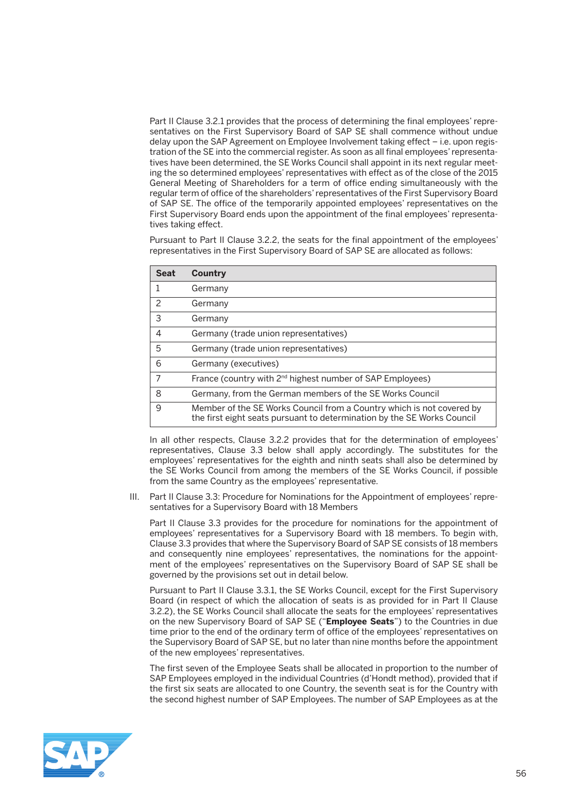Part II Clause 3.2.1 provides that the process of determining the final employees' representatives on the First Supervisory Board of SAP SE shall commence without undue delay upon the SAP Agreement on Employee Involvement taking effect – i.e. upon registration of the SE into the commercial register. As soon as all final employees' representatives have been determined, the SE Works Council shall appoint in its next regular meeting the so determined employees' representatives with effect as of the close of the 2015 General Meeting of Shareholders for a term of office ending simultaneously with the regular term of office of the shareholders' representatives of the First Supervisory Board of SAP SE. The office of the temporarily appointed employees' representatives on the First Supervisory Board ends upon the appointment of the final employees' representatives taking effect.

 Pursuant to Part II Clause 3.2.2, the seats for the final appointment of the employees' representatives in the First Supervisory Board of SAP SE are allocated as follows:

| <b>Seat</b> | Country                                                                                                                                          |
|-------------|--------------------------------------------------------------------------------------------------------------------------------------------------|
|             | Germany                                                                                                                                          |
| 2           | Germany                                                                                                                                          |
| 3           | Germany                                                                                                                                          |
| 4           | Germany (trade union representatives)                                                                                                            |
| 5           | Germany (trade union representatives)                                                                                                            |
| 6           | Germany (executives)                                                                                                                             |
| 7           | France (country with 2 <sup>nd</sup> highest number of SAP Employees)                                                                            |
| 8           | Germany, from the German members of the SE Works Council                                                                                         |
| 9           | Member of the SE Works Council from a Country which is not covered by<br>the first eight seats pursuant to determination by the SE Works Council |

 In all other respects, Clause 3.2.2 provides that for the determination of employees' representatives, Clause 3.3 below shall apply accordingly. The substitutes for the employees' representatives for the eighth and ninth seats shall also be determined by the SE Works Council from among the members of the SE Works Council, if possible from the same Country as the employees' representative.

 III. Part II Clause 3.3: Procedure for Nominations for the Appointment of employees' representatives for a Supervisory Board with 18 Members

 Part II Clause 3.3 provides for the procedure for nominations for the appointment of employees' representatives for a Supervisory Board with 18 members. To begin with, Clause 3.3 provides that where the Supervisory Board of SAP SE consists of 18 members and consequently nine employees' representatives, the nominations for the appointment of the employees' representatives on the Supervisory Board of SAP SE shall be governed by the provisions set out in detail below.

 Pursuant to Part II Clause 3.3.1, the SE Works Council, except for the First Supervisory Board (in respect of which the allocation of seats is as provided for in Part II Clause 3.2.2), the SE Works Council shall allocate the seats for the employees' representatives on the new Supervisory Board of SAP SE ("**Employee Seats**") to the Countries in due time prior to the end of the ordinary term of office of the employees' representatives on the Supervisory Board of SAP SE, but no later than nine months before the appointment of the new employees' representatives.

 The first seven of the Employee Seats shall be allocated in proportion to the number of SAP Employees employed in the individual Countries (d'Hondt method), provided that if the first six seats are allocated to one Country, the seventh seat is for the Country with the second highest number of SAP Employees. The number of SAP Employees as at the

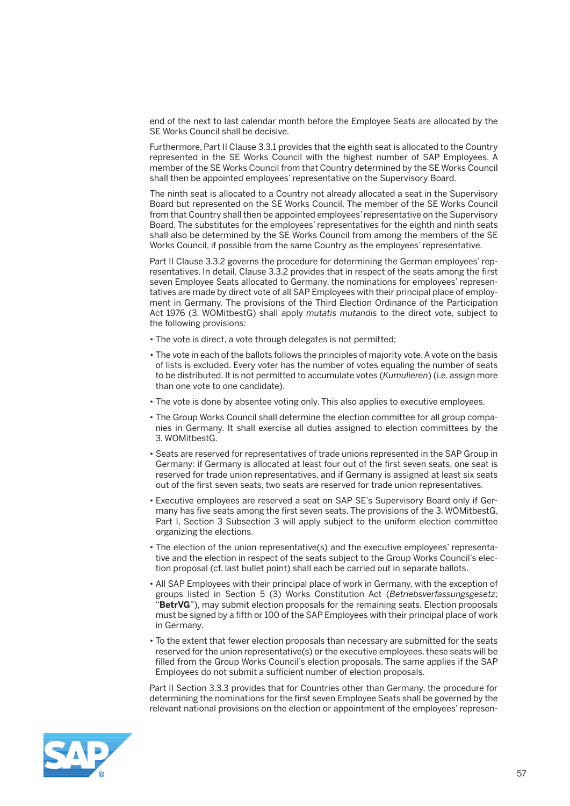end of the next to last calendar month before the Employee Seats are allocated by the SE Works Council shall be decisive.

 Furthermore, Part II Clause 3.3.1 provides that the eighth seat is allocated to the Country represented in the SE Works Council with the highest number of SAP Employees. A member of the SE Works Council from that Country determined by the SE Works Council shall then be appointed employees' representative on the Supervisory Board.

 The ninth seat is allocated to a Country not already allocated a seat in the Supervisory Board but represented on the SE Works Council. The member of the SE Works Council from that Country shall then be appointed employees' representative on the Supervisory Board. The substitutes for the employees' representatives for the eighth and ninth seats shall also be determined by the SE Works Council from among the members of the SE Works Council, if possible from the same Country as the employees' representative.

 Part II Clause 3.3.2 governs the procedure for determining the German employees' representatives. In detail, Clause 3.3.2 provides that in respect of the seats among the first seven Employee Seats allocated to Germany, the nominations for employees' representatives are made by direct vote of all SAP Employees with their principal place of employment in Germany. The provisions of the Third Election Ordinance of the Participation Act 1976 (3. WOMitbestG) shall apply *mutatis mutandis* to the direct vote, subject to the following provisions:

- The vote is direct, a vote through delegates is not permitted;
- The vote in each of the ballots follows the principles of majority vote. A vote on the basis of lists is excluded. Every voter has the number of votes equaling the number of seats to be distributed. It is not permitted to accumulate votes (*Kumulieren*) (i.e. assign more than one vote to one candidate).
- The vote is done by absentee voting only. This also applies to executive employees.
- The Group Works Council shall determine the election committee for all group companies in Germany. It shall exercise all duties assigned to election committees by the 3. WOMitbestG.
- Seats are reserved for representatives of trade unions represented in the SAP Group in Germany: if Germany is allocated at least four out of the first seven seats, one seat is reserved for trade union representatives, and if Germany is assigned at least six seats out of the first seven seats, two seats are reserved for trade union representatives.
- Executive employees are reserved a seat on SAP SE's Supervisory Board only if Germany has five seats among the first seven seats. The provisions of the 3. WOMitbestG, Part I, Section 3 Subsection 3 will apply subject to the uniform election committee organizing the elections.
- The election of the union representative(s) and the executive employees' representative and the election in respect of the seats subject to the Group Works Council's election proposal (cf. last bullet point) shall each be carried out in separate ballots.
- All SAP Employees with their principal place of work in Germany, with the exception of groups listed in Section 5 (3) Works Constitution Act (*Betriebsverfassungsgesetz*; "**BetrVG**"), may submit election proposals for the remaining seats. Election proposals must be signed by a fifth or 100 of the SAP Employees with their principal place of work in Germany.
- To the extent that fewer election proposals than necessary are submitted for the seats reserved for the union representative(s) or the executive employees, these seats will be filled from the Group Works Council's election proposals. The same applies if the SAP Employees do not submit a sufficient number of election proposals.

 Part II Section 3.3.3 provides that for Countries other than Germany, the procedure for determining the nominations for the first seven Employee Seats shall be governed by the relevant national provisions on the election or appointment of the employees' represen-

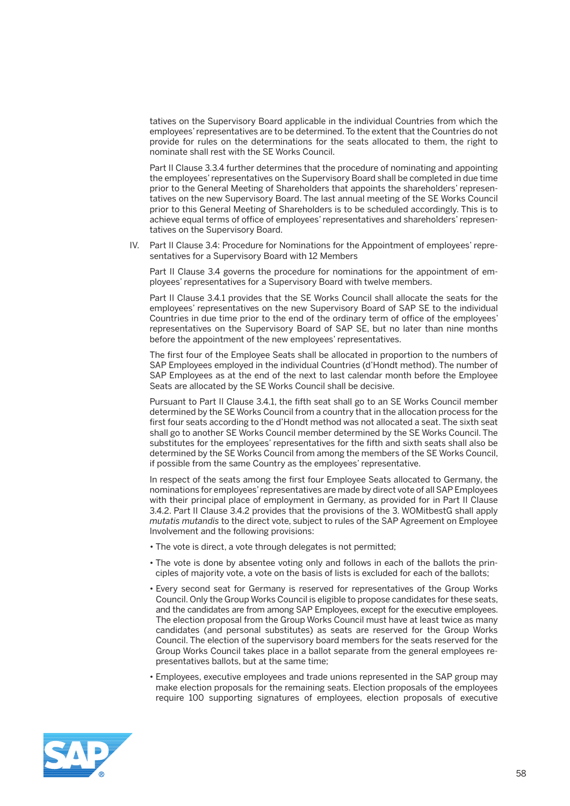tatives on the Supervisory Board applicable in the individual Countries from which the employees' representatives are to be determined. To the extent that the Countries do not provide for rules on the determinations for the seats allocated to them, the right to nominate shall rest with the SE Works Council.

 Part II Clause 3.3.4 further determines that the procedure of nominating and appointing the employees' representatives on the Supervisory Board shall be completed in due time prior to the General Meeting of Shareholders that appoints the shareholders' representatives on the new Supervisory Board. The last annual meeting of the SE Works Council prior to this General Meeting of Shareholders is to be scheduled accordingly. This is to achieve equal terms of office of employees' representatives and shareholders' representatives on the Supervisory Board.

 IV. Part II Clause 3.4: Procedure for Nominations for the Appointment of employees' representatives for a Supervisory Board with 12 Members

 Part II Clause 3.4 governs the procedure for nominations for the appointment of employees' representatives for a Supervisory Board with twelve members.

 Part II Clause 3.4.1 provides that the SE Works Council shall allocate the seats for the employees' representatives on the new Supervisory Board of SAP SE to the individual Countries in due time prior to the end of the ordinary term of office of the employees' representatives on the Supervisory Board of SAP SE, but no later than nine months before the appointment of the new employees' representatives.

 The first four of the Employee Seats shall be allocated in proportion to the numbers of SAP Employees employed in the individual Countries (d'Hondt method). The number of SAP Employees as at the end of the next to last calendar month before the Employee Seats are allocated by the SE Works Council shall be decisive.

 Pursuant to Part II Clause 3.4.1, the fifth seat shall go to an SE Works Council member determined by the SE Works Council from a country that in the allocation process for the first four seats according to the d'Hondt method was not allocated a seat. The sixth seat shall go to another SE Works Council member determined by the SE Works Council. The substitutes for the employees' representatives for the fifth and sixth seats shall also be determined by the SE Works Council from among the members of the SE Works Council, if possible from the same Country as the employees' representative.

 In respect of the seats among the first four Employee Seats allocated to Germany, the nominations for employees' representatives are made by direct vote of all SAP Employees with their principal place of employment in Germany, as provided for in Part II Clause 3.4.2. Part II Clause 3.4.2 provides that the provisions of the 3. WOMitbestG shall apply *mutatis mutandis* to the direct vote, subject to rules of the SAP Agreement on Employee Involvement and the following provisions:

- The vote is direct, a vote through delegates is not permitted;
- The vote is done by absentee voting only and follows in each of the ballots the principles of majority vote, a vote on the basis of lists is excluded for each of the ballots;
- Every second seat for Germany is reserved for representatives of the Group Works Council. Only the Group Works Council is eligible to propose candidates for these seats, and the candidates are from among SAP Employees, except for the executive employees. The election proposal from the Group Works Council must have at least twice as many candidates (and personal substitutes) as seats are reserved for the Group Works Council. The election of the supervisory board members for the seats reserved for the Group Works Council takes place in a ballot separate from the general employees representatives ballots, but at the same time;
- Employees, executive employees and trade unions represented in the SAP group may make election proposals for the remaining seats. Election proposals of the employees require 100 supporting signatures of employees, election proposals of executive

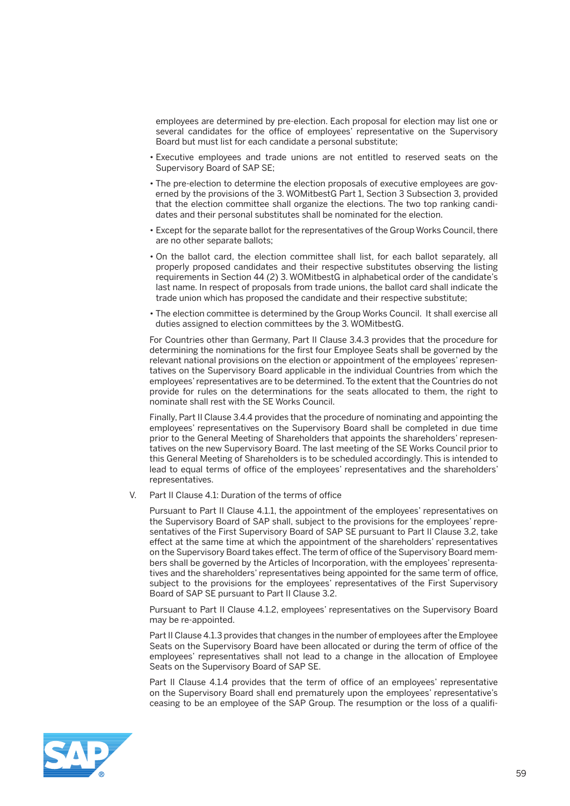employees are determined by pre-election. Each proposal for election may list one or several candidates for the office of employees' representative on the Supervisory Board but must list for each candidate a personal substitute;

- Executive employees and trade unions are not entitled to reserved seats on the Supervisory Board of SAP SE;
- The pre-election to determine the election proposals of executive employees are governed by the provisions of the 3. WOMitbestG Part 1, Section 3 Subsection 3, provided that the election committee shall organize the elections. The two top ranking candidates and their personal substitutes shall be nominated for the election.
- Except for the separate ballot for the representatives of the Group Works Council, there are no other separate ballots;
- On the ballot card, the election committee shall list, for each ballot separately, all properly proposed candidates and their respective substitutes observing the listing requirements in Section 44 (2) 3. WOMitbestG in alphabetical order of the candidate's last name. In respect of proposals from trade unions, the ballot card shall indicate the trade union which has proposed the candidate and their respective substitute;
- The election committee is determined by the Group Works Council. It shall exercise all duties assigned to election committees by the 3. WOMitbestG.

 For Countries other than Germany, Part II Clause 3.4.3 provides that the procedure for determining the nominations for the first four Employee Seats shall be governed by the relevant national provisions on the election or appointment of the employees' representatives on the Supervisory Board applicable in the individual Countries from which the employees' representatives are to be determined. To the extent that the Countries do not provide for rules on the determinations for the seats allocated to them, the right to nominate shall rest with the SE Works Council.

 Finally, Part II Clause 3.4.4 provides that the procedure of nominating and appointing the employees' representatives on the Supervisory Board shall be completed in due time prior to the General Meeting of Shareholders that appoints the shareholders' representatives on the new Supervisory Board. The last meeting of the SE Works Council prior to this General Meeting of Shareholders is to be scheduled accordingly. This is intended to lead to equal terms of office of the employees' representatives and the shareholders' representatives.

V. Part II Clause 4.1: Duration of the terms of office

 Pursuant to Part II Clause 4.1.1, the appointment of the employees' representatives on the Supervisory Board of SAP shall, subject to the provisions for the employees' representatives of the First Supervisory Board of SAP SE pursuant to Part II Clause 3.2, take effect at the same time at which the appointment of the shareholders' representatives on the Supervisory Board takes effect. The term of office of the Supervisory Board members shall be governed by the Articles of Incorporation, with the employees' representatives and the shareholders' representatives being appointed for the same term of office, subject to the provisions for the employees' representatives of the First Supervisory Board of SAP SE pursuant to Part II Clause 3.2.

 Pursuant to Part II Clause 4.1.2, employees' representatives on the Supervisory Board may be re-appointed.

 Part II Clause 4.1.3 provides that changes in the number of employees after the Employee Seats on the Supervisory Board have been allocated or during the term of office of the employees' representatives shall not lead to a change in the allocation of Employee Seats on the Supervisory Board of SAP SE.

 Part II Clause 4.1.4 provides that the term of office of an employees' representative on the Supervisory Board shall end prematurely upon the employees' representative's ceasing to be an employee of the SAP Group. The resumption or the loss of a qualifi-

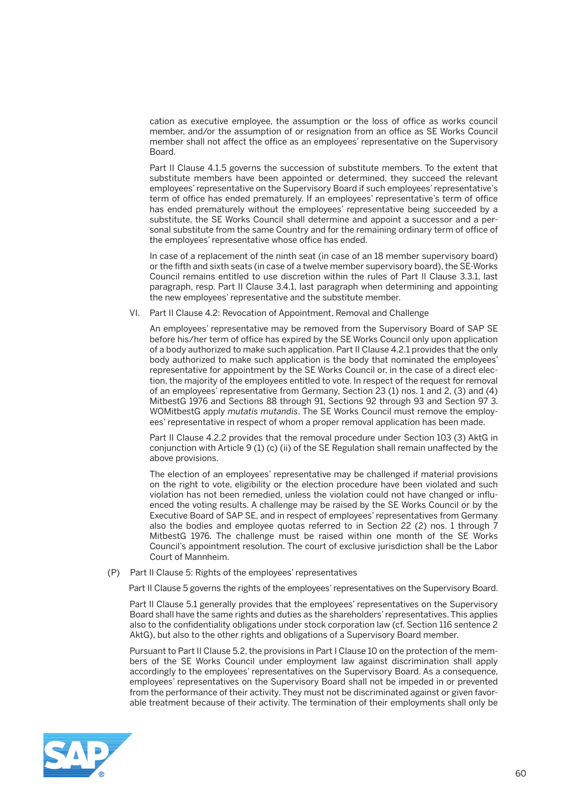cation as executive employee, the assumption or the loss of office as works council member, and/or the assumption of or resignation from an office as SE Works Council member shall not affect the office as an employees' representative on the Supervisory **Board** 

 Part II Clause 4.1.5 governs the succession of substitute members. To the extent that substitute members have been appointed or determined, they succeed the relevant employees' representative on the Supervisory Board if such employees' representative's term of office has ended prematurely. If an employees' representative's term of office has ended prematurely without the employees' representative being succeeded by a substitute, the SE Works Council shall determine and appoint a successor and a personal substitute from the same Country and for the remaining ordinary term of office of the employees' representative whose office has ended.

 In case of a replacement of the ninth seat (in case of an 18 member supervisory board) or the fifth and sixth seats (in case of a twelve member supervisory board), the SE-Works Council remains entitled to use discretion within the rules of Part II Clause 3.3.1, last paragraph, resp. Part II Clause 3.4.1, last paragraph when determining and appointing the new employees' representative and the substitute member.

VI. Part II Clause 4.2: Revocation of Appointment, Removal and Challenge

 An employees' representative may be removed from the Supervisory Board of SAP SE before his/her term of office has expired by the SE Works Council only upon application of a body authorized to make such application. Part II Clause 4.2.1 provides that the only body authorized to make such application is the body that nominated the employees' representative for appointment by the SE Works Council or, in the case of a direct election, the majority of the employees entitled to vote. In respect of the request for removal of an employees' representative from Germany, Section 23 (1) nos. 1 and 2, (3) and (4) MitbestG 1976 and Sections 88 through 91, Sections 92 through 93 and Section 97 3. WOMitbestG apply *mutatis mutandis*. The SE Works Council must remove the employees' representative in respect of whom a proper removal application has been made.

 Part II Clause 4.2.2 provides that the removal procedure under Section 103 (3) AktG in conjunction with Article 9 (1) (c) (ii) of the SE Regulation shall remain unaffected by the above provisions.

 The election of an employees' representative may be challenged if material provisions on the right to vote, eligibility or the election procedure have been violated and such violation has not been remedied, unless the violation could not have changed or influenced the voting results. A challenge may be raised by the SE Works Council or by the Executive Board of SAP SE, and in respect of employees' representatives from Germany also the bodies and employee quotas referred to in Section 22 (2) nos. 1 through 7 MitbestG 1976. The challenge must be raised within one month of the SE Works Council's appointment resolution. The court of exclusive jurisdiction shall be the Labor Court of Mannheim.

(P) Part II Clause 5: Rights of the employees' representatives

Part II Clause 5 governs the rights of the employees' representatives on the Supervisory Board.

 Part II Clause 5.1 generally provides that the employees' representatives on the Supervisory Board shall have the same rights and duties as the shareholders' representatives. This applies also to the confidentiality obligations under stock corporation law (cf. Section 116 sentence 2 AktG), but also to the other rights and obligations of a Supervisory Board member.

 Pursuant to Part II Clause 5.2, the provisions in Part I Clause 10 on the protection of the members of the SE Works Council under employment law against discrimination shall apply accordingly to the employees' representatives on the Supervisory Board. As a consequence, employees' representatives on the Supervisory Board shall not be impeded in or prevented from the performance of their activity. They must not be discriminated against or given favorable treatment because of their activity. The termination of their employments shall only be

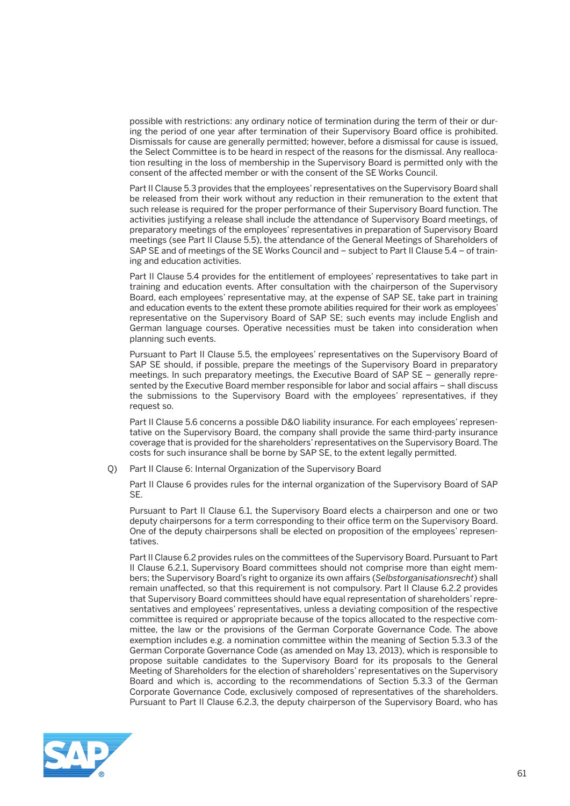possible with restrictions: any ordinary notice of termination during the term of their or during the period of one year after termination of their Supervisory Board office is prohibited. Dismissals for cause are generally permitted; however, before a dismissal for cause is issued, the Select Committee is to be heard in respect of the reasons for the dismissal. Any reallocation resulting in the loss of membership in the Supervisory Board is permitted only with the consent of the affected member or with the consent of the SE Works Council.

 Part II Clause 5.3 provides that the employees' representatives on the Supervisory Board shall be released from their work without any reduction in their remuneration to the extent that such release is required for the proper performance of their Supervisory Board function. The activities justifying a release shall include the attendance of Supervisory Board meetings, of preparatory meetings of the employees' representatives in preparation of Supervisory Board meetings (see Part II Clause 5.5), the attendance of the General Meetings of Shareholders of SAP SE and of meetings of the SE Works Council and – subject to Part II Clause 5.4 – of training and education activities.

 Part II Clause 5.4 provides for the entitlement of employees' representatives to take part in training and education events. After consultation with the chairperson of the Supervisory Board, each employees' representative may, at the expense of SAP SE, take part in training and education events to the extent these promote abilities required for their work as employees' representative on the Supervisory Board of SAP SE; such events may include English and German language courses. Operative necessities must be taken into consideration when planning such events.

 Pursuant to Part II Clause 5.5, the employees' representatives on the Supervisory Board of SAP SE should, if possible, prepare the meetings of the Supervisory Board in preparatory meetings. In such preparatory meetings, the Executive Board of SAP SE – generally represented by the Executive Board member responsible for labor and social affairs – shall discuss the submissions to the Supervisory Board with the employees' representatives, if they request so.

 Part II Clause 5.6 concerns a possible D&O liability insurance. For each employees' representative on the Supervisory Board, the company shall provide the same third-party insurance coverage that is provided for the shareholders' representatives on the Supervisory Board. The costs for such insurance shall be borne by SAP SE, to the extent legally permitted.

Q) Part II Clause 6: Internal Organization of the Supervisory Board

 Part II Clause 6 provides rules for the internal organization of the Supervisory Board of SAP SE.

 Pursuant to Part II Clause 6.1, the Supervisory Board elects a chairperson and one or two deputy chairpersons for a term corresponding to their office term on the Supervisory Board. One of the deputy chairpersons shall be elected on proposition of the employees' representatives.

 Part II Clause 6.2 provides rules on the committees of the Supervisory Board. Pursuant to Part II Clause 6.2.1, Supervisory Board committees should not comprise more than eight members; the Supervisory Board's right to organize its own affairs (*Selbstorganisationsrecht*) shall remain unaffected, so that this requirement is not compulsory. Part II Clause 6.2.2 provides that Supervisory Board committees should have equal representation of shareholders' representatives and employees' representatives, unless a deviating composition of the respective committee is required or appropriate because of the topics allocated to the respective committee, the law or the provisions of the German Corporate Governance Code. The above exemption includes e.g. a nomination committee within the meaning of Section 5.3.3 of the German Corporate Governance Code (as amended on May 13, 2013), which is responsible to propose suitable candidates to the Supervisory Board for its proposals to the General Meeting of Shareholders for the election of shareholders' representatives on the Supervisory Board and which is, according to the recommendations of Section 5.3.3 of the German Corporate Governance Code, exclusively composed of representatives of the shareholders. Pursuant to Part II Clause 6.2.3, the deputy chairperson of the Supervisory Board, who has

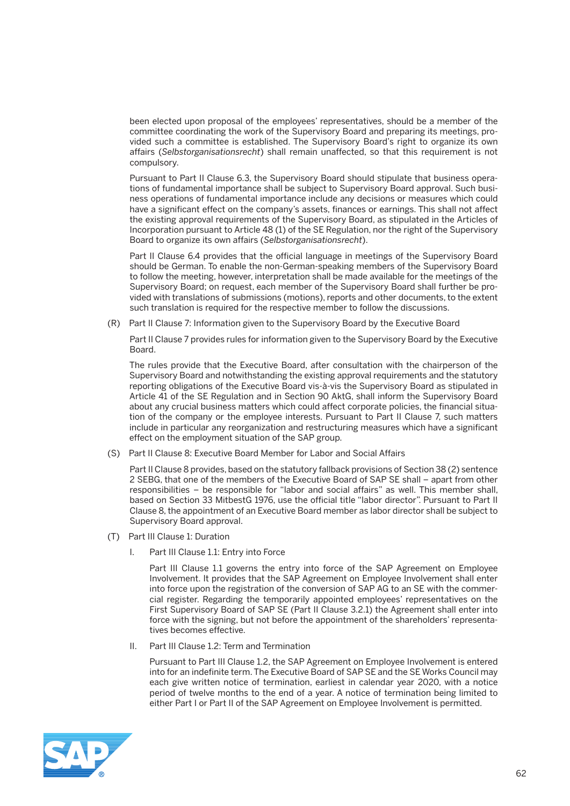been elected upon proposal of the employees' representatives, should be a member of the committee coordinating the work of the Supervisory Board and preparing its meetings, provided such a committee is established. The Supervisory Board's right to organize its own affairs (*Selbstorganisationsrecht*) shall remain unaffected, so that this requirement is not compulsory.

 Pursuant to Part II Clause 6.3, the Supervisory Board should stipulate that business operations of fundamental importance shall be subject to Supervisory Board approval. Such business operations of fundamental importance include any decisions or measures which could have a significant effect on the company's assets, finances or earnings. This shall not affect the existing approval requirements of the Supervisory Board, as stipulated in the Articles of Incorporation pursuant to Article 48 (1) of the SE Regulation, nor the right of the Supervisory Board to organize its own affairs (*Selbstorganisationsrecht*).

 Part II Clause 6.4 provides that the official language in meetings of the Supervisory Board should be German. To enable the non-German-speaking members of the Supervisory Board to follow the meeting, however, interpretation shall be made available for the meetings of the Supervisory Board; on request, each member of the Supervisory Board shall further be provided with translations of submissions (motions), reports and other documents, to the extent such translation is required for the respective member to follow the discussions.

(R) Part II Clause 7: Information given to the Supervisory Board by the Executive Board

 Part II Clause 7 provides rules for information given to the Supervisory Board by the Executive Board.

 The rules provide that the Executive Board, after consultation with the chairperson of the Supervisory Board and notwithstanding the existing approval requirements and the statutory reporting obligations of the Executive Board vis-à-vis the Supervisory Board as stipulated in Article 41 of the SE Regulation and in Section 90 AktG, shall inform the Supervisory Board about any crucial business matters which could affect corporate policies, the financial situation of the company or the employee interests. Pursuant to Part II Clause 7, such matters include in particular any reorganization and restructuring measures which have a significant effect on the employment situation of the SAP group.

(S) Part II Clause 8: Executive Board Member for Labor and Social Affairs

 Part II Clause 8 provides, based on the statutory fallback provisions of Section 38 (2) sentence 2 SEBG, that one of the members of the Executive Board of SAP SE shall – apart from other responsibilities – be responsible for "labor and social affairs" as well. This member shall, based on Section 33 MitbestG 1976, use the official title "labor director". Pursuant to Part II Clause 8, the appointment of an Executive Board member as labor director shall be subject to Supervisory Board approval.

- (T) Part III Clause 1: Duration
	- I. Part III Clause 1.1: Entry into Force

Part III Clause 1.1 governs the entry into force of the SAP Agreement on Employee Involvement. It provides that the SAP Agreement on Employee Involvement shall enter into force upon the registration of the conversion of SAP AG to an SE with the commercial register. Regarding the temporarily appointed employees' representatives on the First Supervisory Board of SAP SE (Part II Clause 3.2.1) the Agreement shall enter into force with the signing, but not before the appointment of the shareholders' representatives becomes effective.

II. Part III Clause 1.2: Term and Termination

 Pursuant to Part III Clause 1.2, the SAP Agreement on Employee Involvement is entered into for an indefinite term. The Executive Board of SAP SE and the SE Works Council may each give written notice of termination, earliest in calendar year 2020, with a notice period of twelve months to the end of a year. A notice of termination being limited to either Part I or Part II of the SAP Agreement on Employee Involvement is permitted.

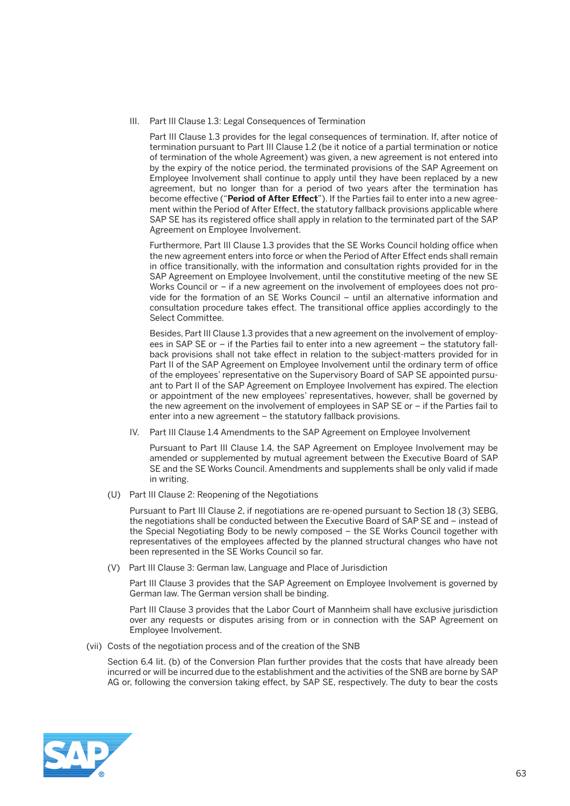III. Part III Clause 1.3: Legal Consequences of Termination

 Part III Clause 1.3 provides for the legal consequences of termination. If, after notice of termination pursuant to Part III Clause 1.2 (be it notice of a partial termination or notice of termination of the whole Agreement) was given, a new agreement is not entered into by the expiry of the notice period, the terminated provisions of the SAP Agreement on Employee Involvement shall continue to apply until they have been replaced by a new agreement, but no longer than for a period of two years after the termination has become effective ("**Period of After Effect**"). If the Parties fail to enter into a new agreement within the Period of After Effect, the statutory fallback provisions applicable where SAP SE has its registered office shall apply in relation to the terminated part of the SAP Agreement on Employee Involvement.

 Furthermore, Part III Clause 1.3 provides that the SE Works Council holding office when the new agreement enters into force or when the Period of After Effect ends shall remain in office transitionally, with the information and consultation rights provided for in the SAP Agreement on Employee Involvement, until the constitutive meeting of the new SE Works Council or – if a new agreement on the involvement of employees does not provide for the formation of an SE Works Council – until an alternative information and consultation procedure takes effect. The transitional office applies accordingly to the Select Committee.

 Besides, Part III Clause 1.3 provides that a new agreement on the involvement of employees in SAP SE or – if the Parties fail to enter into a new agreement – the statutory fallback provisions shall not take effect in relation to the subject-matters provided for in Part II of the SAP Agreement on Employee Involvement until the ordinary term of office of the employees' representative on the Supervisory Board of SAP SE appointed pursuant to Part II of the SAP Agreement on Employee Involvement has expired. The election or appointment of the new employees' representatives, however, shall be governed by the new agreement on the involvement of employees in SAP SE or – if the Parties fail to enter into a new agreement – the statutory fallback provisions.

IV. Part III Clause 1.4 Amendments to the SAP Agreement on Employee Involvement

 Pursuant to Part III Clause 1.4, the SAP Agreement on Employee Involvement may be amended or supplemented by mutual agreement between the Executive Board of SAP SE and the SE Works Council. Amendments and supplements shall be only valid if made in writing.

(U) Part III Clause 2: Reopening of the Negotiations

 Pursuant to Part III Clause 2, if negotiations are re-opened pursuant to Section 18 (3) SEBG, the negotiations shall be conducted between the Executive Board of SAP SE and – instead of the Special Negotiating Body to be newly composed – the SE Works Council together with representatives of the employees affected by the planned structural changes who have not been represented in the SE Works Council so far.

(V) Part III Clause 3: German law, Language and Place of Jurisdiction

 Part III Clause 3 provides that the SAP Agreement on Employee Involvement is governed by German law. The German version shall be binding.

 Part III Clause 3 provides that the Labor Court of Mannheim shall have exclusive jurisdiction over any requests or disputes arising from or in connection with the SAP Agreement on Employee Involvement.

(vii) Costs of the negotiation process and of the creation of the SNB

Section 6.4 lit. (b) of the Conversion Plan further provides that the costs that have already been incurred or will be incurred due to the establishment and the activities of the SNB are borne by SAP AG or, following the conversion taking effect, by SAP SE, respectively. The duty to bear the costs

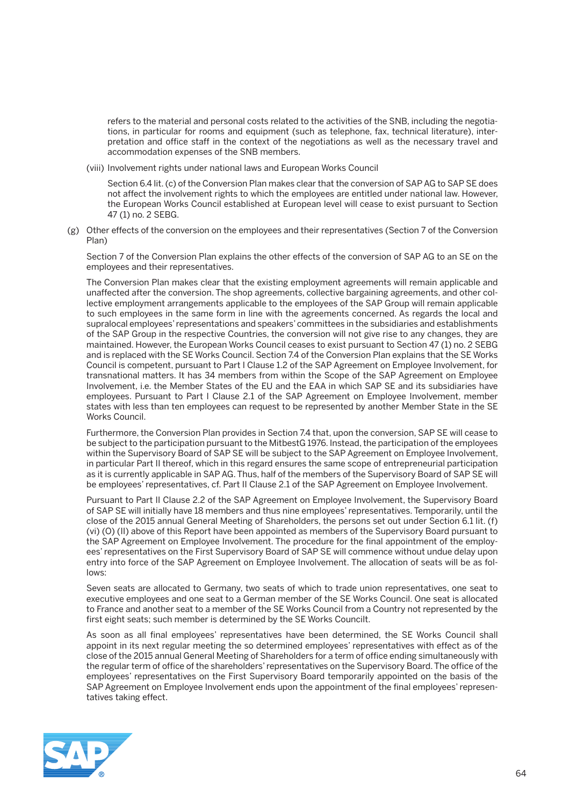refers to the material and personal costs related to the activities of the SNB, including the negotiations, in particular for rooms and equipment (such as telephone, fax, technical literature), interpretation and office staff in the context of the negotiations as well as the necessary travel and accommodation expenses of the SNB members.

(viii) Involvement rights under national laws and European Works Council

 Section 6.4 lit. (c) of the Conversion Plan makes clear that the conversion of SAP AG to SAP SE does not affect the involvement rights to which the employees are entitled under national law. However, the European Works Council established at European level will cease to exist pursuant to Section 47 (1) no. 2 SEBG.

 (g) Other effects of the conversion on the employees and their representatives (Section 7 of the Conversion Plan)

 Section 7 of the Conversion Plan explains the other effects of the conversion of SAP AG to an SE on the employees and their representatives.

 The Conversion Plan makes clear that the existing employment agreements will remain applicable and unaffected after the conversion. The shop agreements, collective bargaining agreements, and other collective employment arrangements applicable to the employees of the SAP Group will remain applicable to such employees in the same form in line with the agreements concerned. As regards the local and supralocal employees' representations and speakers' committees in the subsidiaries and establishments of the SAP Group in the respective Countries, the conversion will not give rise to any changes, they are maintained. However, the European Works Council ceases to exist pursuant to Section 47 (1) no. 2 SEBG and is replaced with the SE Works Council. Section 7.4 of the Conversion Plan explains that the SE Works Council is competent, pursuant to Part I Clause 1.2 of the SAP Agreement on Employee Involvement, for transnational matters. It has 34 members from within the Scope of the SAP Agreement on Employee Involvement, i.e. the Member States of the EU and the EAA in which SAP SE and its subsidiaries have employees. Pursuant to Part I Clause 2.1 of the SAP Agreement on Employee Involvement, member states with less than ten employees can request to be represented by another Member State in the SE Works Council.

 Furthermore, the Conversion Plan provides in Section 7.4 that, upon the conversion, SAP SE will cease to be subject to the participation pursuant to the MitbestG 1976. Instead, the participation of the employees within the Supervisory Board of SAP SE will be subject to the SAP Agreement on Employee Involvement, in particular Part II thereof, which in this regard ensures the same scope of entrepreneurial participation as it is currently applicable in SAP AG. Thus, half of the members of the Supervisory Board of SAP SE will be employees' representatives, cf. Part II Clause 2.1 of the SAP Agreement on Employee Involvement.

 Pursuant to Part II Clause 2.2 of the SAP Agreement on Employee Involvement, the Supervisory Board of SAP SE will initially have 18 members and thus nine employees' representatives. Temporarily, until the close of the 2015 annual General Meeting of Shareholders, the persons set out under Section 6.1 lit. (f) (vi) (O) (II) above of this Report have been appointed as members of the Supervisory Board pursuant to the SAP Agreement on Employee Involvement. The procedure for the final appointment of the employees' representatives on the First Supervisory Board of SAP SE will commence without undue delay upon entry into force of the SAP Agreement on Employee Involvement. The allocation of seats will be as follows:

 Seven seats are allocated to Germany, two seats of which to trade union representatives, one seat to executive employees and one seat to a German member of the SE Works Council. One seat is allocated to France and another seat to a member of the SE Works Council from a Country not represented by the first eight seats; such member is determined by the SE Works Councilt.

 As soon as all final employees' representatives have been determined, the SE Works Council shall appoint in its next regular meeting the so determined employees' representatives with effect as of the close of the 2015 annual General Meeting of Shareholders for a term of office ending simultaneously with the regular term of office of the shareholders' representatives on the Supervisory Board. The office of the employees' representatives on the First Supervisory Board temporarily appointed on the basis of the SAP Agreement on Employee Involvement ends upon the appointment of the final employees' representatives taking effect.

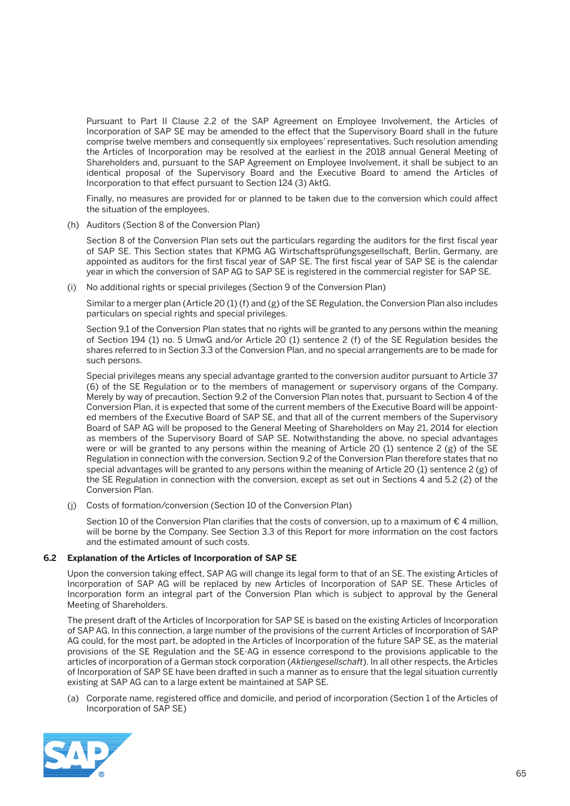Pursuant to Part II Clause 2.2 of the SAP Agreement on Employee Involvement, the Articles of Incorporation of SAP SE may be amended to the effect that the Supervisory Board shall in the future comprise twelve members and consequently six employees' representatives. Such resolution amending the Articles of Incorporation may be resolved at the earliest in the 2018 annual General Meeting of Shareholders and, pursuant to the SAP Agreement on Employee Involvement, it shall be subject to an identical proposal of the Supervisory Board and the Executive Board to amend the Articles of Incorporation to that effect pursuant to Section 124 (3) AktG.

 Finally, no measures are provided for or planned to be taken due to the conversion which could affect the situation of the employees.

(h) Auditors (Section 8 of the Conversion Plan)

 Section 8 of the Conversion Plan sets out the particulars regarding the auditors for the first fiscal year of SAP SE. This Section states that KPMG AG Wirtschaftsprüfungsgesellschaft, Berlin, Germany, are appointed as auditors for the first fiscal year of SAP SE. The first fiscal year of SAP SE is the calendar year in which the conversion of SAP AG to SAP SE is registered in the commercial register for SAP SE.

(i) No additional rights or special privileges (Section 9 of the Conversion Plan)

 Similar to a merger plan (Article 20 (1) (f) and (g) of the SE Regulation, the Conversion Plan also includes particulars on special rights and special privileges.

 Section 9.1 of the Conversion Plan states that no rights will be granted to any persons within the meaning of Section 194 (1) no. 5 UmwG and/or Article 20 (1) sentence 2 (f) of the SE Regulation besides the shares referred to in Section 3.3 of the Conversion Plan, and no special arrangements are to be made for such persons.

 Special privileges means any special advantage granted to the conversion auditor pursuant to Article 37 (6) of the SE Regulation or to the members of management or supervisory organs of the Company. Merely by way of precaution, Section 9.2 of the Conversion Plan notes that, pursuant to Section 4 of the Conversion Plan, it is expected that some of the current members of the Executive Board will be appointed members of the Executive Board of SAP SE, and that all of the current members of the Supervisory Board of SAP AG will be proposed to the General Meeting of Shareholders on May 21, 2014 for election as members of the Supervisory Board of SAP SE. Notwithstanding the above, no special advantages were or will be granted to any persons within the meaning of Article 20 (1) sentence 2 (g) of the SE Regulation in connection with the conversion. Section 9.2 of the Conversion Plan therefore states that no special advantages will be granted to any persons within the meaning of Article 20 (1) sentence 2 (g) of the SE Regulation in connection with the conversion, except as set out in Sections 4 and 5.2 (2) of the Conversion Plan.

(j) Costs of formation/conversion (Section 10 of the Conversion Plan)

Section 10 of the Conversion Plan clarifies that the costs of conversion, up to a maximum of €4 million, will be borne by the Company. See Section 3.3 of this Report for more information on the cost factors and the estimated amount of such costs.

## **6.2 Explanation of the Articles of Incorporation of SAP SE**

 Upon the conversion taking effect, SAP AG will change its legal form to that of an SE. The existing Articles of Incorporation of SAP AG will be replaced by new Articles of Incorporation of SAP SE. These Articles of Incorporation form an integral part of the Conversion Plan which is subject to approval by the General Meeting of Shareholders.

 The present draft of the Articles of Incorporation for SAP SE is based on the existing Articles of Incorporation of SAP AG. In this connection, a large number of the provisions of the current Articles of Incorporation of SAP AG could, for the most part, be adopted in the Articles of Incorporation of the future SAP SE, as the material provisions of the SE Regulation and the SE-AG in essence correspond to the provisions applicable to the articles of incorporation of a German stock corporation (*Aktiengesellschaft*). In all other respects, the Articles of Incorporation of SAP SE have been drafted in such a manner as to ensure that the legal situation currently existing at SAP AG can to a large extent be maintained at SAP SE.

 (a) Corporate name, registered office and domicile, and period of incorporation (Section 1 of the Articles of Incorporation of SAP SE)

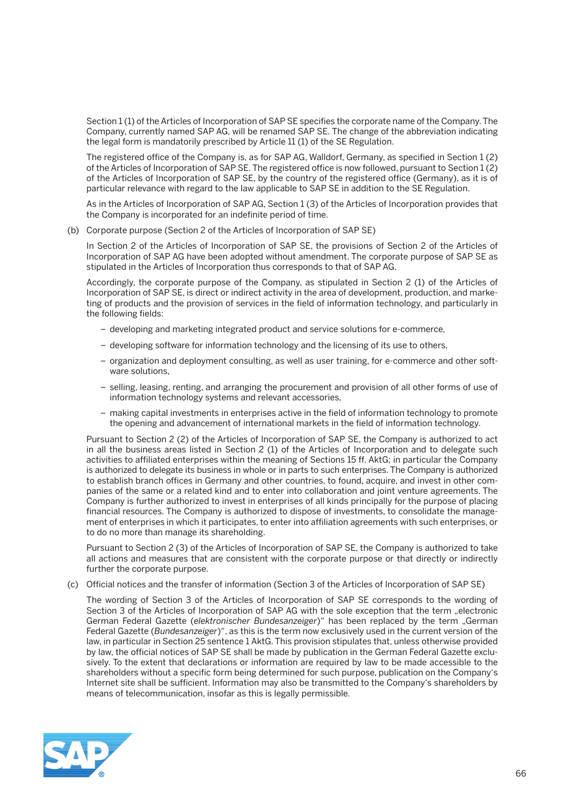Section 1 (1) of the Articles of Incorporation of SAP SE specifies the corporate name of the Company. The Company, currently named SAP AG, will be renamed SAP SE. The change of the abbreviation indicating the legal form is mandatorily prescribed by Article 11 (1) of the SE Regulation.

 The registered office of the Company is, as for SAP AG, Walldorf, Germany, as specified in Section 1 (2) of the Articles of Incorporation of SAP SE. The registered office is now followed, pursuant to Section 1 (2) of the Articles of Incorporation of SAP SE, by the country of the registered office (Germany), as it is of particular relevance with regard to the law applicable to SAP SE in addition to the SE Regulation.

 As in the Articles of Incorporation of SAP AG, Section 1 (3) of the Articles of Incorporation provides that the Company is incorporated for an indefinite period of time.

(b) Corporate purpose (Section 2 of the Articles of Incorporation of SAP SE)

In Section 2 of the Articles of Incorporation of SAP SE, the provisions of Section 2 of the Articles of Incorporation of SAP AG have been adopted without amendment. The corporate purpose of SAP SE as stipulated in the Articles of Incorporation thus corresponds to that of SAP AG.

 Accordingly, the corporate purpose of the Company, as stipulated in Section 2 (1) of the Articles of Incorporation of SAP SE, is direct or indirect activity in the area of development, production, and marketing of products and the provision of services in the field of information technology, and particularly in the following fields:

- developing and marketing integrated product and service solutions for e-commerce,
- developing software for information technology and the licensing of its use to others,
- organization and deployment consulting, as well as user training, for e-commerce and other software solutions,
- selling, leasing, renting, and arranging the procurement and provision of all other forms of use of information technology systems and relevant accessories,
- making capital investments in enterprises active in the field of information technology to promote the opening and advancement of international markets in the field of information technology.

 Pursuant to Section 2 (2) of the Articles of Incorporation of SAP SE, the Company is authorized to act in all the business areas listed in Section 2 (1) of the Articles of Incorporation and to delegate such activities to affiliated enterprises within the meaning of Sections 15 ff. AktG; in particular the Company is authorized to delegate its business in whole or in parts to such enterprises. The Company is authorized to establish branch offices in Germany and other countries, to found, acquire, and invest in other companies of the same or a related kind and to enter into collaboration and joint venture agreements. The Company is further authorized to invest in enterprises of all kinds principally for the purpose of placing financial resources. The Company is authorized to dispose of investments, to consolidate the management of enterprises in which it participates, to enter into affiliation agreements with such enterprises, or to do no more than manage its shareholding.

 Pursuant to Section 2 (3) of the Articles of Incorporation of SAP SE, the Company is authorized to take all actions and measures that are consistent with the corporate purpose or that directly or indirectly further the corporate purpose.

(c) Official notices and the transfer of information (Section 3 of the Articles of Incorporation of SAP SE)

 The wording of Section 3 of the Articles of Incorporation of SAP SE corresponds to the wording of Section 3 of the Articles of Incorporation of SAP AG with the sole exception that the term "electronic German Federal Gazette (elektronischer Bundesanzeiger)" has been replaced by the term "German Federal Gazette (*Bundesanzeiger*)", as this is the term now exclusively used in the current version of the law, in particular in Section 25 sentence 1 AktG. This provision stipulates that, unless otherwise provided by law, the official notices of SAP SE shall be made by publication in the German Federal Gazette exclusively. To the extent that declarations or information are required by law to be made accessible to the shareholders without a specific form being determined for such purpose, publication on the Company's Internet site shall be sufficient. Information may also be transmitted to the Company's shareholders by means of telecommunication, insofar as this is legally permissible.

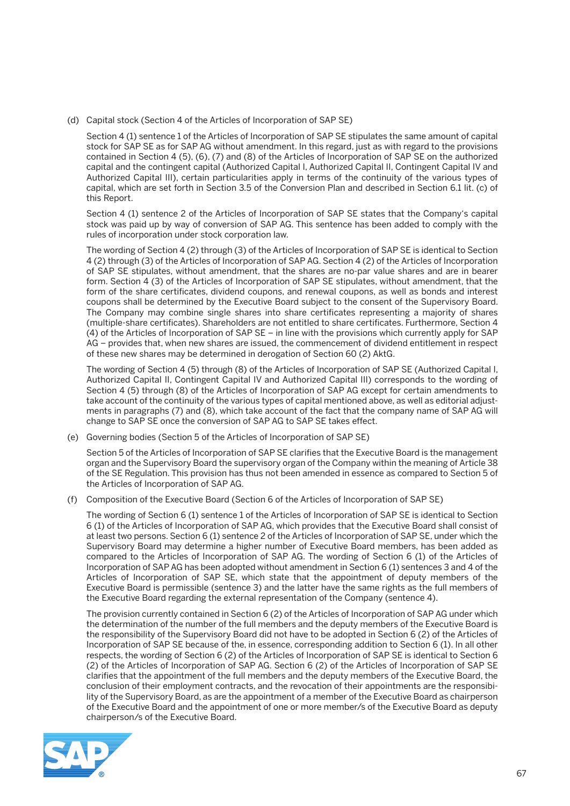(d) Capital stock (Section 4 of the Articles of Incorporation of SAP SE)

 Section 4 (1) sentence 1 of the Articles of Incorporation of SAP SE stipulates the same amount of capital stock for SAP SE as for SAP AG without amendment. In this regard, just as with regard to the provisions contained in Section 4 (5), (6), (7) and (8) of the Articles of Incorporation of SAP SE on the authorized capital and the contingent capital (Authorized Capital I, Authorized Capital II, Contingent Capital IV and Authorized Capital III), certain particularities apply in terms of the continuity of the various types of capital, which are set forth in Section 3.5 of the Conversion Plan and described in Section 6.1 lit. (c) of this Report.

 Section 4 (1) sentence 2 of the Articles of Incorporation of SAP SE states that the Company's capital stock was paid up by way of conversion of SAP AG. This sentence has been added to comply with the rules of incorporation under stock corporation law.

 The wording of Section 4 (2) through (3) of the Articles of Incorporation of SAP SE is identical to Section 4 (2) through (3) of the Articles of Incorporation of SAP AG. Section 4 (2) of the Articles of Incorporation of SAP SE stipulates, without amendment, that the shares are no-par value shares and are in bearer form. Section 4 (3) of the Articles of Incorporation of SAP SE stipulates, without amendment, that the form of the share certificates, dividend coupons, and renewal coupons, as well as bonds and interest coupons shall be determined by the Executive Board subject to the consent of the Supervisory Board. The Company may combine single shares into share certificates representing a majority of shares (multiple-share certificates). Shareholders are not entitled to share certificates. Furthermore, Section 4 (4) of the Articles of Incorporation of SAP SE – in line with the provisions which currently apply for SAP AG – provides that, when new shares are issued, the commencement of dividend entitlement in respect of these new shares may be determined in derogation of Section 60 (2) AktG.

 The wording of Section 4 (5) through (8) of the Articles of Incorporation of SAP SE (Authorized Capital I, Authorized Capital II, Contingent Capital IV and Authorized Capital III) corresponds to the wording of Section 4 (5) through (8) of the Articles of Incorporation of SAP AG except for certain amendments to take account of the continuity of the various types of capital mentioned above, as well as editorial adjustments in paragraphs (7) and (8), which take account of the fact that the company name of SAP AG will change to SAP SE once the conversion of SAP AG to SAP SE takes effect.

(e) Governing bodies (Section 5 of the Articles of Incorporation of SAP SE)

 Section 5 of the Articles of Incorporation of SAP SE clarifies that the Executive Board is the management organ and the Supervisory Board the supervisory organ of the Company within the meaning of Article 38 of the SE Regulation. This provision has thus not been amended in essence as compared to Section 5 of the Articles of Incorporation of SAP AG.

(f) Composition of the Executive Board (Section 6 of the Articles of Incorporation of SAP SE)

 The wording of Section 6 (1) sentence 1 of the Articles of Incorporation of SAP SE is identical to Section 6 (1) of the Articles of Incorporation of SAP AG, which provides that the Executive Board shall consist of at least two persons. Section 6 (1) sentence 2 of the Articles of Incorporation of SAP SE, under which the Supervisory Board may determine a higher number of Executive Board members, has been added as compared to the Articles of Incorporation of SAP AG. The wording of Section 6 (1) of the Articles of Incorporation of SAP AG has been adopted without amendment in Section 6 (1) sentences 3 and 4 of the Articles of Incorporation of SAP SE, which state that the appointment of deputy members of the Executive Board is permissible (sentence 3) and the latter have the same rights as the full members of the Executive Board regarding the external representation of the Company (sentence 4).

 The provision currently contained in Section 6 (2) of the Articles of Incorporation of SAP AG under which the determination of the number of the full members and the deputy members of the Executive Board is the responsibility of the Supervisory Board did not have to be adopted in Section 6 (2) of the Articles of Incorporation of SAP SE because of the, in essence, corresponding addition to Section 6 (1). In all other respects, the wording of Section 6 (2) of the Articles of Incorporation of SAP SE is identical to Section 6 (2) of the Articles of Incorporation of SAP AG. Section 6 (2) of the Articles of Incorporation of SAP SE clarifies that the appointment of the full members and the deputy members of the Executive Board, the conclusion of their employment contracts, and the revocation of their appointments are the responsibility of the Supervisory Board, as are the appointment of a member of the Executive Board as chairperson of the Executive Board and the appointment of one or more member/s of the Executive Board as deputy chairperson/s of the Executive Board.

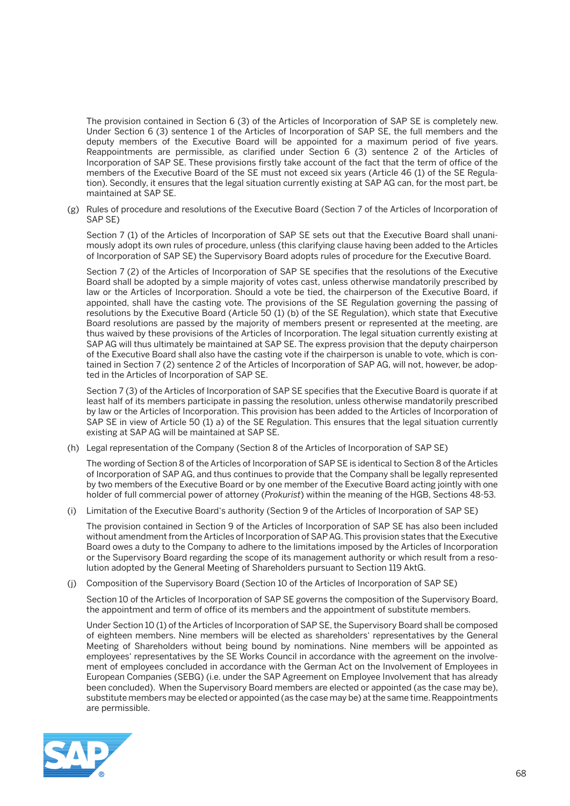The provision contained in Section 6 (3) of the Articles of Incorporation of SAP SE is completely new. Under Section 6 (3) sentence 1 of the Articles of Incorporation of SAP SE, the full members and the deputy members of the Executive Board will be appointed for a maximum period of five years. Reappointments are permissible, as clarified under Section 6 (3) sentence 2 of the Articles of Incorporation of SAP SE. These provisions firstly take account of the fact that the term of office of the members of the Executive Board of the SE must not exceed six years (Article 46 (1) of the SE Regulation). Secondly, it ensures that the legal situation currently existing at SAP AG can, for the most part, be maintained at SAP SE.

 (g) Rules of procedure and resolutions of the Executive Board (Section 7 of the Articles of Incorporation of SAP SE)

 Section 7 (1) of the Articles of Incorporation of SAP SE sets out that the Executive Board shall unanimously adopt its own rules of procedure, unless (this clarifying clause having been added to the Articles of Incorporation of SAP SE) the Supervisory Board adopts rules of procedure for the Executive Board.

 Section 7 (2) of the Articles of Incorporation of SAP SE specifies that the resolutions of the Executive Board shall be adopted by a simple majority of votes cast, unless otherwise mandatorily prescribed by law or the Articles of Incorporation. Should a vote be tied, the chairperson of the Executive Board, if appointed, shall have the casting vote. The provisions of the SE Regulation governing the passing of resolutions by the Executive Board (Article 50 (1) (b) of the SE Regulation), which state that Executive Board resolutions are passed by the majority of members present or represented at the meeting, are thus waived by these provisions of the Articles of Incorporation. The legal situation currently existing at SAP AG will thus ultimately be maintained at SAP SE. The express provision that the deputy chairperson of the Executive Board shall also have the casting vote if the chairperson is unable to vote, which is contained in Section 7 (2) sentence 2 of the Articles of Incorporation of SAP AG, will not, however, be adopted in the Articles of Incorporation of SAP SE.

 Section 7 (3) of the Articles of Incorporation of SAP SE specifies that the Executive Board is quorate if at least half of its members participate in passing the resolution, unless otherwise mandatorily prescribed by law or the Articles of Incorporation. This provision has been added to the Articles of Incorporation of SAP SE in view of Article 50 (1) a) of the SE Regulation. This ensures that the legal situation currently existing at SAP AG will be maintained at SAP SE.

(h) Legal representation of the Company (Section 8 of the Articles of Incorporation of SAP SE)

 The wording of Section 8 of the Articles of Incorporation of SAP SE is identical to Section 8 of the Articles of Incorporation of SAP AG, and thus continues to provide that the Company shall be legally represented by two members of the Executive Board or by one member of the Executive Board acting jointly with one holder of full commercial power of attorney (*Prokurist*) within the meaning of the HGB, Sections 48-53.

(i) Limitation of the Executive Board's authority (Section 9 of the Articles of Incorporation of SAP SE)

 The provision contained in Section 9 of the Articles of Incorporation of SAP SE has also been included without amendment from the Articles of Incorporation of SAP AG. This provision states that the Executive Board owes a duty to the Company to adhere to the limitations imposed by the Articles of Incorporation or the Supervisory Board regarding the scope of its management authority or which result from a resolution adopted by the General Meeting of Shareholders pursuant to Section 119 AktG.

(j) Composition of the Supervisory Board (Section 10 of the Articles of Incorporation of SAP SE)

 Section 10 of the Articles of Incorporation of SAP SE governs the composition of the Supervisory Board, the appointment and term of office of its members and the appointment of substitute members.

 Under Section 10 (1) of the Articles of Incorporation of SAP SE, the Supervisory Board shall be composed of eighteen members. Nine members will be elected as shareholders' representatives by the General Meeting of Shareholders without being bound by nominations. Nine members will be appointed as employees' representatives by the SE Works Council in accordance with the agreement on the involvement of employees concluded in accordance with the German Act on the Involvement of Employees in European Companies (SEBG) (i.e. under the SAP Agreement on Employee Involvement that has already been concluded). When the Supervisory Board members are elected or appointed (as the case may be), substitute members may be elected or appointed (as the case may be) at the same time. Reappointments are permissible.

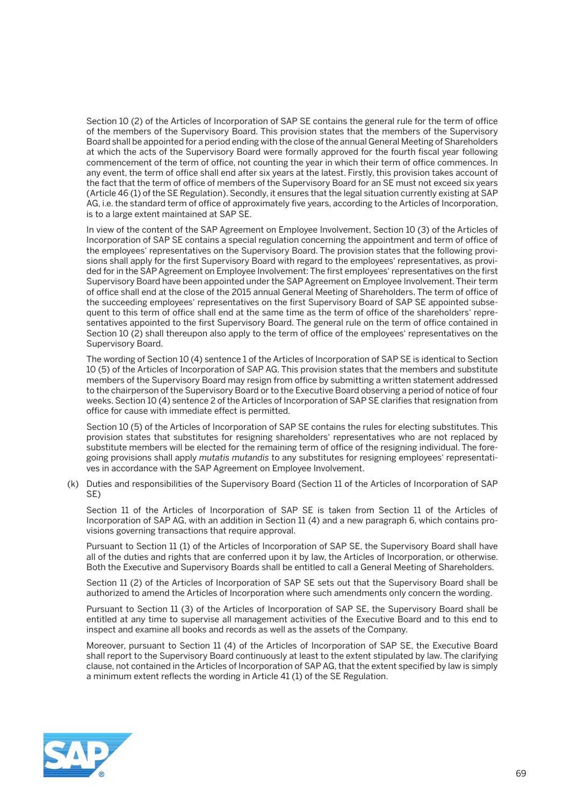Section 10 (2) of the Articles of Incorporation of SAP SE contains the general rule for the term of office of the members of the Supervisory Board. This provision states that the members of the Supervisory Board shall be appointed for a period ending with the close of the annual General Meeting of Shareholders at which the acts of the Supervisory Board were formally approved for the fourth fiscal year following commencement of the term of office, not counting the year in which their term of office commences. In any event, the term of office shall end after six years at the latest. Firstly, this provision takes account of the fact that the term of office of members of the Supervisory Board for an SE must not exceed six years (Article 46 (1) of the SE Regulation). Secondly, it ensures that the legal situation currently existing at SAP AG, i.e. the standard term of office of approximately five years, according to the Articles of Incorporation, is to a large extent maintained at SAP SE.

 In view of the content of the SAP Agreement on Employee Involvement, Section 10 (3) of the Articles of Incorporation of SAP SE contains a special regulation concerning the appointment and term of office of the employees' representatives on the Supervisory Board. The provision states that the following provisions shall apply for the first Supervisory Board with regard to the employees' representatives, as provided for in the SAP Agreement on Employee Involvement: The first employees' representatives on the first Supervisory Board have been appointed under the SAP Agreement on Employee Involvement. Their term of office shall end at the close of the 2015 annual General Meeting of Shareholders. The term of office of the succeeding employees' representatives on the first Supervisory Board of SAP SE appointed subsequent to this term of office shall end at the same time as the term of office of the shareholders' representatives appointed to the first Supervisory Board. The general rule on the term of office contained in Section 10 (2) shall thereupon also apply to the term of office of the employees' representatives on the Supervisory Board.

 The wording of Section 10 (4) sentence 1 of the Articles of Incorporation of SAP SE is identical to Section 10 (5) of the Articles of Incorporation of SAP AG. This provision states that the members and substitute members of the Supervisory Board may resign from office by submitting a written statement addressed to the chairperson of the Supervisory Board or to the Executive Board observing a period of notice of four weeks. Section 10 (4) sentence 2 of the Articles of Incorporation of SAP SE clarifies that resignation from office for cause with immediate effect is permitted.

 Section 10 (5) of the Articles of Incorporation of SAP SE contains the rules for electing substitutes. This provision states that substitutes for resigning shareholders' representatives who are not replaced by substitute members will be elected for the remaining term of office of the resigning individual. The foregoing provisions shall apply *mutatis mutandis* to any substitutes for resigning employees' representatives in accordance with the SAP Agreement on Employee Involvement.

 (k) Duties and responsibilities of the Supervisory Board (Section 11 of the Articles of Incorporation of SAP SE)

 Section 11 of the Articles of Incorporation of SAP SE is taken from Section 11 of the Articles of Incorporation of SAP AG, with an addition in Section 11 (4) and a new paragraph 6, which contains provisions governing transactions that require approval.

 Pursuant to Section 11 (1) of the Articles of Incorporation of SAP SE, the Supervisory Board shall have all of the duties and rights that are conferred upon it by law, the Articles of Incorporation, or otherwise. Both the Executive and Supervisory Boards shall be entitled to call a General Meeting of Shareholders.

 Section 11 (2) of the Articles of Incorporation of SAP SE sets out that the Supervisory Board shall be authorized to amend the Articles of Incorporation where such amendments only concern the wording.

 Pursuant to Section 11 (3) of the Articles of Incorporation of SAP SE, the Supervisory Board shall be entitled at any time to supervise all management activities of the Executive Board and to this end to inspect and examine all books and records as well as the assets of the Company.

 Moreover, pursuant to Section 11 (4) of the Articles of Incorporation of SAP SE, the Executive Board shall report to the Supervisory Board continuously at least to the extent stipulated by law. The clarifying clause, not contained in the Articles of Incorporation of SAP AG, that the extent specified by law is simply a minimum extent reflects the wording in Article 41 (1) of the SE Regulation.

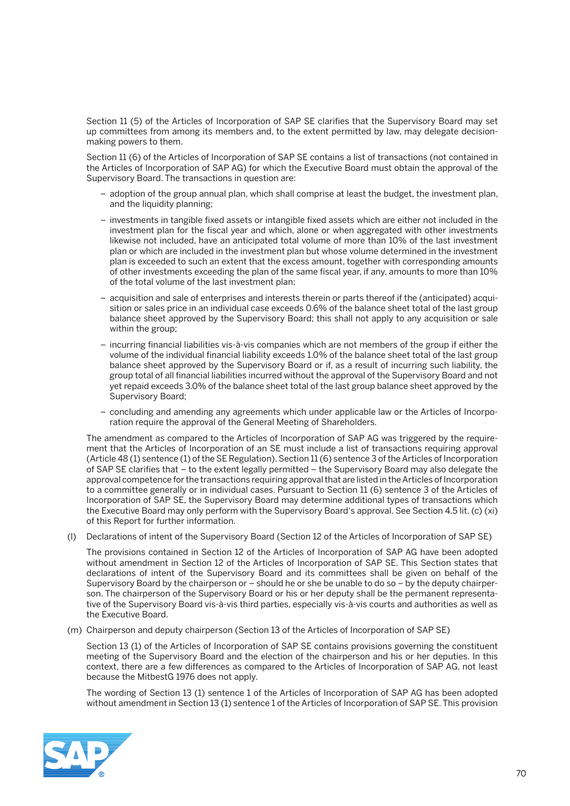Section 11 (5) of the Articles of Incorporation of SAP SE clarifies that the Supervisory Board may set up committees from among its members and, to the extent permitted by law, may delegate decisionmaking powers to them.

 Section 11 (6) of the Articles of Incorporation of SAP SE contains a list of transactions (not contained in the Articles of Incorporation of SAP AG) for which the Executive Board must obtain the approval of the Supervisory Board. The transactions in question are:

- adoption of the group annual plan, which shall comprise at least the budget, the investment plan, and the liquidity planning;
- investments in tangible fixed assets or intangible fixed assets which are either not included in the investment plan for the fiscal year and which, alone or when aggregated with other investments likewise not included, have an anticipated total volume of more than 10% of the last investment plan or which are included in the investment plan but whose volume determined in the investment plan is exceeded to such an extent that the excess amount, together with corresponding amounts of other investments exceeding the plan of the same fiscal year, if any, amounts to more than 10% of the total volume of the last investment plan;
- acquisition and sale of enterprises and interests therein or parts thereof if the (anticipated) acquisition or sales price in an individual case exceeds 0.6% of the balance sheet total of the last group balance sheet approved by the Supervisory Board; this shall not apply to any acquisition or sale within the group;
- incurring financial liabilities vis-à-vis companies which are not members of the group if either the volume of the individual financial liability exceeds 1.0% of the balance sheet total of the last group balance sheet approved by the Supervisory Board or if, as a result of incurring such liability, the group total of all financial liabilities incurred without the approval of the Supervisory Board and not yet repaid exceeds 3.0% of the balance sheet total of the last group balance sheet approved by the Supervisory Board;
- concluding and amending any agreements which under applicable law or the Articles of Incorporation require the approval of the General Meeting of Shareholders.

 The amendment as compared to the Articles of Incorporation of SAP AG was triggered by the requirement that the Articles of Incorporation of an SE must include a list of transactions requiring approval (Article 48 (1) sentence (1) of the SE Regulation). Section 11 (6) sentence 3 of the Articles of Incorporation of SAP SE clarifies that – to the extent legally permitted – the Supervisory Board may also delegate the approval competence for the transactions requiring approval that are listed in the Articles of Incorporation to a committee generally or in individual cases. Pursuant to Section 11 (6) sentence 3 of the Articles of Incorporation of SAP SE, the Supervisory Board may determine additional types of transactions which the Executive Board may only perform with the Supervisory Board's approval. See Section 4.5 lit. (c) (xi) of this Report for further information.

(l) Declarations of intent of the Supervisory Board (Section 12 of the Articles of Incorporation of SAP SE)

 The provisions contained in Section 12 of the Articles of Incorporation of SAP AG have been adopted without amendment in Section 12 of the Articles of Incorporation of SAP SE. This Section states that declarations of intent of the Supervisory Board and its committees shall be given on behalf of the Supervisory Board by the chairperson or – should he or she be unable to do so – by the deputy chairperson. The chairperson of the Supervisory Board or his or her deputy shall be the permanent representative of the Supervisory Board vis-à-vis third parties, especially vis-à-vis courts and authorities as well as the Executive Board.

(m) Chairperson and deputy chairperson (Section 13 of the Articles of Incorporation of SAP SE)

 Section 13 (1) of the Articles of Incorporation of SAP SE contains provisions governing the constituent meeting of the Supervisory Board and the election of the chairperson and his or her deputies. In this context, there are a few differences as compared to the Articles of Incorporation of SAP AG, not least because the MitbestG 1976 does not apply.

 The wording of Section 13 (1) sentence 1 of the Articles of Incorporation of SAP AG has been adopted without amendment in Section 13 (1) sentence 1 of the Articles of Incorporation of SAP SE. This provision

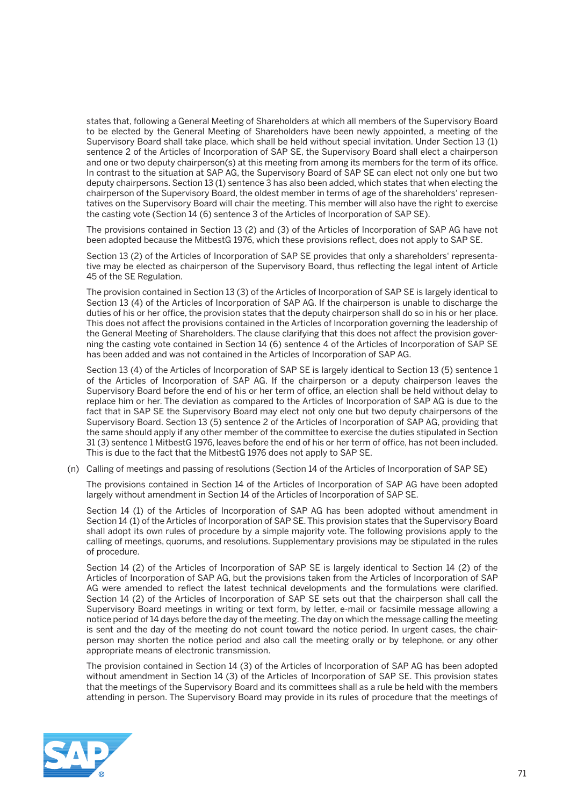states that, following a General Meeting of Shareholders at which all members of the Supervisory Board to be elected by the General Meeting of Shareholders have been newly appointed, a meeting of the Supervisory Board shall take place, which shall be held without special invitation. Under Section 13 (1) sentence 2 of the Articles of Incorporation of SAP SE, the Supervisory Board shall elect a chairperson and one or two deputy chairperson(s) at this meeting from among its members for the term of its office. In contrast to the situation at SAP AG, the Supervisory Board of SAP SE can elect not only one but two deputy chairpersons. Section 13 (1) sentence 3 has also been added, which states that when electing the chairperson of the Supervisory Board, the oldest member in terms of age of the shareholders' representatives on the Supervisory Board will chair the meeting. This member will also have the right to exercise the casting vote (Section 14 (6) sentence 3 of the Articles of Incorporation of SAP SE).

 The provisions contained in Section 13 (2) and (3) of the Articles of Incorporation of SAP AG have not been adopted because the MitbestG 1976, which these provisions reflect, does not apply to SAP SE.

 Section 13 (2) of the Articles of Incorporation of SAP SE provides that only a shareholders' representative may be elected as chairperson of the Supervisory Board, thus reflecting the legal intent of Article 45 of the SE Regulation.

 The provision contained in Section 13 (3) of the Articles of Incorporation of SAP SE is largely identical to Section 13 (4) of the Articles of Incorporation of SAP AG. If the chairperson is unable to discharge the duties of his or her office, the provision states that the deputy chairperson shall do so in his or her place. This does not affect the provisions contained in the Articles of Incorporation governing the leadership of the General Meeting of Shareholders. The clause clarifying that this does not affect the provision governing the casting vote contained in Section 14 (6) sentence 4 of the Articles of Incorporation of SAP SE has been added and was not contained in the Articles of Incorporation of SAP AG.

 Section 13 (4) of the Articles of Incorporation of SAP SE is largely identical to Section 13 (5) sentence 1 of the Articles of Incorporation of SAP AG. If the chairperson or a deputy chairperson leaves the Supervisory Board before the end of his or her term of office, an election shall be held without delay to replace him or her. The deviation as compared to the Articles of Incorporation of SAP AG is due to the fact that in SAP SE the Supervisory Board may elect not only one but two deputy chairpersons of the Supervisory Board. Section 13 (5) sentence 2 of the Articles of Incorporation of SAP AG, providing that the same should apply if any other member of the committee to exercise the duties stipulated in Section 31 (3) sentence 1 MitbestG 1976, leaves before the end of his or her term of office, has not been included. This is due to the fact that the MitbestG 1976 does not apply to SAP SE.

(n) Calling of meetings and passing of resolutions (Section 14 of the Articles of Incorporation of SAP SE)

 The provisions contained in Section 14 of the Articles of Incorporation of SAP AG have been adopted largely without amendment in Section 14 of the Articles of Incorporation of SAP SE.

 Section 14 (1) of the Articles of Incorporation of SAP AG has been adopted without amendment in Section 14 (1) of the Articles of Incorporation of SAP SE. This provision states that the Supervisory Board shall adopt its own rules of procedure by a simple majority vote. The following provisions apply to the calling of meetings, quorums, and resolutions. Supplementary provisions may be stipulated in the rules of procedure.

 Section 14 (2) of the Articles of Incorporation of SAP SE is largely identical to Section 14 (2) of the Articles of Incorporation of SAP AG, but the provisions taken from the Articles of Incorporation of SAP AG were amended to reflect the latest technical developments and the formulations were clarified. Section 14 (2) of the Articles of Incorporation of SAP SE sets out that the chairperson shall call the Supervisory Board meetings in writing or text form, by letter, e-mail or facsimile message allowing a notice period of 14 days before the day of the meeting. The day on which the message calling the meeting is sent and the day of the meeting do not count toward the notice period. In urgent cases, the chairperson may shorten the notice period and also call the meeting orally or by telephone, or any other appropriate means of electronic transmission.

 The provision contained in Section 14 (3) of the Articles of Incorporation of SAP AG has been adopted without amendment in Section 14 (3) of the Articles of Incorporation of SAP SE. This provision states that the meetings of the Supervisory Board and its committees shall as a rule be held with the members attending in person. The Supervisory Board may provide in its rules of procedure that the meetings of

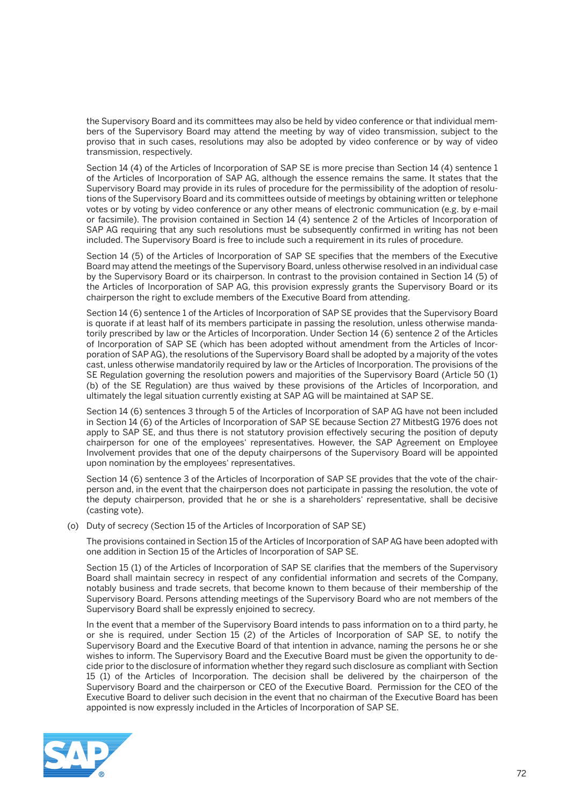the Supervisory Board and its committees may also be held by video conference or that individual members of the Supervisory Board may attend the meeting by way of video transmission, subject to the proviso that in such cases, resolutions may also be adopted by video conference or by way of video transmission, respectively.

 Section 14 (4) of the Articles of Incorporation of SAP SE is more precise than Section 14 (4) sentence 1 of the Articles of Incorporation of SAP AG, although the essence remains the same. It states that the Supervisory Board may provide in its rules of procedure for the permissibility of the adoption of resolutions of the Supervisory Board and its committees outside of meetings by obtaining written or telephone votes or by voting by video conference or any other means of electronic communication (e.g. by e-mail or facsimile). The provision contained in Section 14 (4) sentence 2 of the Articles of Incorporation of SAP AG requiring that any such resolutions must be subsequently confirmed in writing has not been included. The Supervisory Board is free to include such a requirement in its rules of procedure.

 Section 14 (5) of the Articles of Incorporation of SAP SE specifies that the members of the Executive Board may attend the meetings of the Supervisory Board, unless otherwise resolved in an individual case by the Supervisory Board or its chairperson. In contrast to the provision contained in Section 14 (5) of the Articles of Incorporation of SAP AG, this provision expressly grants the Supervisory Board or its chairperson the right to exclude members of the Executive Board from attending.

 Section 14 (6) sentence 1 of the Articles of Incorporation of SAP SE provides that the Supervisory Board is quorate if at least half of its members participate in passing the resolution, unless otherwise mandatorily prescribed by law or the Articles of Incorporation. Under Section 14 (6) sentence 2 of the Articles of Incorporation of SAP SE (which has been adopted without amendment from the Articles of Incorporation of SAP AG), the resolutions of the Supervisory Board shall be adopted by a majority of the votes cast, unless otherwise mandatorily required by law or the Articles of Incorporation. The provisions of the SE Regulation governing the resolution powers and majorities of the Supervisory Board (Article 50 (1) (b) of the SE Regulation) are thus waived by these provisions of the Articles of Incorporation, and ultimately the legal situation currently existing at SAP AG will be maintained at SAP SE.

 Section 14 (6) sentences 3 through 5 of the Articles of Incorporation of SAP AG have not been included in Section 14 (6) of the Articles of Incorporation of SAP SE because Section 27 MitbestG 1976 does not apply to SAP SE, and thus there is not statutory provision effectively securing the position of deputy chairperson for one of the employees' representatives. However, the SAP Agreement on Employee Involvement provides that one of the deputy chairpersons of the Supervisory Board will be appointed upon nomination by the employees' representatives.

 Section 14 (6) sentence 3 of the Articles of Incorporation of SAP SE provides that the vote of the chairperson and, in the event that the chairperson does not participate in passing the resolution, the vote of the deputy chairperson, provided that he or she is a shareholders' representative, shall be decisive (casting vote).

(o) Duty of secrecy (Section 15 of the Articles of Incorporation of SAP SE)

 The provisions contained in Section 15 of the Articles of Incorporation of SAP AG have been adopted with one addition in Section 15 of the Articles of Incorporation of SAP SE.

 Section 15 (1) of the Articles of Incorporation of SAP SE clarifies that the members of the Supervisory Board shall maintain secrecy in respect of any confidential information and secrets of the Company, notably business and trade secrets, that become known to them because of their membership of the Supervisory Board. Persons attending meetings of the Supervisory Board who are not members of the Supervisory Board shall be expressly enjoined to secrecy.

 In the event that a member of the Supervisory Board intends to pass information on to a third party, he or she is required, under Section 15 (2) of the Articles of Incorporation of SAP SE, to notify the Supervisory Board and the Executive Board of that intention in advance, naming the persons he or she wishes to inform. The Supervisory Board and the Executive Board must be given the opportunity to decide prior to the disclosure of information whether they regard such disclosure as compliant with Section 15 (1) of the Articles of Incorporation. The decision shall be delivered by the chairperson of the Supervisory Board and the chairperson or CEO of the Executive Board. Permission for the CEO of the Executive Board to deliver such decision in the event that no chairman of the Executive Board has been appointed is now expressly included in the Articles of Incorporation of SAP SE.

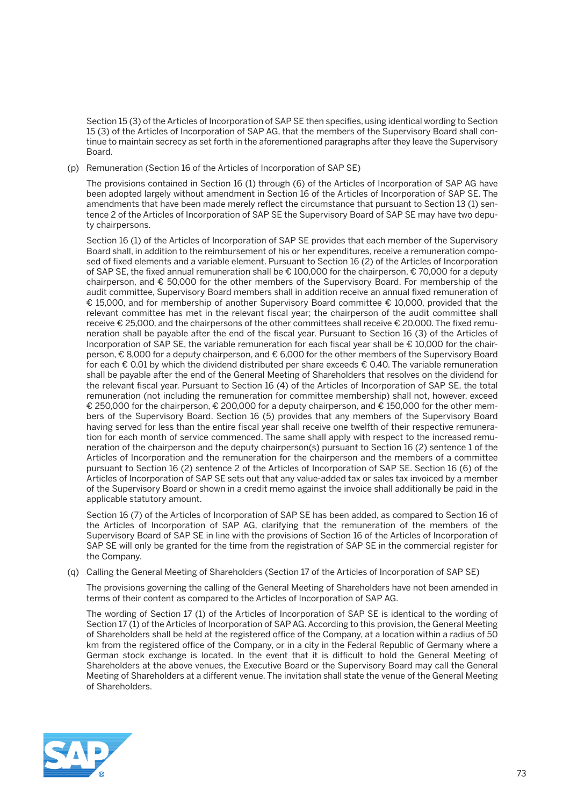Section 15 (3) of the Articles of Incorporation of SAP SE then specifies, using identical wording to Section 15 (3) of the Articles of Incorporation of SAP AG, that the members of the Supervisory Board shall continue to maintain secrecy as set forth in the aforementioned paragraphs after they leave the Supervisory Board.

(p) Remuneration (Section 16 of the Articles of Incorporation of SAP SE)

 The provisions contained in Section 16 (1) through (6) of the Articles of Incorporation of SAP AG have been adopted largely without amendment in Section 16 of the Articles of Incorporation of SAP SE. The amendments that have been made merely reflect the circumstance that pursuant to Section 13 (1) sentence 2 of the Articles of Incorporation of SAP SE the Supervisory Board of SAP SE may have two deputy chairpersons.

 Section 16 (1) of the Articles of Incorporation of SAP SE provides that each member of the Supervisory Board shall, in addition to the reimbursement of his or her expenditures, receive a remuneration composed of fixed elements and a variable element. Pursuant to Section 16 (2) of the Articles of Incorporation of SAP SE, the fixed annual remuneration shall be € 100,000 for the chairperson, € 70,000 for a deputy chairperson, and € 50,000 for the other members of the Supervisory Board. For membership of the audit committee, Supervisory Board members shall in addition receive an annual fixed remuneration of € 15,000, and for membership of another Supervisory Board committee € 10,000, provided that the relevant committee has met in the relevant fiscal year; the chairperson of the audit committee shall receive € 25,000, and the chairpersons of the other committees shall receive € 20,000. The fixed remuneration shall be payable after the end of the fiscal year. Pursuant to Section 16 (3) of the Articles of Incorporation of SAP SE, the variable remuneration for each fiscal year shall be  $\epsilon$  10,000 for the chairperson, € 8,000 for a deputy chairperson, and € 6,000 for the other members of the Supervisory Board for each € 0.01 by which the dividend distributed per share exceeds € 0.40. The variable remuneration shall be payable after the end of the General Meeting of Shareholders that resolves on the dividend for the relevant fiscal year. Pursuant to Section 16 (4) of the Articles of Incorporation of SAP SE, the total remuneration (not including the remuneration for committee membership) shall not, however, exceed € 250,000 for the chairperson, € 200,000 for a deputy chairperson, and € 150,000 for the other members of the Supervisory Board. Section 16 (5) provides that any members of the Supervisory Board having served for less than the entire fiscal year shall receive one twelfth of their respective remuneration for each month of service commenced. The same shall apply with respect to the increased remuneration of the chairperson and the deputy chairperson(s) pursuant to Section 16 (2) sentence 1 of the Articles of Incorporation and the remuneration for the chairperson and the members of a committee pursuant to Section 16 (2) sentence 2 of the Articles of Incorporation of SAP SE. Section 16 (6) of the Articles of Incorporation of SAP SE sets out that any value-added tax or sales tax invoiced by a member of the Supervisory Board or shown in a credit memo against the invoice shall additionally be paid in the applicable statutory amount.

 Section 16 (7) of the Articles of Incorporation of SAP SE has been added, as compared to Section 16 of the Articles of Incorporation of SAP AG, clarifying that the remuneration of the members of the Supervisory Board of SAP SE in line with the provisions of Section 16 of the Articles of Incorporation of SAP SE will only be granted for the time from the registration of SAP SE in the commercial register for the Company.

(q) Calling the General Meeting of Shareholders (Section 17 of the Articles of Incorporation of SAP SE)

 The provisions governing the calling of the General Meeting of Shareholders have not been amended in terms of their content as compared to the Articles of Incorporation of SAP AG.

 The wording of Section 17 (1) of the Articles of Incorporation of SAP SE is identical to the wording of Section 17 (1) of the Articles of Incorporation of SAP AG. According to this provision, the General Meeting of Shareholders shall be held at the registered office of the Company, at a location within a radius of 50 km from the registered office of the Company, or in a city in the Federal Republic of Germany where a German stock exchange is located. In the event that it is difficult to hold the General Meeting of Shareholders at the above venues, the Executive Board or the Supervisory Board may call the General Meeting of Shareholders at a different venue. The invitation shall state the venue of the General Meeting of Shareholders.

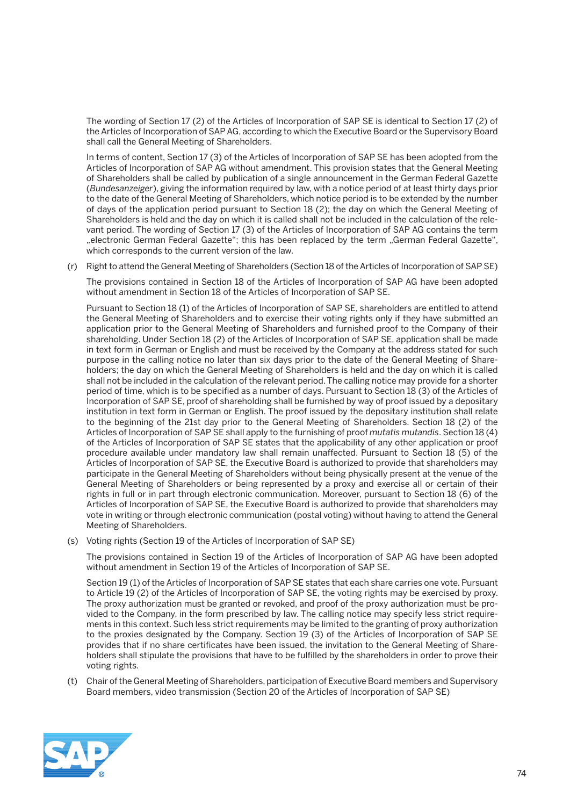The wording of Section 17 (2) of the Articles of Incorporation of SAP SE is identical to Section 17 (2) of the Articles of Incorporation of SAP AG, according to which the Executive Board or the Supervisory Board shall call the General Meeting of Shareholders.

 In terms of content, Section 17 (3) of the Articles of Incorporation of SAP SE has been adopted from the Articles of Incorporation of SAP AG without amendment. This provision states that the General Meeting of Shareholders shall be called by publication of a single announcement in the German Federal Gazette (*Bundesanzeiger*), giving the information required by law, with a notice period of at least thirty days prior to the date of the General Meeting of Shareholders, which notice period is to be extended by the number of days of the application period pursuant to Section 18 (2); the day on which the General Meeting of Shareholders is held and the day on which it is called shall not be included in the calculation of the relevant period. The wording of Section 17 (3) of the Articles of Incorporation of SAP AG contains the term "electronic German Federal Gazette"; this has been replaced by the term "German Federal Gazette", which corresponds to the current version of the law.

(r) Right to attend the General Meeting of Shareholders (Section 18 of the Articles of Incorporation of SAP SE)

 The provisions contained in Section 18 of the Articles of Incorporation of SAP AG have been adopted without amendment in Section 18 of the Articles of Incorporation of SAP SE.

 Pursuant to Section 18 (1) of the Articles of Incorporation of SAP SE, shareholders are entitled to attend the General Meeting of Shareholders and to exercise their voting rights only if they have submitted an application prior to the General Meeting of Shareholders and furnished proof to the Company of their shareholding. Under Section 18 (2) of the Articles of Incorporation of SAP SE, application shall be made in text form in German or English and must be received by the Company at the address stated for such purpose in the calling notice no later than six days prior to the date of the General Meeting of Shareholders; the day on which the General Meeting of Shareholders is held and the day on which it is called shall not be included in the calculation of the relevant period. The calling notice may provide for a shorter period of time, which is to be specified as a number of days. Pursuant to Section 18 (3) of the Articles of Incorporation of SAP SE, proof of shareholding shall be furnished by way of proof issued by a depositary institution in text form in German or English. The proof issued by the depositary institution shall relate to the beginning of the 21st day prior to the General Meeting of Shareholders. Section 18 (2) of the Articles of Incorporation of SAP SE shall apply to the furnishing of proof *mutatis mutandis*. Section 18 (4) of the Articles of Incorporation of SAP SE states that the applicability of any other application or proof procedure available under mandatory law shall remain unaffected. Pursuant to Section 18 (5) of the Articles of Incorporation of SAP SE, the Executive Board is authorized to provide that shareholders may participate in the General Meeting of Shareholders without being physically present at the venue of the General Meeting of Shareholders or being represented by a proxy and exercise all or certain of their rights in full or in part through electronic communication. Moreover, pursuant to Section 18 (6) of the Articles of Incorporation of SAP SE, the Executive Board is authorized to provide that shareholders may vote in writing or through electronic communication (postal voting) without having to attend the General Meeting of Shareholders.

(s) Voting rights (Section 19 of the Articles of Incorporation of SAP SE)

 The provisions contained in Section 19 of the Articles of Incorporation of SAP AG have been adopted without amendment in Section 19 of the Articles of Incorporation of SAP SE.

 Section 19 (1) of the Articles of Incorporation of SAP SE states that each share carries one vote. Pursuant to Article 19 (2) of the Articles of Incorporation of SAP SE, the voting rights may be exercised by proxy. The proxy authorization must be granted or revoked, and proof of the proxy authorization must be provided to the Company, in the form prescribed by law. The calling notice may specify less strict requirements in this context. Such less strict requirements may be limited to the granting of proxy authorization to the proxies designated by the Company. Section 19 (3) of the Articles of Incorporation of SAP SE provides that if no share certificates have been issued, the invitation to the General Meeting of Shareholders shall stipulate the provisions that have to be fulfilled by the shareholders in order to prove their voting rights.

 (t) Chair of the General Meeting of Shareholders, participation of Executive Board members and Supervisory Board members, video transmission (Section 20 of the Articles of Incorporation of SAP SE)

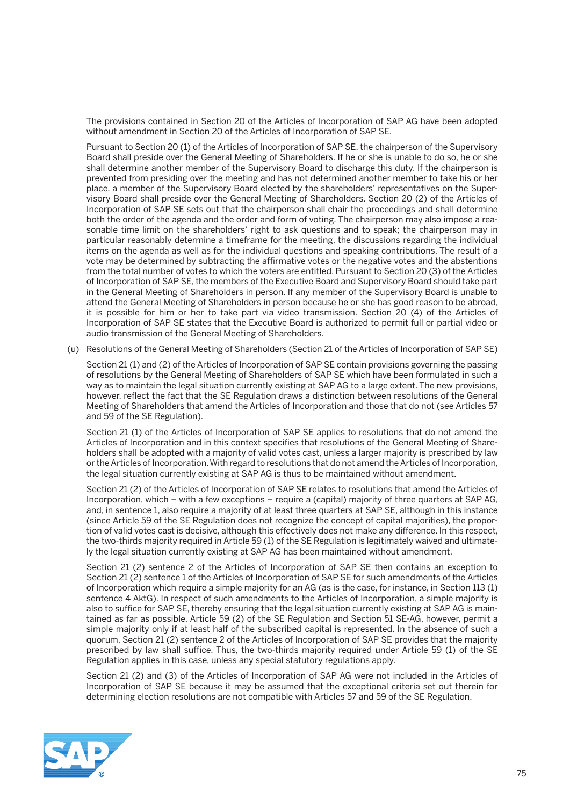The provisions contained in Section 20 of the Articles of Incorporation of SAP AG have been adopted without amendment in Section 20 of the Articles of Incorporation of SAP SE.

 Pursuant to Section 20 (1) of the Articles of Incorporation of SAP SE, the chairperson of the Supervisory Board shall preside over the General Meeting of Shareholders. If he or she is unable to do so, he or she shall determine another member of the Supervisory Board to discharge this duty. If the chairperson is prevented from presiding over the meeting and has not determined another member to take his or her place, a member of the Supervisory Board elected by the shareholders' representatives on the Supervisory Board shall preside over the General Meeting of Shareholders. Section 20 (2) of the Articles of Incorporation of SAP SE sets out that the chairperson shall chair the proceedings and shall determine both the order of the agenda and the order and form of voting. The chairperson may also impose a reasonable time limit on the shareholders' right to ask questions and to speak; the chairperson may in particular reasonably determine a timeframe for the meeting, the discussions regarding the individual items on the agenda as well as for the individual questions and speaking contributions. The result of a vote may be determined by subtracting the affirmative votes or the negative votes and the abstentions from the total number of votes to which the voters are entitled. Pursuant to Section 20 (3) of the Articles of Incorporation of SAP SE, the members of the Executive Board and Supervisory Board should take part in the General Meeting of Shareholders in person. If any member of the Supervisory Board is unable to attend the General Meeting of Shareholders in person because he or she has good reason to be abroad, it is possible for him or her to take part via video transmission. Section 20 (4) of the Articles of Incorporation of SAP SE states that the Executive Board is authorized to permit full or partial video or audio transmission of the General Meeting of Shareholders.

(u) Resolutions of the General Meeting of Shareholders (Section 21 of the Articles of Incorporation of SAP SE)

 Section 21 (1) and (2) of the Articles of Incorporation of SAP SE contain provisions governing the passing of resolutions by the General Meeting of Shareholders of SAP SE which have been formulated in such a way as to maintain the legal situation currently existing at SAP AG to a large extent. The new provisions, however, reflect the fact that the SE Regulation draws a distinction between resolutions of the General Meeting of Shareholders that amend the Articles of Incorporation and those that do not (see Articles 57 and 59 of the SE Regulation).

 Section 21 (1) of the Articles of Incorporation of SAP SE applies to resolutions that do not amend the Articles of Incorporation and in this context specifies that resolutions of the General Meeting of Shareholders shall be adopted with a majority of valid votes cast, unless a larger majority is prescribed by law or the Articles of Incorporation. With regard to resolutions that do not amend the Articles of Incorporation, the legal situation currently existing at SAP AG is thus to be maintained without amendment.

 Section 21 (2) of the Articles of Incorporation of SAP SE relates to resolutions that amend the Articles of Incorporation, which – with a few exceptions – require a (capital) majority of three quarters at SAP AG, and, in sentence 1, also require a majority of at least three quarters at SAP SE, although in this instance (since Article 59 of the SE Regulation does not recognize the concept of capital majorities), the proportion of valid votes cast is decisive, although this effectively does not make any difference. In this respect, the two-thirds majority required in Article 59 (1) of the SE Regulation is legitimately waived and ultimately the legal situation currently existing at SAP AG has been maintained without amendment.

 Section 21 (2) sentence 2 of the Articles of Incorporation of SAP SE then contains an exception to Section 21 (2) sentence 1 of the Articles of Incorporation of SAP SE for such amendments of the Articles of Incorporation which require a simple majority for an AG (as is the case, for instance, in Section 113 (1) sentence 4 AktG). In respect of such amendments to the Articles of Incorporation, a simple majority is also to suffice for SAP SE, thereby ensuring that the legal situation currently existing at SAP AG is maintained as far as possible. Article 59 (2) of the SE Regulation and Section 51 SE-AG, however, permit a simple majority only if at least half of the subscribed capital is represented. In the absence of such a quorum, Section 21 (2) sentence 2 of the Articles of Incorporation of SAP SE provides that the majority prescribed by law shall suffice. Thus, the two-thirds majority required under Article 59 (1) of the SE Regulation applies in this case, unless any special statutory regulations apply.

 Section 21 (2) and (3) of the Articles of Incorporation of SAP AG were not included in the Articles of Incorporation of SAP SE because it may be assumed that the exceptional criteria set out therein for determining election resolutions are not compatible with Articles 57 and 59 of the SE Regulation.

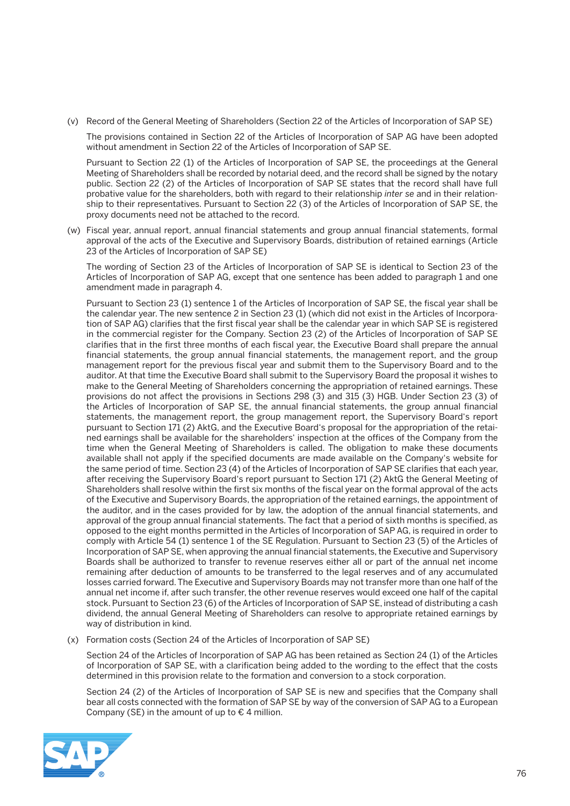(v) Record of the General Meeting of Shareholders (Section 22 of the Articles of Incorporation of SAP SE)

 The provisions contained in Section 22 of the Articles of Incorporation of SAP AG have been adopted without amendment in Section 22 of the Articles of Incorporation of SAP SE.

 Pursuant to Section 22 (1) of the Articles of Incorporation of SAP SE, the proceedings at the General Meeting of Shareholders shall be recorded by notarial deed, and the record shall be signed by the notary public. Section 22 (2) of the Articles of Incorporation of SAP SE states that the record shall have full probative value for the shareholders, both with regard to their relationship *inter se* and in their relationship to their representatives. Pursuant to Section 22 (3) of the Articles of Incorporation of SAP SE, the proxy documents need not be attached to the record.

 (w) Fiscal year, annual report, annual financial statements and group annual financial statements, formal approval of the acts of the Executive and Supervisory Boards, distribution of retained earnings (Article 23 of the Articles of Incorporation of SAP SE)

 The wording of Section 23 of the Articles of Incorporation of SAP SE is identical to Section 23 of the Articles of Incorporation of SAP AG, except that one sentence has been added to paragraph 1 and one amendment made in paragraph 4.

 Pursuant to Section 23 (1) sentence 1 of the Articles of Incorporation of SAP SE, the fiscal year shall be the calendar year. The new sentence 2 in Section 23 (1) (which did not exist in the Articles of Incorporation of SAP AG) clarifies that the first fiscal year shall be the calendar year in which SAP SE is registered in the commercial register for the Company. Section 23 (2) of the Articles of Incorporation of SAP SE clarifies that in the first three months of each fiscal year, the Executive Board shall prepare the annual financial statements, the group annual financial statements, the management report, and the group management report for the previous fiscal year and submit them to the Supervisory Board and to the auditor. At that time the Executive Board shall submit to the Supervisory Board the proposal it wishes to make to the General Meeting of Shareholders concerning the appropriation of retained earnings. These provisions do not affect the provisions in Sections 298 (3) and 315 (3) HGB. Under Section 23 (3) of the Articles of Incorporation of SAP SE, the annual financial statements, the group annual financial statements, the management report, the group management report, the Supervisory Board's report pursuant to Section 171 (2) AktG, and the Executive Board's proposal for the appropriation of the retained earnings shall be available for the shareholders' inspection at the offices of the Company from the time when the General Meeting of Shareholders is called. The obligation to make these documents available shall not apply if the specified documents are made available on the Company's website for the same period of time. Section 23 (4) of the Articles of Incorporation of SAP SE clarifies that each year, after receiving the Supervisory Board's report pursuant to Section 171 (2) AktG the General Meeting of Shareholders shall resolve within the first six months of the fiscal year on the formal approval of the acts of the Executive and Supervisory Boards, the appropriation of the retained earnings, the appointment of the auditor, and in the cases provided for by law, the adoption of the annual financial statements, and approval of the group annual financial statements. The fact that a period of sixth months is specified, as opposed to the eight months permitted in the Articles of Incorporation of SAP AG, is required in order to comply with Article 54 (1) sentence 1 of the SE Regulation. Pursuant to Section 23 (5) of the Articles of Incorporation of SAP SE, when approving the annual financial statements, the Executive and Supervisory Boards shall be authorized to transfer to revenue reserves either all or part of the annual net income remaining after deduction of amounts to be transferred to the legal reserves and of any accumulated losses carried forward. The Executive and Supervisory Boards may not transfer more than one half of the annual net income if, after such transfer, the other revenue reserves would exceed one half of the capital stock. Pursuant to Section 23 (6) of the Articles of Incorporation of SAP SE, instead of distributing a cash dividend, the annual General Meeting of Shareholders can resolve to appropriate retained earnings by way of distribution in kind.

(x) Formation costs (Section 24 of the Articles of Incorporation of SAP SE)

 Section 24 of the Articles of Incorporation of SAP AG has been retained as Section 24 (1) of the Articles of Incorporation of SAP SE, with a clarification being added to the wording to the effect that the costs determined in this provision relate to the formation and conversion to a stock corporation.

 Section 24 (2) of the Articles of Incorporation of SAP SE is new and specifies that the Company shall bear all costs connected with the formation of SAP SE by way of the conversion of SAP AG to a European Company (SE) in the amount of up to  $\epsilon$  4 million.

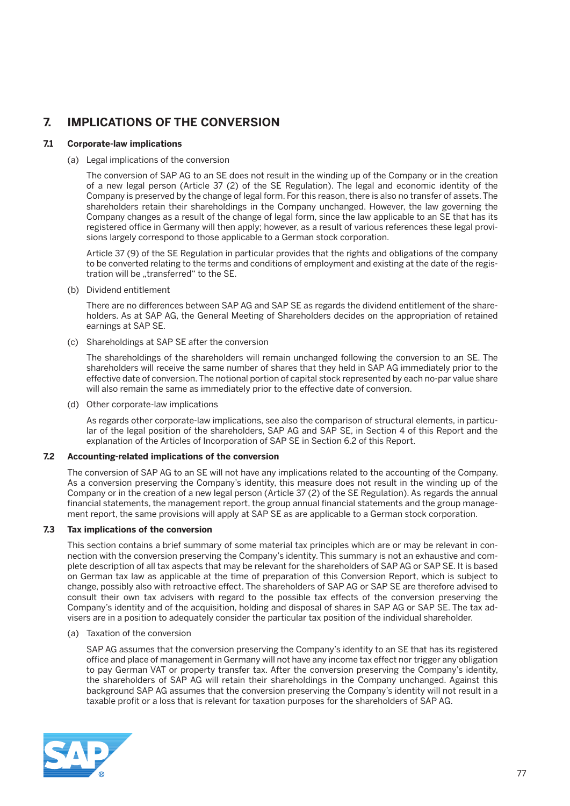# **7. IMPLICATIONS OF THE CONVERSION**

## **7.1 Corporate-law implications**

### (a) Legal implications of the conversion

 The conversion of SAP AG to an SE does not result in the winding up of the Company or in the creation of a new legal person (Article 37 (2) of the SE Regulation). The legal and economic identity of the Company is preserved by the change of legal form. For this reason, there is also no transfer of assets. The shareholders retain their shareholdings in the Company unchanged. However, the law governing the Company changes as a result of the change of legal form, since the law applicable to an SE that has its registered office in Germany will then apply; however, as a result of various references these legal provisions largely correspond to those applicable to a German stock corporation.

 Article 37 (9) of the SE Regulation in particular provides that the rights and obligations of the company to be converted relating to the terms and conditions of employment and existing at the date of the registration will be "transferred" to the SE.

(b) Dividend entitlement

 There are no differences between SAP AG and SAP SE as regards the dividend entitlement of the shareholders. As at SAP AG, the General Meeting of Shareholders decides on the appropriation of retained earnings at SAP SE.

(c) Shareholdings at SAP SE after the conversion

 The shareholdings of the shareholders will remain unchanged following the conversion to an SE. The shareholders will receive the same number of shares that they held in SAP AG immediately prior to the effective date of conversion. The notional portion of capital stock represented by each no-par value share will also remain the same as immediately prior to the effective date of conversion.

(d) Other corporate-law implications

 As regards other corporate-law implications, see also the comparison of structural elements, in particular of the legal position of the shareholders, SAP AG and SAP SE, in Section 4 of this Report and the explanation of the Articles of Incorporation of SAP SE in Section 6.2 of this Report.

# **7.2 Accounting-related implications of the conversion**

 The conversion of SAP AG to an SE will not have any implications related to the accounting of the Company. As a conversion preserving the Company's identity, this measure does not result in the winding up of the Company or in the creation of a new legal person (Article 37 (2) of the SE Regulation). As regards the annual financial statements, the management report, the group annual financial statements and the group management report, the same provisions will apply at SAP SE as are applicable to a German stock corporation.

# **7.3 Tax implications of the conversion**

 This section contains a brief summary of some material tax principles which are or may be relevant in connection with the conversion preserving the Company's identity. This summary is not an exhaustive and complete description of all tax aspects that may be relevant for the shareholders of SAP AG or SAP SE. It is based on German tax law as applicable at the time of preparation of this Conversion Report, which is subject to change, possibly also with retroactive effect. The shareholders of SAP AG or SAP SE are therefore advised to consult their own tax advisers with regard to the possible tax effects of the conversion preserving the Company's identity and of the acquisition, holding and disposal of shares in SAP AG or SAP SE. The tax advisers are in a position to adequately consider the particular tax position of the individual shareholder.

#### (a) Taxation of the conversion

 SAP AG assumes that the conversion preserving the Company's identity to an SE that has its registered office and place of management in Germany will not have any income tax effect nor trigger any obligation to pay German VAT or property transfer tax. After the conversion preserving the Company's identity, the shareholders of SAP AG will retain their shareholdings in the Company unchanged. Against this background SAP AG assumes that the conversion preserving the Company's identity will not result in a taxable profit or a loss that is relevant for taxation purposes for the shareholders of SAP AG.